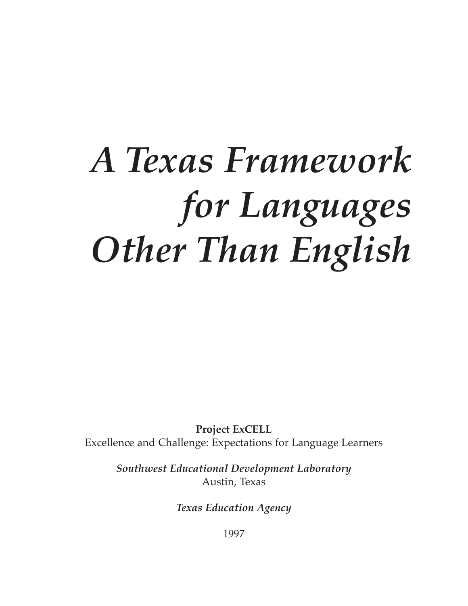## *A Texas Framework for Languages Other Than English*

**Project ExCELL** Excellence and Challenge: Expectations for Language Learners

> *Southwest Educational Development Laboratory* Austin, Texas

> > *Texas Education Agency*

1997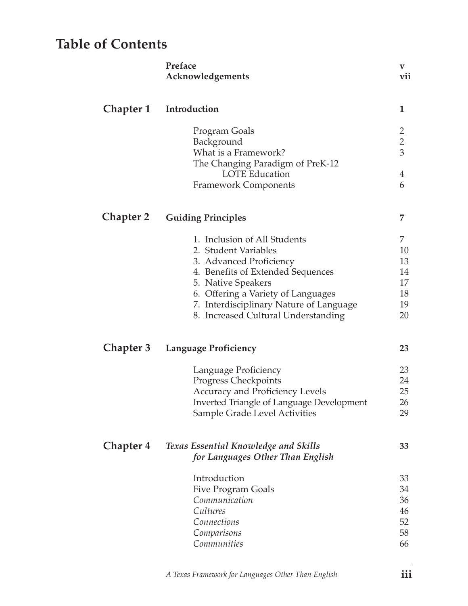## **Table of Contents**

|                  | Preface<br>Acknowledgements                                                                                                                                                                                                                                        | V<br>vii                                    |
|------------------|--------------------------------------------------------------------------------------------------------------------------------------------------------------------------------------------------------------------------------------------------------------------|---------------------------------------------|
| <b>Chapter 1</b> | Introduction                                                                                                                                                                                                                                                       | 1                                           |
|                  | Program Goals<br>Background<br>What is a Framework?<br>The Changing Paradigm of PreK-12<br><b>LOTE Education</b><br><b>Framework Components</b>                                                                                                                    | 2<br>$\overline{2}$<br>3<br>4<br>6          |
| <b>Chapter 2</b> | <b>Guiding Principles</b>                                                                                                                                                                                                                                          | 7                                           |
|                  | 1. Inclusion of All Students<br>2. Student Variables<br>3. Advanced Proficiency<br>4. Benefits of Extended Sequences<br>5. Native Speakers<br>6. Offering a Variety of Languages<br>7. Interdisciplinary Nature of Language<br>8. Increased Cultural Understanding | 7<br>10<br>13<br>14<br>17<br>18<br>19<br>20 |
| <b>Chapter 3</b> | <b>Language Proficiency</b>                                                                                                                                                                                                                                        | 23                                          |
|                  | Language Proficiency<br>Progress Checkpoints<br><b>Accuracy and Proficiency Levels</b><br>Inverted Triangle of Language Development<br>Sample Grade Level Activities                                                                                               | 23<br>24<br>25<br>26<br>29                  |
| <b>Chapter 4</b> | <b>Texas Essential Knowledge and Skills</b><br>for Languages Other Than English                                                                                                                                                                                    | 33                                          |
|                  | Introduction<br><b>Five Program Goals</b><br>Communication<br>Cultures<br>Connections<br>Comparisons<br>Communities                                                                                                                                                | 33<br>34<br>36<br>46<br>52<br>58<br>66      |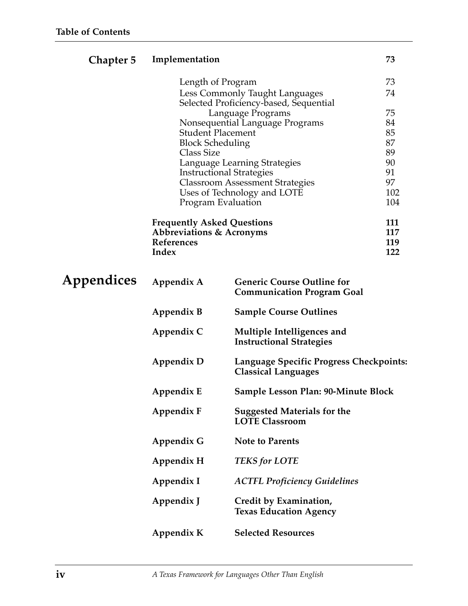| Chapter 5 | Implementation |  |
|-----------|----------------|--|
|-----------|----------------|--|

|            | Length of Program                                                        |                                                                        | 73  |
|------------|--------------------------------------------------------------------------|------------------------------------------------------------------------|-----|
|            | Less Commonly Taught Languages<br>Selected Proficiency-based, Sequential |                                                                        | 74  |
|            |                                                                          | Language Programs                                                      | 75  |
|            |                                                                          | Nonsequential Language Programs                                        | 84  |
|            | <b>Student Placement</b><br><b>Block Scheduling</b>                      |                                                                        | 85  |
|            |                                                                          |                                                                        | 87  |
|            | Class Size                                                               |                                                                        | 89  |
|            |                                                                          | Language Learning Strategies                                           | 90  |
|            |                                                                          | <b>Instructional Strategies</b>                                        | 91  |
|            | <b>Classroom Assessment Strategies</b>                                   |                                                                        | 97  |
|            |                                                                          | Uses of Technology and LOTE                                            | 102 |
|            | Program Evaluation                                                       |                                                                        | 104 |
|            | <b>Frequently Asked Questions</b>                                        |                                                                        | 111 |
|            | Abbreviations & Acronyms                                                 |                                                                        | 117 |
|            | <b>References</b>                                                        |                                                                        | 119 |
|            | Index                                                                    |                                                                        | 122 |
|            |                                                                          |                                                                        |     |
| Appendices | Appendix A                                                               | <b>Generic Course Outline for</b><br><b>Communication Program Goal</b> |     |
|            |                                                                          |                                                                        |     |
|            | Appendix B                                                               | <b>Sample Course Outlines</b>                                          |     |
|            | Appendix C                                                               | Multiple Intelligences and<br><b>Instructional Strategies</b>          |     |
|            | <b>Appendix D</b>                                                        | Language Specific Progress Checkpoints:<br><b>Classical Languages</b>  |     |
|            | <b>Appendix E</b>                                                        | <b>Sample Lesson Plan: 90-Minute Block</b>                             |     |
|            | Appendix F                                                               | <b>Suggested Materials for the</b><br><b>LOTE Classroom</b>            |     |
|            | Appendix G                                                               | <b>Note to Parents</b>                                                 |     |
|            | Appendix H                                                               | <b>TEKS for LOTE</b>                                                   |     |
|            | Appendix I                                                               | <b>ACTFL Proficiency Guidelines</b>                                    |     |
|            | Appendix J                                                               | Credit by Examination,<br><b>Texas Education Agency</b>                |     |
|            | Appendix K                                                               | <b>Selected Resources</b>                                              |     |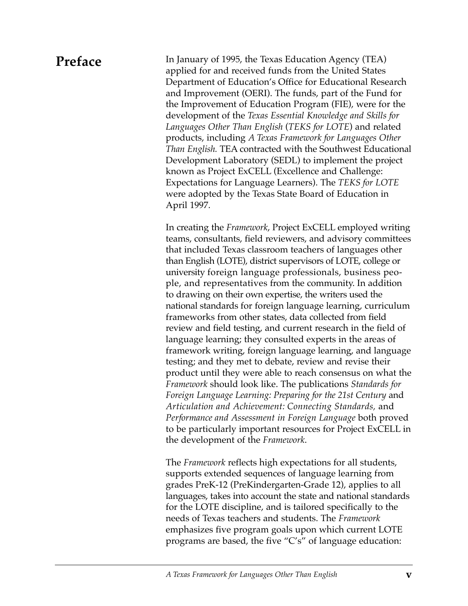#### **Preface**

In January of 1995, the Texas Education Agency (TEA) applied for and received funds from the United States Department of Education's Office for Educational Research and Improvement (OERI). The funds, part of the Fund for the Improvement of Education Program (FIE), were for the development of the *Texas Essential Knowledge and Skills for Languages Other Than English* (*TEKS for LOTE*) and related products, including *A Texas Framework for Languages Other Than English.* TEA contracted with the Southwest Educational Development Laboratory (SEDL) to implement the project known as Project ExCELL (Excellence and Challenge: Expectations for Language Learners). The *TEKS for LOTE* were adopted by the Texas State Board of Education in April 1997.

In creating the *Framework*, Project ExCELL employed writing teams, consultants, field reviewers, and advisory committees that included Texas classroom teachers of languages other than English (LOTE), district supervisors of LOTE, college or university foreign language professionals, business people, and representatives from the community. In addition to drawing on their own expertise, the writers used the national standards for foreign language learning, curriculum frameworks from other states, data collected from field review and field testing, and current research in the field of language learning; they consulted experts in the areas of framework writing, foreign language learning, and language testing; and they met to debate, review and revise their product until they were able to reach consensus on what the *Framework* should look like. The publications *Standards for Foreign Language Learning: Preparing for the 21st Century* and *Articulation and Achievement: Connecting Standards,* and *Performance and Assessment in Foreign Language* both proved to be particularly important resources for Project ExCELL in the development of the *Framework*.

The *Framework* reflects high expectations for all students, supports extended sequences of language learning from grades PreK-12 (PreKindergarten-Grade 12), applies to all languages, takes into account the state and national standards for the LOTE discipline, and is tailored specifically to the needs of Texas teachers and students. The *Framework* emphasizes five program goals upon which current LOTE programs are based, the five "C's" of language education: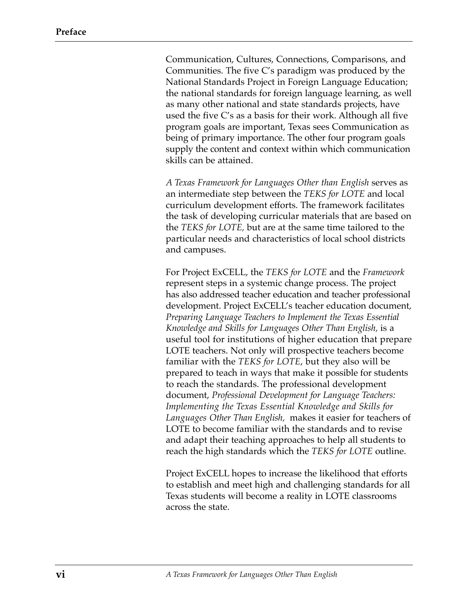Communication, Cultures, Connections, Comparisons, and Communities. The five C's paradigm was produced by the National Standards Project in Foreign Language Education; the national standards for foreign language learning, as well as many other national and state standards projects, have used the five C's as a basis for their work. Although all five program goals are important, Texas sees Communication as being of primary importance. The other four program goals supply the content and context within which communication skills can be attained.

*A Texas Framework for Languages Other than English* serves as an intermediate step between the *TEKS for LOTE* and local curriculum development efforts. The framework facilitates the task of developing curricular materials that are based on the *TEKS for LOTE,* but are at the same time tailored to the particular needs and characteristics of local school districts and campuses.

For Project ExCELL, the *TEKS for LOTE* and the *Framework* represent steps in a systemic change process. The project has also addressed teacher education and teacher professional development. Project ExCELL's teacher education document, *Preparing Language Teachers to Implement the Texas Essential Knowledge and Skills for Languages Other Than English,* is a useful tool for institutions of higher education that prepare LOTE teachers. Not only will prospective teachers become familiar with the *TEKS for LOTE*, but they also will be prepared to teach in ways that make it possible for students to reach the standards. The professional development document, *Professional Development for Language Teachers: Implementing the Texas Essential Knowledge and Skills for Languages Other Than English,* makes it easier for teachers of LOTE to become familiar with the standards and to revise and adapt their teaching approaches to help all students to reach the high standards which the *TEKS for LOTE* outline.

Project ExCELL hopes to increase the likelihood that efforts to establish and meet high and challenging standards for all Texas students will become a reality in LOTE classrooms across the state.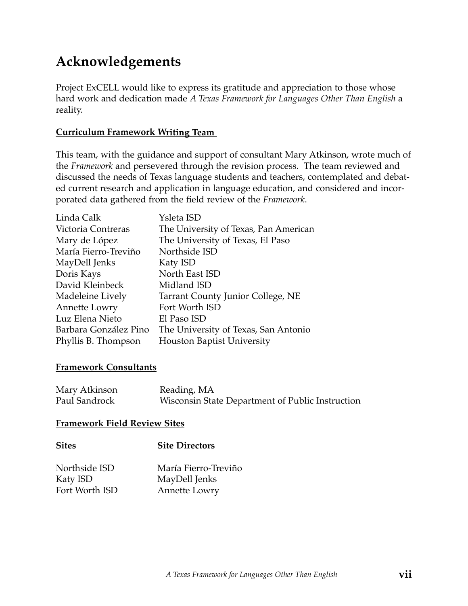## **Acknowledgements**

Project ExCELL would like to express its gratitude and appreciation to those whose hard work and dedication made *A Texas Framework for Languages Other Than English* a reality.

#### **Curriculum Framework Writing Team**

This team, with the guidance and support of consultant Mary Atkinson, wrote much of the *Framework* and persevered through the revision process. The team reviewed and discussed the needs of Texas language students and teachers, contemplated and debated current research and application in language education, and considered and incorporated data gathered from the field review of the *Framework*.

| Linda Calk            | Ysleta ISD                               |
|-----------------------|------------------------------------------|
| Victoria Contreras    | The University of Texas, Pan American    |
| Mary de López         | The University of Texas, El Paso         |
| María Fierro-Treviño  | Northside ISD                            |
| MayDell Jenks         | Katy ISD                                 |
| Doris Kays            | North East ISD                           |
| David Kleinbeck       | Midland ISD                              |
| Madeleine Lively      | <b>Tarrant County Junior College, NE</b> |
| Annette Lowry         | Fort Worth ISD                           |
| Luz Elena Nieto       | El Paso ISD                              |
| Barbara González Pino | The University of Texas, San Antonio     |
| Phyllis B. Thompson   | <b>Houston Baptist University</b>        |

#### **Framework Consultants**

| Mary Atkinson | Reading, MA                                      |
|---------------|--------------------------------------------------|
| Paul Sandrock | Wisconsin State Department of Public Instruction |

#### **Framework Field Review Sites**

| <b>Sites</b>              | <b>Site Directors</b>                 |
|---------------------------|---------------------------------------|
| Northside ISD<br>Katy ISD | María Fierro-Treviño<br>MayDell Jenks |
| Fort Worth ISD            | Annette Lowry                         |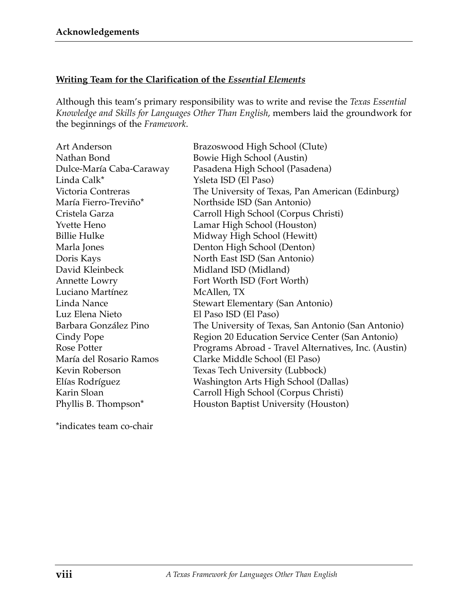#### **Writing Team for the Clarification of the** *Essential Elements*

Although this team's primary responsibility was to write and revise the *Texas Essential Knowledge and Skills for Languages Other Than English*, members laid the groundwork for the beginnings of the *Framework*.

| Brazoswood High School (Clute)                       |
|------------------------------------------------------|
| Bowie High School (Austin)                           |
| Pasadena High School (Pasadena)                      |
| Ysleta ISD (El Paso)                                 |
| The University of Texas, Pan American (Edinburg)     |
| Northside ISD (San Antonio)                          |
| Carroll High School (Corpus Christi)                 |
| Lamar High School (Houston)                          |
| Midway High School (Hewitt)                          |
| Denton High School (Denton)                          |
| North East ISD (San Antonio)                         |
| Midland ISD (Midland)                                |
| Fort Worth ISD (Fort Worth)                          |
| McAllen, TX                                          |
| Stewart Elementary (San Antonio)                     |
| El Paso ISD (El Paso)                                |
| The University of Texas, San Antonio (San Antonio)   |
| Region 20 Education Service Center (San Antonio)     |
| Programs Abroad - Travel Alternatives, Inc. (Austin) |
| Clarke Middle School (El Paso)                       |
| Texas Tech University (Lubbock)                      |
| Washington Arts High School (Dallas)                 |
| Carroll High School (Corpus Christi)                 |
| Houston Baptist University (Houston)                 |
|                                                      |

\*indicates team co-chair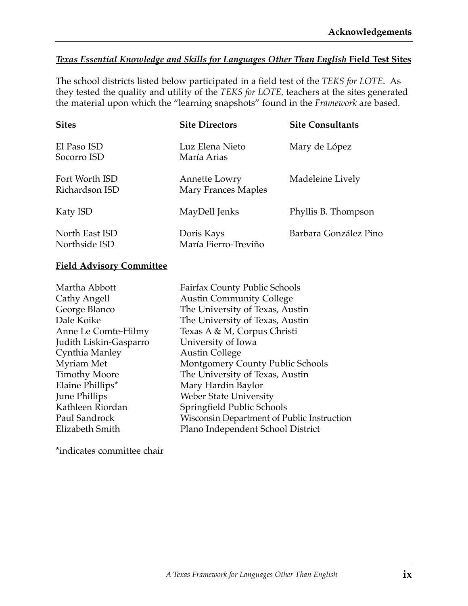#### *Texas Essential Knowledge and Skills for Languages Other Than English* **Field Test Sites**

The school districts listed below participated in a field test of the *TEKS for LOTE*. As they tested the quality and utility of the *TEKS for LOTE,* teachers at the sites generated the material upon which the "learning snapshots" found in the *Framework* are based.

| <b>Sites</b>                     | <b>Site Directors</b>                       | <b>Site Consultants</b> |
|----------------------------------|---------------------------------------------|-------------------------|
| El Paso ISD<br>Socorro ISD       | Luz Elena Nieto<br>María Arias              | Mary de López           |
| Fort Worth ISD<br>Richardson ISD | Annette Lowry<br><b>Mary Frances Maples</b> | Madeleine Lively        |
| Katy ISD                         | MayDell Jenks                               | Phyllis B. Thompson     |
| North East ISD<br>Northside ISD  | Doris Kays<br>María Fierro-Treviño          | Barbara González Pino   |

#### **Field Advisory Committee**

| Fairfax County Public Schools              |
|--------------------------------------------|
| <b>Austin Community College</b>            |
| The University of Texas, Austin            |
| The University of Texas, Austin            |
| Texas A & M, Corpus Christi                |
| University of Iowa                         |
| <b>Austin College</b>                      |
| Montgomery County Public Schools           |
| The University of Texas, Austin            |
| Mary Hardin Baylor                         |
| Weber State University                     |
| Springfield Public Schools                 |
| Wisconsin Department of Public Instruction |
| Plano Independent School District          |
|                                            |

\*indicates committee chair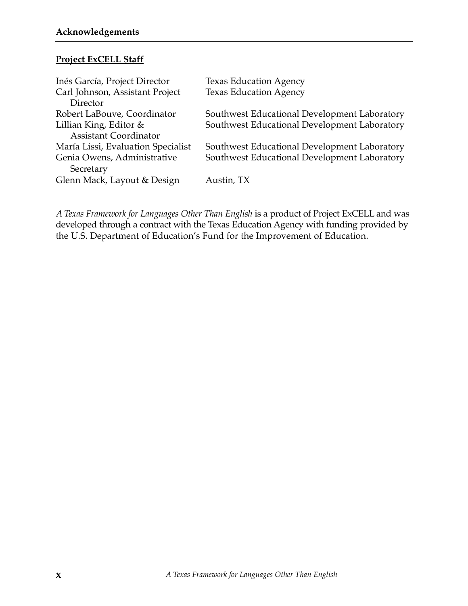#### **Project ExCELL Staff**

| <b>Texas Education Agency</b>                |
|----------------------------------------------|
| <b>Texas Education Agency</b>                |
|                                              |
| Southwest Educational Development Laboratory |
| Southwest Educational Development Laboratory |
|                                              |
| Southwest Educational Development Laboratory |
| Southwest Educational Development Laboratory |
|                                              |
| Austin, TX                                   |
|                                              |

*A Texas Framework for Languages Other Than English* is a product of Project ExCELL and was developed through a contract with the Texas Education Agency with funding provided by the U.S. Department of Education's Fund for the Improvement of Education.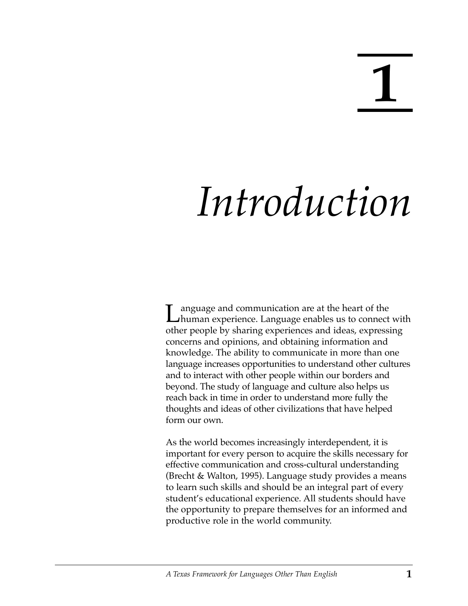**1**

## *Introduction*

**Language and communication are at the heart of the**<br>human experience. Language enables us to connect with other people by sharing experiences and ideas, expressing concerns and opinions, and obtaining information and knowledge. The ability to communicate in more than one language increases opportunities to understand other cultures and to interact with other people within our borders and beyond. The study of language and culture also helps us reach back in time in order to understand more fully the thoughts and ideas of other civilizations that have helped form our own.

As the world becomes increasingly interdependent, it is important for every person to acquire the skills necessary for effective communication and cross-cultural understanding (Brecht & Walton, 1995). Language study provides a means to learn such skills and should be an integral part of every student's educational experience. All students should have the opportunity to prepare themselves for an informed and productive role in the world community.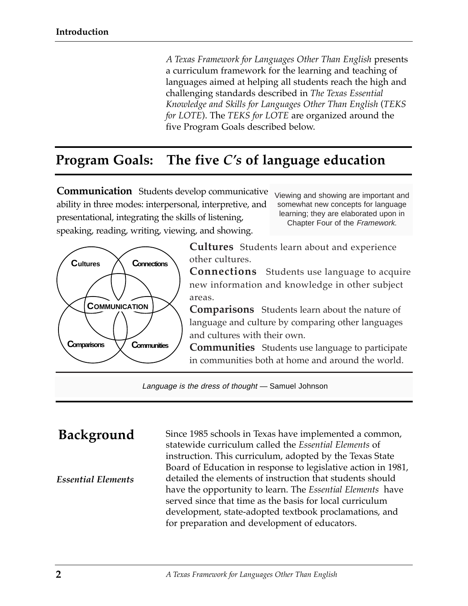*A Texas Framework for Languages Other Than English* presents a curriculum framework for the learning and teaching of languages aimed at helping all students reach the high and challenging standards described in *The Texas Essential Knowledge and Skills for Languages Other Than English* (*TEKS for LOTE*). The *TEKS for LOTE* are organized around the five Program Goals described below.

## **Program Goals: The five** *C's* **of language education**

**Communication** Students develop communicative ability in three modes: interpersonal, interpretive, and presentational, integrating the skills of listening, speaking, reading, writing, viewing, and showing.

Viewing and showing are important and somewhat new concepts for language learning; they are elaborated upon in Chapter Four of the Framework.



**Cultures** Students learn about and experience other cultures.

**Connections** Students use language to acquire new information and knowledge in other subject areas.

**Comparisons** Students learn about the nature of language and culture by comparing other languages and cultures with their own.

**Communities** Students use language to participate in communities both at home and around the world.

Language is the dress of thought — Samuel Johnson

### **Background**

*Essential Elements* 

Since 1985 schools in Texas have implemented a common, statewide curriculum called the *Essential Elements* of instruction. This curriculum, adopted by the Texas State Board of Education in response to legislative action in 1981, detailed the elements of instruction that students should have the opportunity to learn. The *Essential Elements* have served since that time as the basis for local curriculum development, state-adopted textbook proclamations, and for preparation and development of educators.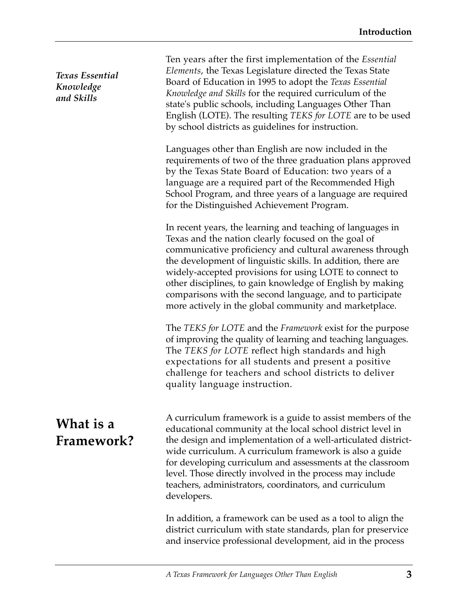| <b>Texas Essential</b><br>Knowledge<br>and Skills | Ten years after the first implementation of the <i>Essential</i><br>Elements, the Texas Legislature directed the Texas State<br>Board of Education in 1995 to adopt the Texas Essential<br>Knowledge and Skills for the required curriculum of the<br>state's public schools, including Languages Other Than<br>English (LOTE). The resulting TEKS for LOTE are to be used<br>by school districts as guidelines for instruction.                                                            |
|---------------------------------------------------|---------------------------------------------------------------------------------------------------------------------------------------------------------------------------------------------------------------------------------------------------------------------------------------------------------------------------------------------------------------------------------------------------------------------------------------------------------------------------------------------|
|                                                   | Languages other than English are now included in the<br>requirements of two of the three graduation plans approved<br>by the Texas State Board of Education: two years of a<br>language are a required part of the Recommended High<br>School Program, and three years of a language are required<br>for the Distinguished Achievement Program.                                                                                                                                             |
|                                                   | In recent years, the learning and teaching of languages in<br>Texas and the nation clearly focused on the goal of<br>communicative proficiency and cultural awareness through<br>the development of linguistic skills. In addition, there are<br>widely-accepted provisions for using LOTE to connect to<br>other disciplines, to gain knowledge of English by making<br>comparisons with the second language, and to participate<br>more actively in the global community and marketplace. |
|                                                   | The TEKS for LOTE and the Framework exist for the purpose<br>of improving the quality of learning and teaching languages.<br>The TEKS for LOTE reflect high standards and high<br>expectations for all students and present a positive<br>challenge for teachers and school districts to deliver<br>quality language instruction.                                                                                                                                                           |
| What is a<br>Framework?                           | A curriculum framework is a guide to assist members of the<br>educational community at the local school district level in<br>the design and implementation of a well-articulated district-<br>wide curriculum. A curriculum framework is also a guide<br>for developing curriculum and assessments at the classroom<br>level. Those directly involved in the process may include<br>teachers, administrators, coordinators, and curriculum<br>developers.                                   |
|                                                   | In addition, a framework can be used as a tool to align the<br>district curriculum with state standards, plan for preservice<br>and inservice professional development, aid in the process                                                                                                                                                                                                                                                                                                  |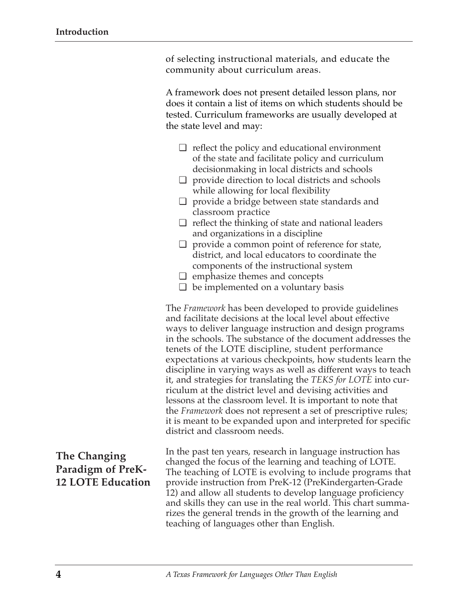| of selecting instructional materials, and educate the |  |  |
|-------------------------------------------------------|--|--|
| community about curriculum areas.                     |  |  |

A framework does not present detailed lesson plans, nor does it contain a list of items on which students should be tested. Curriculum frameworks are usually developed at the state level and may:

- ❏ reflect the policy and educational environment of the state and facilitate policy and curriculum decisionmaking in local districts and schools
- ❏ provide direction to local districts and schools while allowing for local flexibility
- ❏ provide a bridge between state standards and classroom practice
- ❏ reflect the thinking of state and national leaders and organizations in a discipline
- ❏ provide a common point of reference for state, district, and local educators to coordinate the components of the instructional system
- ❏ emphasize themes and concepts
- $\Box$  be implemented on a voluntary basis

The *Framework* has been developed to provide guidelines and facilitate decisions at the local level about effective ways to deliver language instruction and design programs in the schools. The substance of the document addresses the tenets of the LOTE discipline, student performance expectations at various checkpoints, how students learn the discipline in varying ways as well as different ways to teach it, and strategies for translating the *TEKS for LOTE* into curriculum at the district level and devising activities and lessons at the classroom level. It is important to note that the *Framework* does not represent a set of prescriptive rules; it is meant to be expanded upon and interpreted for specific district and classroom needs.

#### **The Changing Paradigm of PreK-12 LOTE Education**

In the past ten years, research in language instruction has changed the focus of the learning and teaching of LOTE. The teaching of LOTE is evolving to include programs that provide instruction from PreK-12 (PreKindergarten-Grade 12) and allow all students to develop language proficiency and skills they can use in the real world. This chart summarizes the general trends in the growth of the learning and teaching of languages other than English.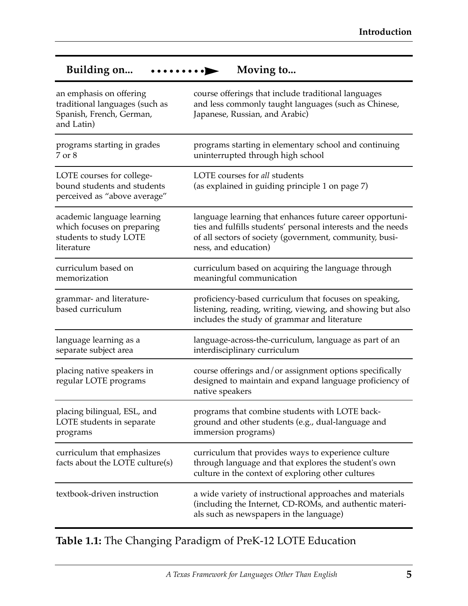| O                                                                                                   | $\bf{C}$                                                                                                                                                                                                    |
|-----------------------------------------------------------------------------------------------------|-------------------------------------------------------------------------------------------------------------------------------------------------------------------------------------------------------------|
| an emphasis on offering<br>traditional languages (such as<br>Spanish, French, German,<br>and Latin) | course offerings that include traditional languages<br>and less commonly taught languages (such as Chinese,<br>Japanese, Russian, and Arabic)                                                               |
| programs starting in grades<br>7 or 8                                                               | programs starting in elementary school and continuing<br>uninterrupted through high school                                                                                                                  |
| LOTE courses for college-<br>bound students and students<br>perceived as "above average"            | LOTE courses for all students<br>(as explained in guiding principle 1 on page 7)                                                                                                                            |
| academic language learning<br>which focuses on preparing<br>students to study LOTE<br>literature    | language learning that enhances future career opportuni-<br>ties and fulfills students' personal interests and the needs<br>of all sectors of society (government, community, busi-<br>ness, and education) |
| curriculum based on<br>memorization                                                                 | curriculum based on acquiring the language through<br>meaningful communication                                                                                                                              |
| grammar- and literature-<br>based curriculum                                                        | proficiency-based curriculum that focuses on speaking,<br>listening, reading, writing, viewing, and showing but also<br>includes the study of grammar and literature                                        |
| language learning as a<br>separate subject area                                                     | language-across-the-curriculum, language as part of an<br>interdisciplinary curriculum                                                                                                                      |
| placing native speakers in<br>regular LOTE programs                                                 | course offerings and/or assignment options specifically<br>designed to maintain and expand language proficiency of<br>native speakers                                                                       |
| placing bilingual, ESL, and<br>LOTE students in separate<br>programs                                | programs that combine students with LOTE back-<br>ground and other students (e.g., dual-language and<br>immersion programs)                                                                                 |
| curriculum that emphasizes<br>facts about the LOTE culture(s)                                       | curriculum that provides ways to experience culture<br>through language and that explores the student's own<br>culture in the context of exploring other cultures                                           |
| textbook-driven instruction                                                                         | a wide variety of instructional approaches and materials<br>(including the Internet, CD-ROMs, and authentic materi-<br>als such as newspapers in the language)                                              |

#### Building on... **••••••••••** Moving to...

#### **Table 1.1:** The Changing Paradigm of PreK-12 LOTE Education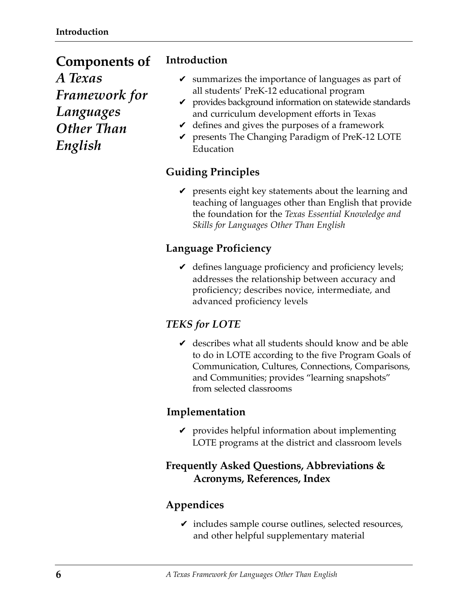**Components of** *A Texas Framework for Languages Other Than English*

#### **Introduction**

- $\boldsymbol{\nu}$  summarizes the importance of languages as part of all students' PreK-12 educational program
- $\mathcal V$  provides background information on statewide standards and curriculum development efforts in Texas
- $\vee$  defines and gives the purposes of a framework
- $\vee$  presents The Changing Paradigm of PreK-12 LOTE Education

#### **Guiding Principles**

 $\vee$  presents eight key statements about the learning and teaching of languages other than English that provide the foundation for the *Texas Essential Knowledge and Skills for Languages Other Than English*

#### **Language Proficiency**

 $\vee$  defines language proficiency and proficiency levels; addresses the relationship between accuracy and proficiency; describes novice, intermediate, and advanced proficiency levels

#### *TEKS for LOTE*

 $\vee$  describes what all students should know and be able to do in LOTE according to the five Program Goals of Communication, Cultures, Connections, Comparisons, and Communities; provides "learning snapshots" from selected classrooms

#### **Implementation**

 $\vee$  provides helpful information about implementing LOTE programs at the district and classroom levels

#### **Frequently Asked Questions, Abbreviations & Acronyms, References, Index**

#### **Appendices**

 $\triangleright$  includes sample course outlines, selected resources, and other helpful supplementary material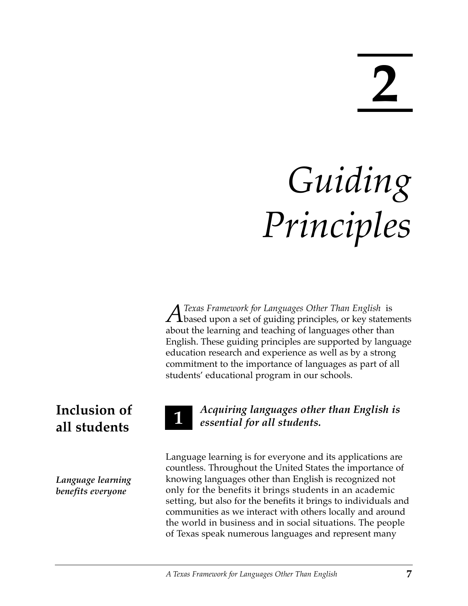**2**

# *Guiding Principles*

*A Texas Framework for Languages Other Than English* is<br>based upon a set of guiding principles, or key statements about the learning and teaching of languages other than English. These guiding principles are supported by language education research and experience as well as by a strong commitment to the importance of languages as part of all students' educational program in our schools.

## **Inclusion of all students 1**

*Language learning benefits everyone*



#### *Acquiring languages other than English is essential for all students.*

Language learning is for everyone and its applications are countless. Throughout the United States the importance of knowing languages other than English is recognized not only for the benefits it brings students in an academic setting, but also for the benefits it brings to individuals and communities as we interact with others locally and around the world in business and in social situations. The people of Texas speak numerous languages and represent many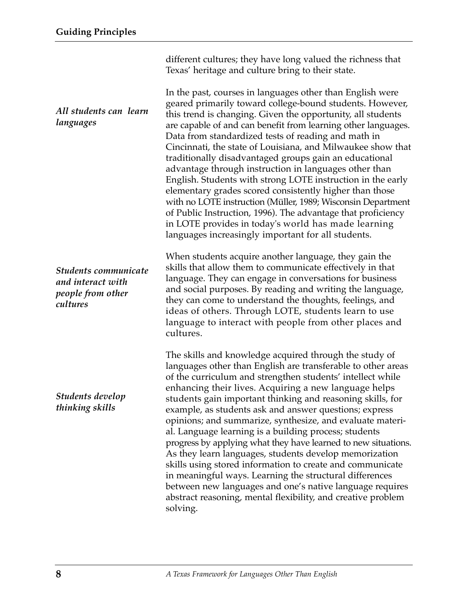different cultures; they have long valued the richness that Texas' heritage and culture bring to their state. In the past, courses in languages other than English were geared primarily toward college-bound students. However, this trend is changing. Given the opportunity, all students are capable of and can benefit from learning other languages. Data from standardized tests of reading and math in Cincinnati, the state of Louisiana, and Milwaukee show that traditionally disadvantaged groups gain an educational advantage through instruction in languages other than English. Students with strong LOTE instruction in the early elementary grades scored consistently higher than those with no LOTE instruction (Müller, 1989; Wisconsin Department of Public Instruction, 1996). The advantage that proficiency in LOTE provides in today's world has made learning languages increasingly important for all students. When students acquire another language, they gain the skills that allow them to communicate effectively in that language. They can engage in conversations for business and social purposes. By reading and writing the language, they can come to understand the thoughts, feelings, and ideas of others. Through LOTE, students learn to use language to interact with people from other places and cultures. The skills and knowledge acquired through the study of languages other than English are transferable to other areas of the curriculum and strengthen students' intellect while enhancing their lives. Acquiring a new language helps students gain important thinking and reasoning skills, for example, as students ask and answer questions; express opinions; and summarize, synthesize, and evaluate material. Language learning is a building process; students progress by applying what they have learned to new situations. As they learn languages, students develop memorization skills using stored information to create and communicate in meaningful ways. Learning the structural differences between new languages and one's native language requires abstract reasoning, mental flexibility, and creative problem solving. *Students communicate and interact with people from other cultures All students can learn languages Students develop thinking skills*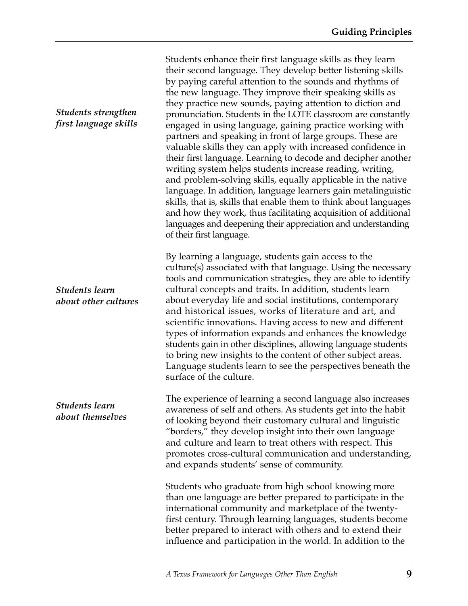Students enhance their first language skills as they learn their second language. They develop better listening skills by paying careful attention to the sounds and rhythms of the new language. They improve their speaking skills as they practice new sounds, paying attention to diction and pronunciation. Students in the LOTE classroom are constantly engaged in using language, gaining practice working with partners and speaking in front of large groups. These are valuable skills they can apply with increased confidence in their first language. Learning to decode and decipher another writing system helps students increase reading, writing, and problem-solving skills, equally applicable in the native language. In addition, language learners gain metalinguistic skills, that is, skills that enable them to think about languages and how they work, thus facilitating acquisition of additional languages and deepening their appreciation and understanding of their first language.

By learning a language, students gain access to the culture(s) associated with that language. Using the necessary tools and communication strategies, they are able to identify cultural concepts and traits. In addition, students learn about everyday life and social institutions, contemporary and historical issues, works of literature and art, and scientific innovations. Having access to new and different types of information expands and enhances the knowledge students gain in other disciplines, allowing language students to bring new insights to the content of other subject areas. Language students learn to see the perspectives beneath the surface of the culture.

The experience of learning a second language also increases awareness of self and others. As students get into the habit of looking beyond their customary cultural and linguistic "borders," they develop insight into their own language and culture and learn to treat others with respect. This promotes cross-cultural communication and understanding, and expands students' sense of community.

Students who graduate from high school knowing more than one language are better prepared to participate in the international community and marketplace of the twentyfirst century. Through learning languages, students become better prepared to interact with others and to extend their influence and participation in the world. In addition to the

#### *Students strengthen first language skills*

#### *Students learn about other cultures*

*Students learn about themselves*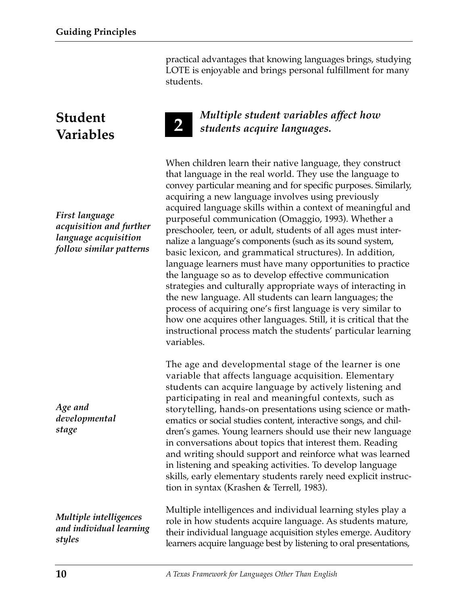practical advantages that knowing languages brings, studying LOTE is enjoyable and brings personal fulfillment for many students.

## **Student Variables 2**

*First language acquisition and further language acquisition follow similar patterns*

*Age and developmental stage*

*Multiple intelligences and individual learning styles*

*Multiple student variables affect how students acquire languages.*

When children learn their native language, they construct that language in the real world. They use the language to convey particular meaning and for specific purposes. Similarly, acquiring a new language involves using previously acquired language skills within a context of meaningful and purposeful communication (Omaggio, 1993). Whether a preschooler, teen, or adult, students of all ages must internalize a language's components (such as its sound system, basic lexicon, and grammatical structures). In addition, language learners must have many opportunities to practice the language so as to develop effective communication strategies and culturally appropriate ways of interacting in the new language. All students can learn languages; the process of acquiring one's first language is very similar to how one acquires other languages. Still, it is critical that the instructional process match the students' particular learning variables.

The age and developmental stage of the learner is one variable that affects language acquisition. Elementary students can acquire language by actively listening and participating in real and meaningful contexts, such as storytelling, hands-on presentations using science or mathematics or social studies content, interactive songs, and children's games. Young learners should use their new language in conversations about topics that interest them. Reading and writing should support and reinforce what was learned in listening and speaking activities. To develop language skills, early elementary students rarely need explicit instruction in syntax (Krashen & Terrell, 1983).

Multiple intelligences and individual learning styles play a role in how students acquire language. As students mature, their individual language acquisition styles emerge. Auditory learners acquire language best by listening to oral presentations,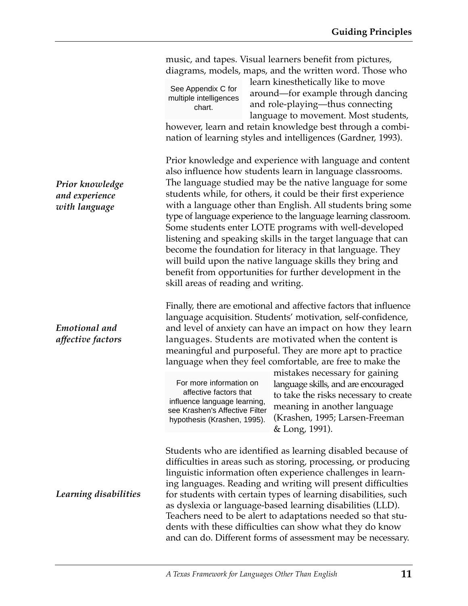|                                           | music, and tapes. Visual learners benefit from pictures,<br>diagrams, models, maps, and the written word. Those who                                                                                                                                                                                                                                                                                                                                                                                                                                      |                                                                                                                                                                                                                                                                                                                                                                                                                                                                                                                                                                                           |  |
|-------------------------------------------|----------------------------------------------------------------------------------------------------------------------------------------------------------------------------------------------------------------------------------------------------------------------------------------------------------------------------------------------------------------------------------------------------------------------------------------------------------------------------------------------------------------------------------------------------------|-------------------------------------------------------------------------------------------------------------------------------------------------------------------------------------------------------------------------------------------------------------------------------------------------------------------------------------------------------------------------------------------------------------------------------------------------------------------------------------------------------------------------------------------------------------------------------------------|--|
|                                           | See Appendix C for<br>multiple intelligences<br>chart.                                                                                                                                                                                                                                                                                                                                                                                                                                                                                                   | learn kinesthetically like to move<br>around—for example through dancing<br>and role-playing-thus connecting<br>language to movement. Most students,                                                                                                                                                                                                                                                                                                                                                                                                                                      |  |
|                                           |                                                                                                                                                                                                                                                                                                                                                                                                                                                                                                                                                          | however, learn and retain knowledge best through a combi-<br>nation of learning styles and intelligences (Gardner, 1993).                                                                                                                                                                                                                                                                                                                                                                                                                                                                 |  |
| <b>Prior knowledge</b>                    |                                                                                                                                                                                                                                                                                                                                                                                                                                                                                                                                                          | Prior knowledge and experience with language and content<br>also influence how students learn in language classrooms.<br>The language studied may be the native language for some                                                                                                                                                                                                                                                                                                                                                                                                         |  |
| and experience<br>with language           | students while, for others, it could be their first experience<br>with a language other than English. All students bring some<br>type of language experience to the language learning classroom.<br>Some students enter LOTE programs with well-developed<br>listening and speaking skills in the target language that can<br>become the foundation for literacy in that language. They<br>will build upon the native language skills they bring and<br>benefit from opportunities for further development in the<br>skill areas of reading and writing. |                                                                                                                                                                                                                                                                                                                                                                                                                                                                                                                                                                                           |  |
| <b>Emotional</b> and<br>affective factors |                                                                                                                                                                                                                                                                                                                                                                                                                                                                                                                                                          | Finally, there are emotional and affective factors that influence<br>language acquisition. Students' motivation, self-confidence,<br>and level of anxiety can have an impact on how they learn<br>languages. Students are motivated when the content is<br>meaningful and purposeful. They are more apt to practice<br>language when they feel comfortable, are free to make the<br>mistakes necessary for gaining                                                                                                                                                                        |  |
|                                           | For more information on<br>affective factors that<br>influence language learning,<br>see Krashen's Affective Filter<br>hypothesis (Krashen, 1995).                                                                                                                                                                                                                                                                                                                                                                                                       | language skills, and are encouraged<br>to take the risks necessary to create<br>meaning in another language<br>(Krashen, 1995; Larsen-Freeman<br>& Long, 1991).                                                                                                                                                                                                                                                                                                                                                                                                                           |  |
| Learning disabilities                     |                                                                                                                                                                                                                                                                                                                                                                                                                                                                                                                                                          | Students who are identified as learning disabled because of<br>difficulties in areas such as storing, processing, or producing<br>linguistic information often experience challenges in learn-<br>ing languages. Reading and writing will present difficulties<br>for students with certain types of learning disabilities, such<br>as dyslexia or language-based learning disabilities (LLD).<br>Teachers need to be alert to adaptations needed so that stu-<br>dents with these difficulties can show what they do know<br>and can do. Different forms of assessment may be necessary. |  |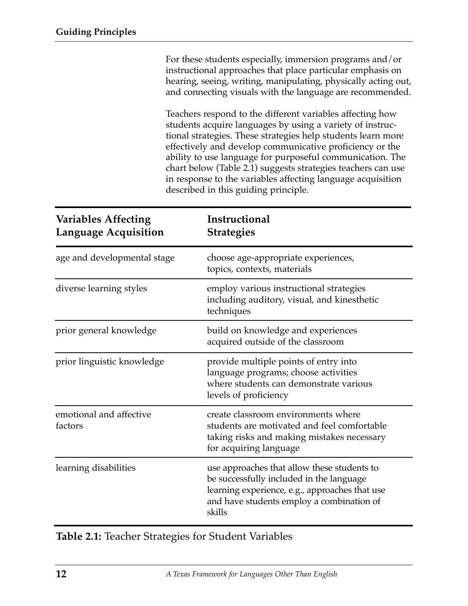For these students especially, immersion programs and/or instructional approaches that place particular emphasis on hearing, seeing, writing, manipulating, physically acting out, and connecting visuals with the language are recommended.

Teachers respond to the different variables affecting how students acquire languages by using a variety of instructional strategies. These strategies help students learn more effectively and develop communicative proficiency or the ability to use language for purposeful communication. The chart below (Table 2.1) suggests strategies teachers can use in response to the variables affecting language acquisition described in this guiding principle.

| <b>Variables Affecting</b><br><b>Language Acquisition</b> | Instructional<br><b>Strategies</b>                                                                                                                                                               |
|-----------------------------------------------------------|--------------------------------------------------------------------------------------------------------------------------------------------------------------------------------------------------|
| age and developmental stage                               | choose age-appropriate experiences,<br>topics, contexts, materials                                                                                                                               |
| diverse learning styles                                   | employ various instructional strategies<br>including auditory, visual, and kinesthetic<br>techniques                                                                                             |
| prior general knowledge                                   | build on knowledge and experiences<br>acquired outside of the classroom                                                                                                                          |
| prior linguistic knowledge                                | provide multiple points of entry into<br>language programs; choose activities<br>where students can demonstrate various<br>levels of proficiency                                                 |
| emotional and affective<br>factors                        | create classroom environments where<br>students are motivated and feel comfortable<br>taking risks and making mistakes necessary<br>for acquiring language                                       |
| learning disabilities                                     | use approaches that allow these students to<br>be successfully included in the language<br>learning experience, e.g., approaches that use<br>and have students employ a combination of<br>skills |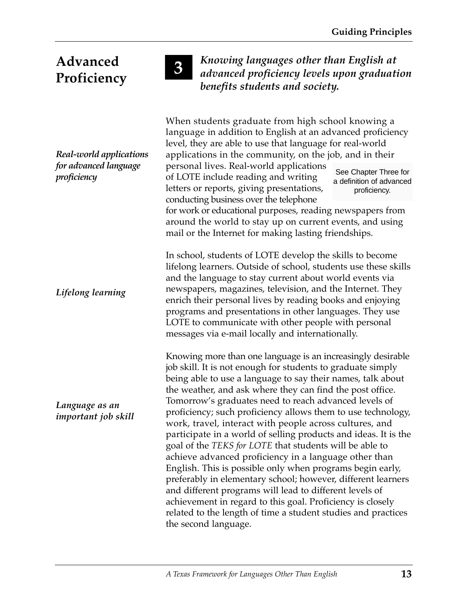## **Advanced Proficiency**

*Real-world applications for advanced language proficiency*

*Lifelong learning*

*Language as an important job skill*

## **3**

*Knowing languages other than English at advanced proficiency levels upon graduation benefits students and society.* 

When students graduate from high school knowing a language in addition to English at an advanced proficiency level, they are able to use that language for real-world applications in the community, on the job, and in their personal lives. Real-world applications of LOTE include reading and writing letters or reports, giving presentations, conducting business over the telephone See Chapter Three for a definition of advanced proficiency.

for work or educational purposes, reading newspapers from around the world to stay up on current events, and using mail or the Internet for making lasting friendships.

In school, students of LOTE develop the skills to become lifelong learners. Outside of school, students use these skills and the language to stay current about world events via newspapers, magazines, television, and the Internet. They enrich their personal lives by reading books and enjoying programs and presentations in other languages. They use LOTE to communicate with other people with personal messages via e-mail locally and internationally.

Knowing more than one language is an increasingly desirable job skill. It is not enough for students to graduate simply being able to use a language to say their names, talk about the weather, and ask where they can find the post office. Tomorrow's graduates need to reach advanced levels of proficiency; such proficiency allows them to use technology, work, travel, interact with people across cultures, and participate in a world of selling products and ideas. It is the goal of the *TEKS for LOTE* that students will be able to achieve advanced proficiency in a language other than English. This is possible only when programs begin early, preferably in elementary school; however, different learners and different programs will lead to different levels of achievement in regard to this goal. Proficiency is closely related to the length of time a student studies and practices the second language.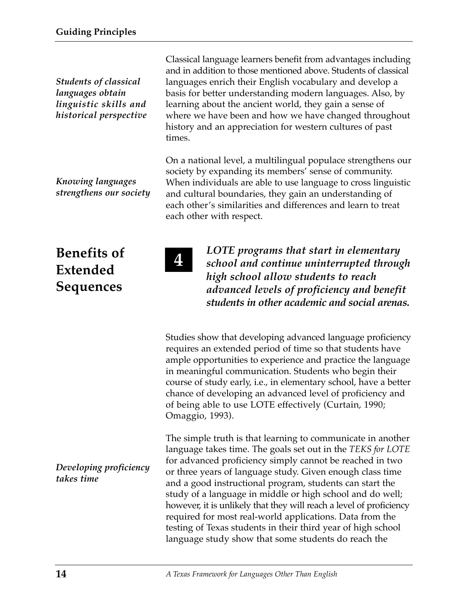*Students of classical languages obtain linguistic skills and historical perspective*

*Knowing languages strengthens our society*

## **Benefits of Extended Sequences**

*Developing proficiency takes time*

Classical language learners benefit from advantages including and in addition to those mentioned above. Students of classical languages enrich their English vocabulary and develop a basis for better understanding modern languages. Also, by learning about the ancient world, they gain a sense of where we have been and how we have changed throughout history and an appreciation for western cultures of past times.

On a national level, a multilingual populace strengthens our society by expanding its members' sense of community. When individuals are able to use language to cross linguistic and cultural boundaries, they gain an understanding of each other's similarities and differences and learn to treat each other with respect.

## **4**

*LOTE programs that start in elementary school and continue uninterrupted through high school allow students to reach advanced levels of proficiency and benefit students in other academic and social arenas.*

Studies show that developing advanced language proficiency requires an extended period of time so that students have ample opportunities to experience and practice the language in meaningful communication. Students who begin their course of study early, i.e., in elementary school, have a better chance of developing an advanced level of proficiency and of being able to use LOTE effectively (Curtain, 1990; Omaggio, 1993).

The simple truth is that learning to communicate in another language takes time. The goals set out in the *TEKS for LOTE* for advanced proficiency simply cannot be reached in two or three years of language study. Given enough class time and a good instructional program, students can start the study of a language in middle or high school and do well; however, it is unlikely that they will reach a level of proficiency required for most real-world applications. Data from the testing of Texas students in their third year of high school language study show that some students do reach the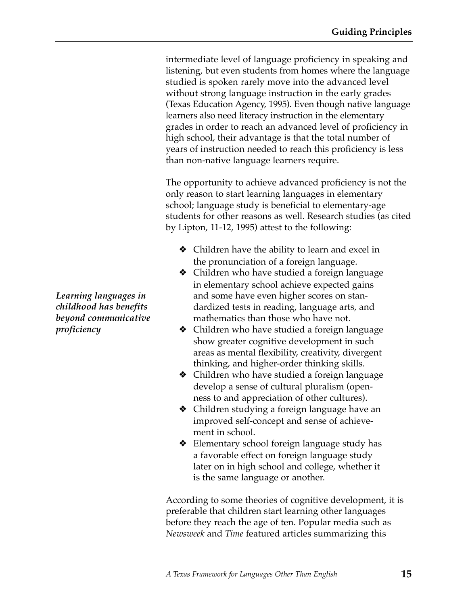intermediate level of language proficiency in speaking and listening, but even students from homes where the language studied is spoken rarely move into the advanced level without strong language instruction in the early grades (Texas Education Agency, 1995). Even though native language learners also need literacy instruction in the elementary grades in order to reach an advanced level of proficiency in high school, their advantage is that the total number of years of instruction needed to reach this proficiency is less than non-native language learners require.

The opportunity to achieve advanced proficiency is not the only reason to start learning languages in elementary school; language study is beneficial to elementary-age students for other reasons as well. Research studies (as cited by Lipton, 11-12, 1995) attest to the following:

- ❖ Children have the ability to learn and excel in the pronunciation of a foreign language.
- ❖ Children who have studied a foreign language in elementary school achieve expected gains and some have even higher scores on standardized tests in reading, language arts, and mathematics than those who have not.
- ❖ Children who have studied a foreign language show greater cognitive development in such areas as mental flexibility, creativity, divergent thinking, and higher-order thinking skills.
- ❖ Children who have studied a foreign language develop a sense of cultural pluralism (openness to and appreciation of other cultures).
- ❖ Children studying a foreign language have an improved self-concept and sense of achievement in school.
- ❖ Elementary school foreign language study has a favorable effect on foreign language study later on in high school and college, whether it is the same language or another.

According to some theories of cognitive development, it is preferable that children start learning other languages before they reach the age of ten. Popular media such as *Newsweek* and *Time* featured articles summarizing this

*Learning languages in childhood has benefits beyond communicative proficiency*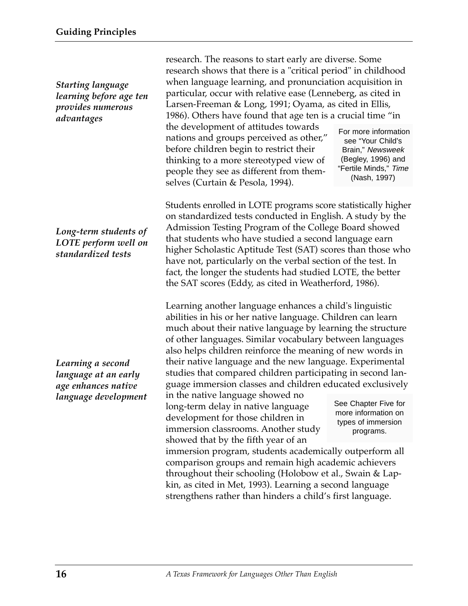#### *Starting language learning before age ten provides numerous advantages*

*Long-term students of LOTE perform well on standardized tests*

*Learning a second language at an early age enhances native*

research. The reasons to start early are diverse. Some research shows that there is a "critical period" in childhood when language learning, and pronunciation acquisition in particular, occur with relative ease (Lenneberg, as cited in Larsen-Freeman & Long, 1991; Oyama, as cited in Ellis, 1986). Others have found that age ten is a crucial time "in the development of attitudes towards nations and groups perceived as other," before children begin to restrict their thinking to a more stereotyped view of people they see as different from themselves (Curtain & Pesola, 1994). For more information see "Your Child's Brain," Newsweek (Begley, 1996) and "Fertile Minds," Time (Nash, 1997)

Students enrolled in LOTE programs score statistically higher on standardized tests conducted in English. A study by the Admission Testing Program of the College Board showed that students who have studied a second language earn higher Scholastic Aptitude Test (SAT) scores than those who have not, particularly on the verbal section of the test. In fact, the longer the students had studied LOTE, the better the SAT scores (Eddy, as cited in Weatherford, 1986).

Learning another language enhances a child's linguistic abilities in his or her native language. Children can learn much about their native language by learning the structure of other languages. Similar vocabulary between languages also helps children reinforce the meaning of new words in their native language and the new language. Experimental studies that compared children participating in second language immersion classes and children educated exclusively

language development in the native language showed no<br>long-term delay in native language see Chapter Five for long-term delay in native language development for those children in immersion classrooms. Another study showed that by the fifth year of an

more information on types of immersion programs.

immersion program, students academically outperform all comparison groups and remain high academic achievers throughout their schooling (Holobow et al., Swain & Lapkin, as cited in Met, 1993). Learning a second language strengthens rather than hinders a child's first language.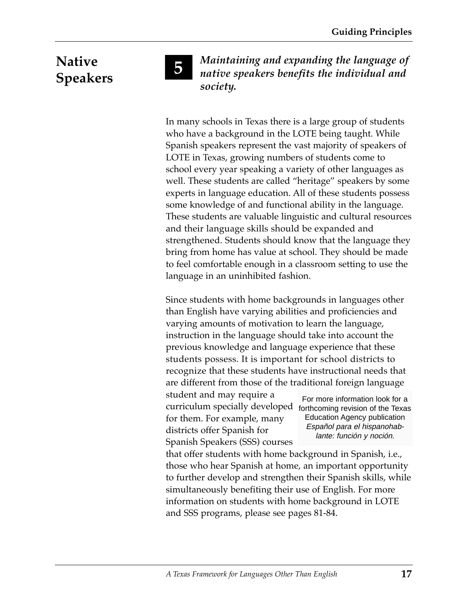## **Native Speakers <sup>5</sup>**

*Maintaining and expanding the language of native speakers benefits the individual and society.*

In many schools in Texas there is a large group of students who have a background in the LOTE being taught. While Spanish speakers represent the vast majority of speakers of LOTE in Texas, growing numbers of students come to school every year speaking a variety of other languages as well. These students are called "heritage" speakers by some experts in language education. All of these students possess some knowledge of and functional ability in the language. These students are valuable linguistic and cultural resources and their language skills should be expanded and strengthened. Students should know that the language they bring from home has value at school. They should be made to feel comfortable enough in a classroom setting to use the language in an uninhibited fashion.

Since students with home backgrounds in languages other than English have varying abilities and proficiencies and varying amounts of motivation to learn the language, instruction in the language should take into account the previous knowledge and language experience that these students possess. It is important for school districts to recognize that these students have instructional needs that are different from those of the traditional foreign language

student and may require a curriculum specially developed forthcoming revision of the Texas for them. For example, many districts offer Spanish for Spanish Speakers (SSS) courses

For more information look for a Education Agency publication Español para el hispanohablante: función y noción.

that offer students with home background in Spanish, i.e., those who hear Spanish at home, an important opportunity to further develop and strengthen their Spanish skills, while simultaneously benefiting their use of English. For more information on students with home background in LOTE and SSS programs, please see pages 81-84.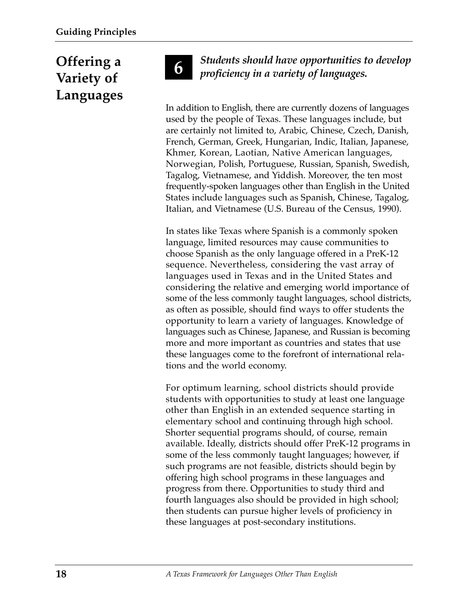## **6 Offering a Variety of Languages**



*Students should have opportunities to develop proficiency in a variety of languages.*

In addition to English, there are currently dozens of languages used by the people of Texas. These languages include, but are certainly not limited to, Arabic, Chinese, Czech, Danish, French, German, Greek, Hungarian, Indic, Italian, Japanese, Khmer, Korean, Laotian, Native American languages, Norwegian, Polish, Portuguese, Russian, Spanish, Swedish, Tagalog, Vietnamese, and Yiddish. Moreover, the ten most frequently-spoken languages other than English in the United States include languages such as Spanish, Chinese, Tagalog, Italian, and Vietnamese (U.S. Bureau of the Census, 1990).

In states like Texas where Spanish is a commonly spoken language, limited resources may cause communities to choose Spanish as the only language offered in a PreK-12 sequence. Nevertheless, considering the vast array of languages used in Texas and in the United States and considering the relative and emerging world importance of some of the less commonly taught languages, school districts, as often as possible, should find ways to offer students the opportunity to learn a variety of languages. Knowledge of languages such as Chinese, Japanese, and Russian is becoming more and more important as countries and states that use these languages come to the forefront of international relations and the world economy.

For optimum learning, school districts should provide students with opportunities to study at least one language other than English in an extended sequence starting in elementary school and continuing through high school. Shorter sequential programs should, of course, remain available. Ideally, districts should offer PreK-12 programs in some of the less commonly taught languages; however, if such programs are not feasible, districts should begin by offering high school programs in these languages and progress from there. Opportunities to study third and fourth languages also should be provided in high school; then students can pursue higher levels of proficiency in these languages at post-secondary institutions.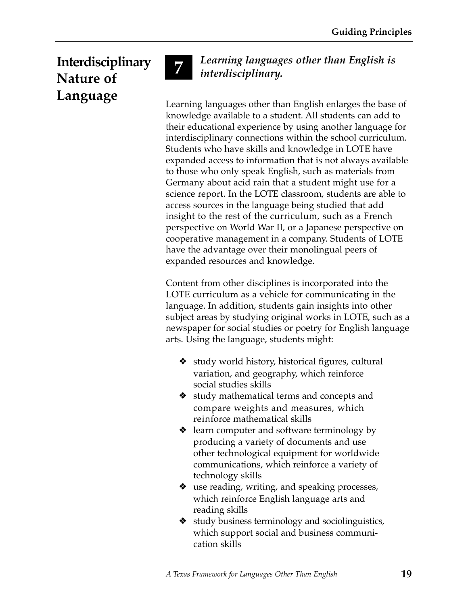## **7 Interdisciplinary Nature of Language**

#### *Learning languages other than English is interdisciplinary.*

Learning languages other than English enlarges the base of knowledge available to a student. All students can add to their educational experience by using another language for interdisciplinary connections within the school curriculum. Students who have skills and knowledge in LOTE have expanded access to information that is not always available to those who only speak English, such as materials from Germany about acid rain that a student might use for a science report. In the LOTE classroom, students are able to access sources in the language being studied that add insight to the rest of the curriculum, such as a French perspective on World War II, or a Japanese perspective on cooperative management in a company. Students of LOTE have the advantage over their monolingual peers of expanded resources and knowledge.

Content from other disciplines is incorporated into the LOTE curriculum as a vehicle for communicating in the language. In addition, students gain insights into other subject areas by studying original works in LOTE, such as a newspaper for social studies or poetry for English language arts. Using the language, students might:

- ❖ study world history, historical figures, cultural variation, and geography, which reinforce social studies skills
- ❖ study mathematical terms and concepts and compare weights and measures, which reinforce mathematical skills
- ❖ learn computer and software terminology by producing a variety of documents and use other technological equipment for worldwide communications, which reinforce a variety of technology skills
- ❖ use reading, writing, and speaking processes, which reinforce English language arts and reading skills
- ❖ study business terminology and sociolinguistics, which support social and business communication skills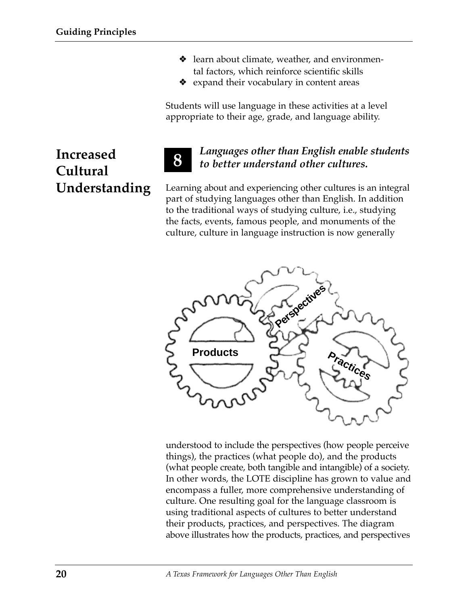- ❖ learn about climate, weather, and environmental factors, which reinforce scientific skills
- ❖ expand their vocabulary in content areas

Students will use language in these activities at a level appropriate to their age, grade, and language ability.

## **8 Increased Cultural Understanding**



#### *Languages other than English enable students to better understand other cultures.*

Learning about and experiencing other cultures is an integral part of studying languages other than English. In addition to the traditional ways of studying culture, i.e., studying the facts, events, famous people, and monuments of the culture, culture in language instruction is now generally



understood to include the perspectives (how people perceive things), the practices (what people do), and the products (what people create, both tangible and intangible) of a society. In other words, the LOTE discipline has grown to value and encompass a fuller, more comprehensive understanding of culture. One resulting goal for the language classroom is using traditional aspects of cultures to better understand their products, practices, and perspectives. The diagram above illustrates how the products, practices, and perspectives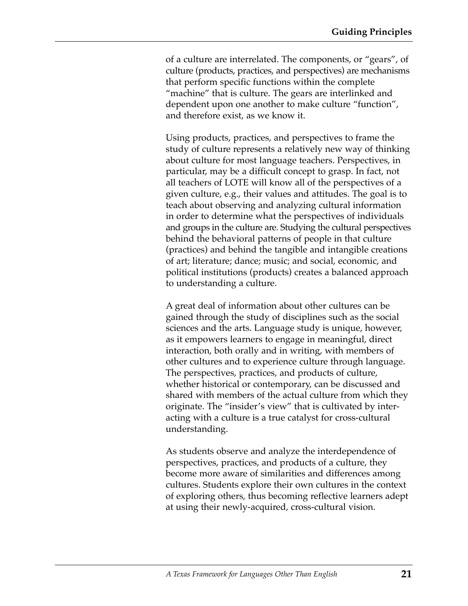of a culture are interrelated. The components, or "gears", of culture (products, practices, and perspectives) are mechanisms that perform specific functions within the complete "machine" that is culture. The gears are interlinked and dependent upon one another to make culture "function", and therefore exist, as we know it.

Using products, practices, and perspectives to frame the study of culture represents a relatively new way of thinking about culture for most language teachers. Perspectives, in particular, may be a difficult concept to grasp. In fact, not all teachers of LOTE will know all of the perspectives of a given culture, e.g., their values and attitudes. The goal is to teach about observing and analyzing cultural information in order to determine what the perspectives of individuals and groups in the culture are. Studying the cultural perspectives behind the behavioral patterns of people in that culture (practices) and behind the tangible and intangible creations of art; literature; dance; music; and social, economic, and political institutions (products) creates a balanced approach to understanding a culture.

A great deal of information about other cultures can be gained through the study of disciplines such as the social sciences and the arts. Language study is unique, however, as it empowers learners to engage in meaningful, direct interaction, both orally and in writing, with members of other cultures and to experience culture through language. The perspectives, practices, and products of culture, whether historical or contemporary, can be discussed and shared with members of the actual culture from which they originate. The "insider's view" that is cultivated by interacting with a culture is a true catalyst for cross-cultural understanding.

As students observe and analyze the interdependence of perspectives, practices, and products of a culture, they become more aware of similarities and differences among cultures. Students explore their own cultures in the context of exploring others, thus becoming reflective learners adept at using their newly-acquired, cross-cultural vision.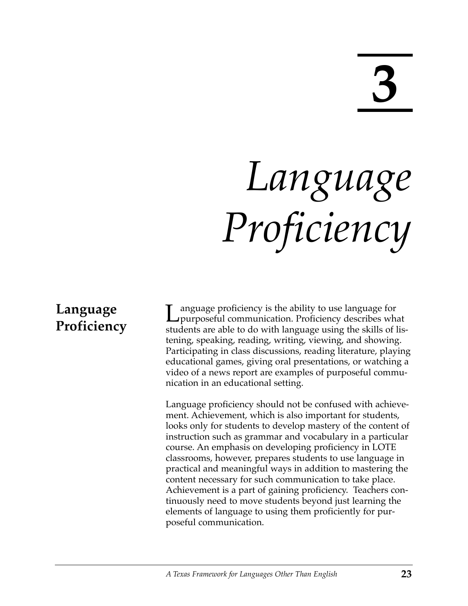**3**

# *Language Proficiency*

### **Language Proficiency**

I anguage proficiency is the ability to use language for<br>purposeful communication. Proficiency describes what students are able to do with language using the skills of listening, speaking, reading, writing, viewing, and showing. Participating in class discussions, reading literature, playing educational games, giving oral presentations, or watching a video of a news report are examples of purposeful communication in an educational setting.

Language proficiency should not be confused with achievement. Achievement, which is also important for students, looks only for students to develop mastery of the content of instruction such as grammar and vocabulary in a particular course. An emphasis on developing proficiency in LOTE classrooms, however, prepares students to use language in practical and meaningful ways in addition to mastering the content necessary for such communication to take place. Achievement is a part of gaining proficiency. Teachers continuously need to move students beyond just learning the elements of language to using them proficiently for purposeful communication.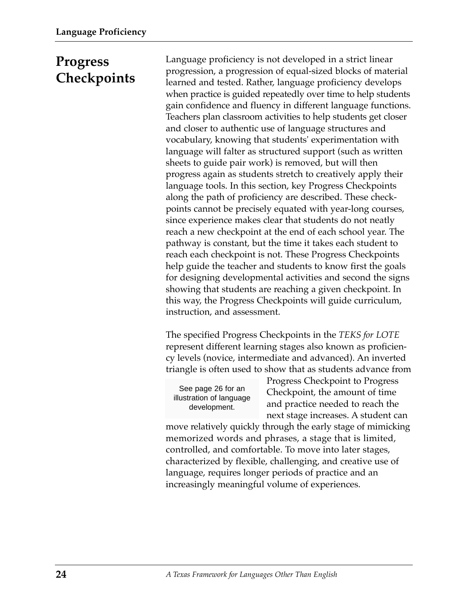## **Progress Checkpoints**

Language proficiency is not developed in a strict linear progression, a progression of equal-sized blocks of material learned and tested. Rather, language proficiency develops when practice is guided repeatedly over time to help students gain confidence and fluency in different language functions. Teachers plan classroom activities to help students get closer and closer to authentic use of language structures and vocabulary, knowing that students' experimentation with language will falter as structured support (such as written sheets to guide pair work) is removed, but will then progress again as students stretch to creatively apply their language tools. In this section, key Progress Checkpoints along the path of proficiency are described. These checkpoints cannot be precisely equated with year-long courses, since experience makes clear that students do not neatly reach a new checkpoint at the end of each school year. The pathway is constant, but the time it takes each student to reach each checkpoint is not. These Progress Checkpoints help guide the teacher and students to know first the goals for designing developmental activities and second the signs showing that students are reaching a given checkpoint. In this way, the Progress Checkpoints will guide curriculum, instruction, and assessment.

The specified Progress Checkpoints in the *TEKS for LOTE* represent different learning stages also known as proficiency levels (novice, intermediate and advanced). An inverted triangle is often used to show that as students advance from

See page 26 for an illustration of language development.

Progress Checkpoint to Progress Checkpoint, the amount of time and practice needed to reach the next stage increases. A student can

move relatively quickly through the early stage of mimicking memorized words and phrases, a stage that is limited, controlled, and comfortable. To move into later stages, characterized by flexible, challenging, and creative use of language, requires longer periods of practice and an increasingly meaningful volume of experiences.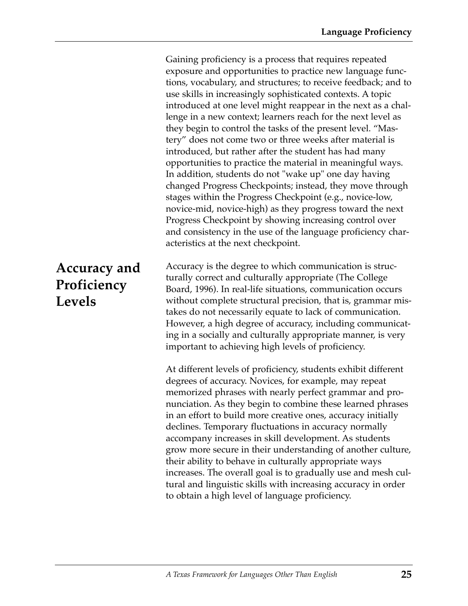Gaining proficiency is a process that requires repeated exposure and opportunities to practice new language functions, vocabulary, and structures; to receive feedback; and to use skills in increasingly sophisticated contexts. A topic introduced at one level might reappear in the next as a challenge in a new context; learners reach for the next level as they begin to control the tasks of the present level. "Mastery" does not come two or three weeks after material is introduced, but rather after the student has had many opportunities to practice the material in meaningful ways. In addition, students do not "wake up" one day having changed Progress Checkpoints; instead, they move through stages within the Progress Checkpoint (e.g., novice-low, novice-mid, novice-high) as they progress toward the next Progress Checkpoint by showing increasing control over and consistency in the use of the language proficiency characteristics at the next checkpoint.

Accuracy is the degree to which communication is structurally correct and culturally appropriate (The College Board, 1996). In real-life situations, communication occurs without complete structural precision, that is, grammar mistakes do not necessarily equate to lack of communication. However, a high degree of accuracy, including communicating in a socially and culturally appropriate manner, is very important to achieving high levels of proficiency.

> At different levels of proficiency, students exhibit different degrees of accuracy. Novices, for example, may repeat memorized phrases with nearly perfect grammar and pronunciation. As they begin to combine these learned phrases in an effort to build more creative ones, accuracy initially declines. Temporary fluctuations in accuracy normally accompany increases in skill development. As students grow more secure in their understanding of another culture, their ability to behave in culturally appropriate ways increases. The overall goal is to gradually use and mesh cultural and linguistic skills with increasing accuracy in order to obtain a high level of language proficiency.

## **Accuracy and Proficiency Levels**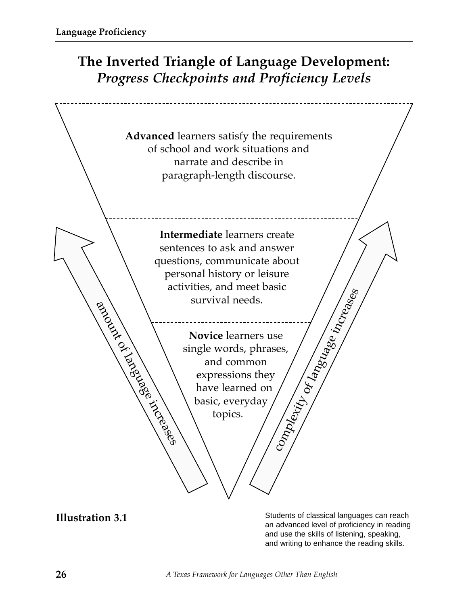## **The Inverted Triangle of Language Development:** *Progress Checkpoints and Proficiency Levels*



**Illustration 3.1**

Students of classical languages can reach an advanced level of proficiency in reading and use the skills of listening, speaking, and writing to enhance the reading skills.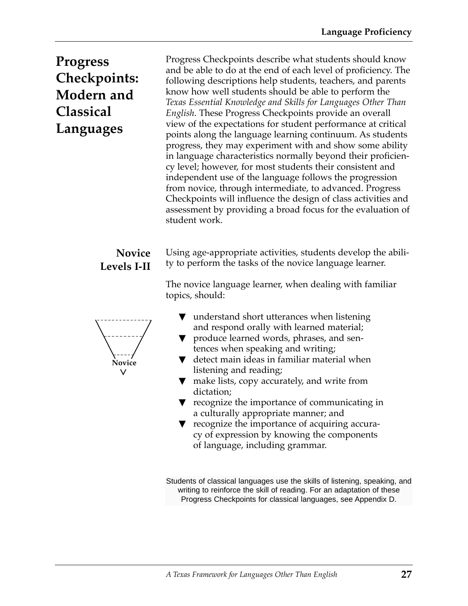# **Progress Checkpoints: Modern and Classical Languages**

**Novice Levels I-II**



Progress Checkpoints describe what students should know and be able to do at the end of each level of proficiency. The following descriptions help students, teachers, and parents know how well students should be able to perform the *Texas Essential Knowledge and Skills for Languages Other Than English*. These Progress Checkpoints provide an overall view of the expectations for student performance at critical points along the language learning continuum. As students progress, they may experiment with and show some ability in language characteristics normally beyond their proficiency level; however, for most students their consistent and independent use of the language follows the progression from novice, through intermediate, to advanced. Progress Checkpoints will influence the design of class activities and assessment by providing a broad focus for the evaluation of student work.

Using age-appropriate activities, students develop the ability to perform the tasks of the novice language learner.

The novice language learner, when dealing with familiar topics, should:

- ▼ understand short utterances when listening and respond orally with learned material;
- ▼ produce learned words, phrases, and sentences when speaking and writing;
- $\blacktriangledown$  detect main ideas in familiar material when listening and reading;
- $\blacktriangledown$  make lists, copy accurately, and write from dictation;
- ▼ recognize the importance of communicating in a culturally appropriate manner; and
- ▼ recognize the importance of acquiring accuracy of expression by knowing the components of language, including grammar.

Students of classical languages use the skills of listening, speaking, and writing to reinforce the skill of reading. For an adaptation of these Progress Checkpoints for classical languages, see Appendix D.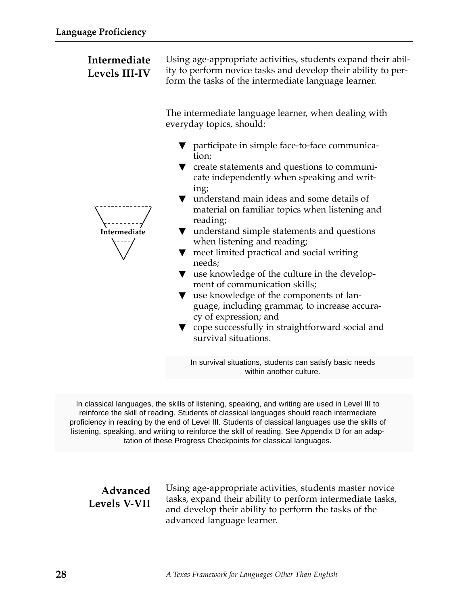| Intermediate<br>Levels III-IV | Using age-appropriate activities, students expand their abil-<br>ity to perform novice tasks and develop their ability to per-<br>form the tasks of the intermediate language learner.                                                                                                                                                                                                                                                                                                                                                                                                                                                                                                                                                                                                               |  |
|-------------------------------|------------------------------------------------------------------------------------------------------------------------------------------------------------------------------------------------------------------------------------------------------------------------------------------------------------------------------------------------------------------------------------------------------------------------------------------------------------------------------------------------------------------------------------------------------------------------------------------------------------------------------------------------------------------------------------------------------------------------------------------------------------------------------------------------------|--|
|                               | The intermediate language learner, when dealing with<br>everyday topics, should:                                                                                                                                                                                                                                                                                                                                                                                                                                                                                                                                                                                                                                                                                                                     |  |
| Intermediate                  | $\blacktriangledown$ participate in simple face-to-face communica-<br>tion;<br>create statements and questions to communi-<br>cate independently when speaking and writ-<br>ing;<br>understand main ideas and some details of<br>material on familiar topics when listening and<br>reading;<br>$\blacktriangledown$ understand simple statements and questions<br>when listening and reading;<br>meet limited practical and social writing<br>needs;<br>$\blacktriangledown$ use knowledge of the culture in the develop-<br>ment of communication skills;<br>$\blacktriangledown$ use knowledge of the components of lan-<br>guage, including grammar, to increase accura-<br>cy of expression; and<br>$\blacktriangledown$ cope successfully in straightforward social and<br>survival situations. |  |
|                               | In survival situations, students can satisfy basic needs<br>within another culture.                                                                                                                                                                                                                                                                                                                                                                                                                                                                                                                                                                                                                                                                                                                  |  |

In classical languages, the skills of listening, speaking, and writing are used in Level III to reinforce the skill of reading. Students of classical languages should reach intermediate proficiency in reading by the end of Level III. Students of classical languages use the skills of listening, speaking, and writing to reinforce the skill of reading. See Appendix D for an adaptation of these Progress Checkpoints for classical languages.

**Advanced Levels V-VII**

Using age-appropriate activities, students master novice tasks, expand their ability to perform intermediate tasks, and develop their ability to perform the tasks of the advanced language learner.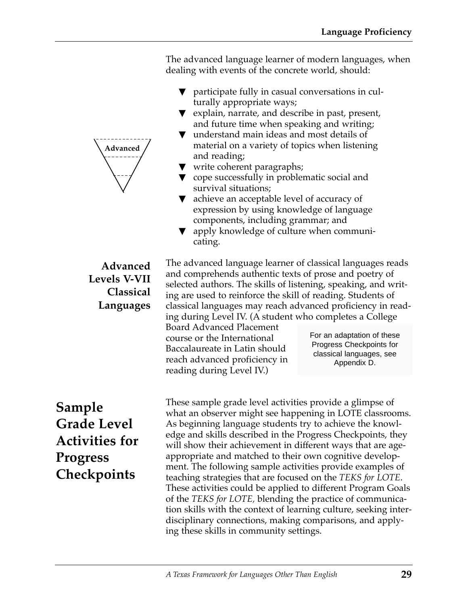The advanced language learner of modern languages, when dealing with events of the concrete world, should:

- $\blacktriangledown$  participate fully in casual conversations in culturally appropriate ways;
- ▼ explain, narrate, and describe in past, present, and future time when speaking and writing;
- ▼ understand main ideas and most details of material on a variety of topics when listening and reading;
- ▼ write coherent paragraphs;
- ▼ cope successfully in problematic social and survival situations;
- ▼ achieve an acceptable level of accuracy of expression by using knowledge of language components, including grammar; and
- ▼ apply knowledge of culture when communicating.

The advanced language learner of classical languages reads and comprehends authentic texts of prose and poetry of selected authors. The skills of listening, speaking, and writing are used to reinforce the skill of reading. Students of classical languages may reach advanced proficiency in reading during Level IV. (A student who completes a College

Board Advanced Placement course or the International Baccalaureate in Latin should reach advanced proficiency in reading during Level IV.)

For an adaptation of these Progress Checkpoints for classical languages, see Appendix D.

**Sample Grade Level Activities for Progress Checkpoints**

These sample grade level activities provide a glimpse of what an observer might see happening in LOTE classrooms. As beginning language students try to achieve the knowledge and skills described in the Progress Checkpoints, they will show their achievement in different ways that are ageappropriate and matched to their own cognitive development. The following sample activities provide examples of teaching strategies that are focused on the *TEKS for LOTE*. These activities could be applied to different Program Goals of the *TEKS for LOTE,* blending the practice of communication skills with the context of learning culture, seeking interdisciplinary connections, making comparisons, and applying these skills in community settings.



**Advanced Levels V-VII Classical Languages**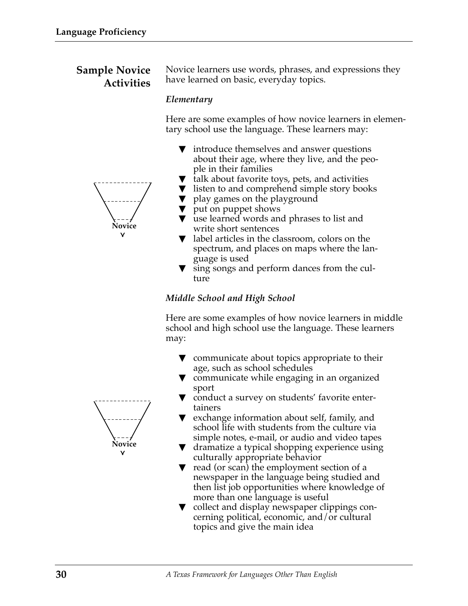#### **Sample Novice Activities**

Novice learners use words, phrases, and expressions they have learned on basic, everyday topics.

#### *Elementary*

Here are some examples of how novice learners in elementary school use the language. These learners may:

- ▼ introduce themselves and answer questions about their age, where they live, and the people in their families
- $\blacktriangledown$  talk about favorite toys, pets, and activities
- ▼ listen to and comprehend simple story books
- $\blacktriangledown$  play games on the playground
- put on puppet shows
- ▼ use learned words and phrases to list and write short sentences
- ▼ label articles in the classroom, colors on the spectrum, and places on maps where the language is used
- sing songs and perform dances from the culture

#### *Middle School and High School*

Here are some examples of how novice learners in middle school and high school use the language. These learners may:

- $\blacktriangledown$  communicate about topics appropriate to their age, such as school schedules
- ▼ communicate while engaging in an organized sport
- ▼ conduct a survey on students' favorite entertainers
- ▼ exchange information about self, family, and school life with students from the culture via simple notes, e-mail, or audio and video tapes
- ▼ dramatize a typical shopping experience using culturally appropriate behavior
- $\blacktriangledown$  read (or scan) the employment section of a newspaper in the language being studied and then list job opportunities where knowledge of more than one language is useful
- ▼ collect and display newspaper clippings concerning political, economic, and/or cultural topics and give the main idea



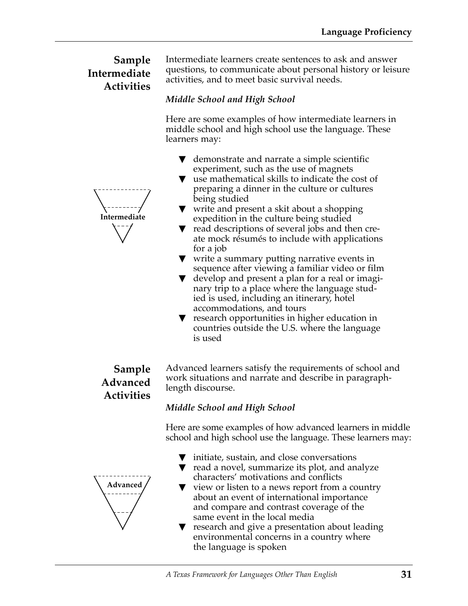# **Sample Intermediate Activities**

Intermediate learners create sentences to ask and answer questions, to communicate about personal history or leisure activities, and to meet basic survival needs.

#### *Middle School and High School*

Here are some examples of how intermediate learners in middle school and high school use the language. These learners may:

- $\blacktriangledown$  demonstrate and narrate a simple scientific experiment, such as the use of magnets
- $\blacktriangledown$  use mathematical skills to indicate the cost of preparing a dinner in the culture or cultures being studied
- ▼ write and present a skit about a shopping expedition in the culture being studied
- ▼ read descriptions of several jobs and then create mock résumés to include with applications for a job
- ▼ write a summary putting narrative events in sequence after viewing a familiar video or film
- ▼ develop and present a plan for a real or imaginary trip to a place where the language studied is used, including an itinerary, hotel accommodations, and tours
- research opportunities in higher education in countries outside the U.S. where the language is used

**Sample Advanced Activities**

**Advanced**

Advanced learners satisfy the requirements of school and work situations and narrate and describe in paragraphlength discourse.

#### *Middle School and High School*

Here are some examples of how advanced learners in middle school and high school use the language. These learners may:

- $\nabla$  initiate, sustain, and close conversations
- ▼ read a novel, summarize its plot, and analyze characters' motivations and conflicts
- ▼ view or listen to a news report from a country about an event of international importance and compare and contrast coverage of the same event in the local media
- research and give a presentation about leading environmental concerns in a country where the language is spoken

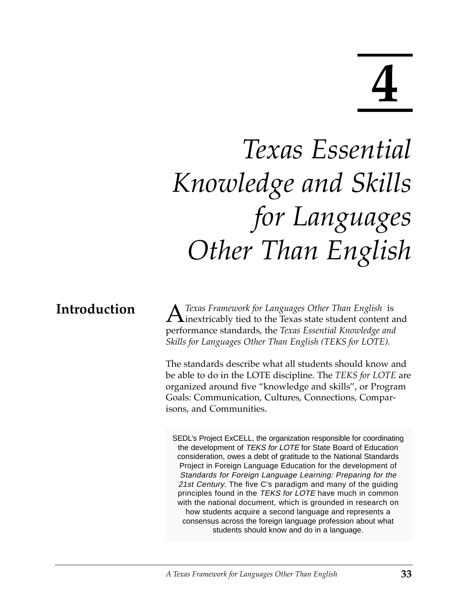# **4**

# *Texas Essential Knowledge and Skills for Languages Other Than English*

# **Introduction**

*A Texas Framework for Languages Other Than English* is<br>inextricably tied to the Texas state student content and performance standards, the *Texas Essential Knowledge and Skills for Languages Other Than English (TEKS for LOTE).*

The standards describe what all students should know and be able to do in the LOTE discipline. The *TEKS for LOTE* are organized around five "knowledge and skills", or Program Goals: Communication, Cultures, Connections, Comparisons, and Communities.

SEDL's Project ExCELL, the organization responsible for coordinating the development of TEKS for LOTE for State Board of Education consideration, owes a debt of gratitude to the National Standards Project in Foreign Language Education for the development of Standards for Foreign Language Learning: Preparing for the 21st Century. The five C's paradigm and many of the guiding principles found in the TEKS for LOTE have much in common with the national document, which is grounded in research on how students acquire a second language and represents a consensus across the foreign language profession about what students should know and do in a language.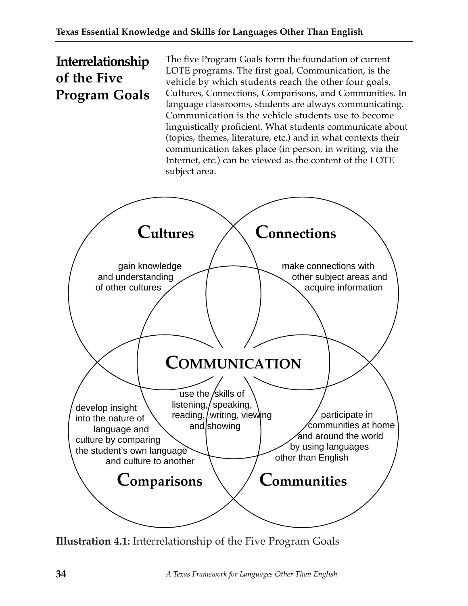# **Interrelationship of the Five Program Goals**

The five Program Goals form the foundation of current LOTE programs. The first goal, Communication, is the vehicle by which students reach the other four goals, Cultures, Connections, Comparisons, and Communities. In language classrooms, students are always communicating. Communication is the vehicle students use to become linguistically proficient. What students communicate about (topics, themes, literature, etc.) and in what contexts their communication takes place (in person, in writing, via the Internet, etc.) can be viewed as the content of the LOTE subject area.



**Illustration 4.1:** Interrelationship of the Five Program Goals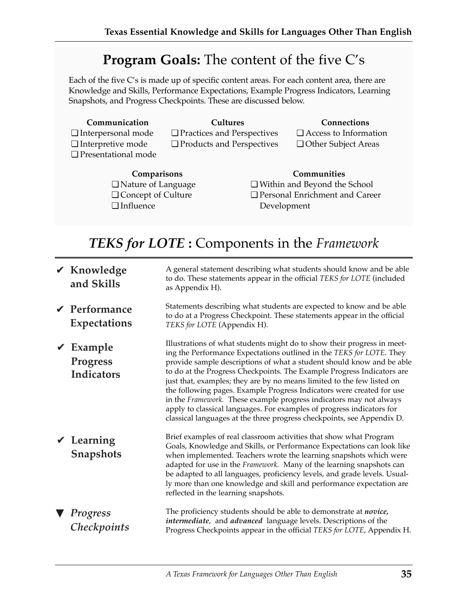# **Program Goals:** The content of the five C's

Each of the five C's is made up of specific content areas. For each content area, there are Knowledge and Skills, Performance Expectations, Example Progress Indicators, Learning Snapshots, and Progress Checkpoints. These are discussed below.

| Communication<br>Interpersonal mode<br>$\Box$ Interpretive mode<br><b>Presentational mode</b> | $\Box$ Practices and Perspectives<br>$\Box$ Products and Perspectives | Cultures    | Connections<br>$\Box$ Access to Information<br>$\Box$ Other Subject Areas |
|-----------------------------------------------------------------------------------------------|-----------------------------------------------------------------------|-------------|---------------------------------------------------------------------------|
| Comparisons                                                                                   |                                                                       |             | Communities                                                               |
| $\Box$ Nature of Language                                                                     |                                                                       |             | $\Box$ Within and Beyond the School                                       |
| □ Concept of Culture                                                                          |                                                                       |             | <b>Q</b> Personal Enrichment and Career                                   |
| $\Box$ Influence                                                                              |                                                                       | Development |                                                                           |

# *TEKS for LOTE* **:** Components in the *Framework*

Development

| $\boldsymbol{\checkmark}$ Knowledge<br>and Skills                  | A general statement describing what students should know and be able<br>to do. These statements appear in the official TEKS for LOTE (included<br>as Appendix H).                                                                                                                                                                                                                                                                                                                                                                                                                                                                                                              |
|--------------------------------------------------------------------|--------------------------------------------------------------------------------------------------------------------------------------------------------------------------------------------------------------------------------------------------------------------------------------------------------------------------------------------------------------------------------------------------------------------------------------------------------------------------------------------------------------------------------------------------------------------------------------------------------------------------------------------------------------------------------|
| $\mathcal V$ Performance<br><b>Expectations</b>                    | Statements describing what students are expected to know and be able<br>to do at a Progress Checkpoint. These statements appear in the official<br>TEKS for LOTE (Appendix H).                                                                                                                                                                                                                                                                                                                                                                                                                                                                                                 |
| $\boldsymbol{\nu}$ Example<br><b>Progress</b><br><b>Indicators</b> | Illustrations of what students might do to show their progress in meet-<br>ing the Performance Expectations outlined in the TEKS for LOTE. They<br>provide sample descriptions of what a student should know and be able<br>to do at the Progress Checkpoints. The Example Progress Indicators are<br>just that, examples; they are by no means limited to the few listed on<br>the following pages. Example Progress Indicators were created for use<br>in the Framework. These example progress indicators may not always<br>apply to classical languages. For examples of progress indicators for<br>classical languages at the three progress checkpoints, see Appendix D. |
| $\boldsymbol{\nu}$ Learning<br><b>Snapshots</b>                    | Brief examples of real classroom activities that show what Program<br>Goals, Knowledge and Skills, or Performance Expectations can look like<br>when implemented. Teachers wrote the learning snapshots which were<br>adapted for use in the <i>Framework</i> . Many of the learning snapshots can<br>be adapted to all languages, proficiency levels, and grade levels. Usual-<br>ly more than one knowledge and skill and performance expectation are<br>reflected in the learning snapshots.                                                                                                                                                                                |
| ▼ Progress<br>Checkpoints                                          | The proficiency students should be able to demonstrate at <i>novice</i> ,<br>intermediate, and advanced language levels. Descriptions of the<br>Progress Checkpoints appear in the official TEKS for LOTE, Appendix H.                                                                                                                                                                                                                                                                                                                                                                                                                                                         |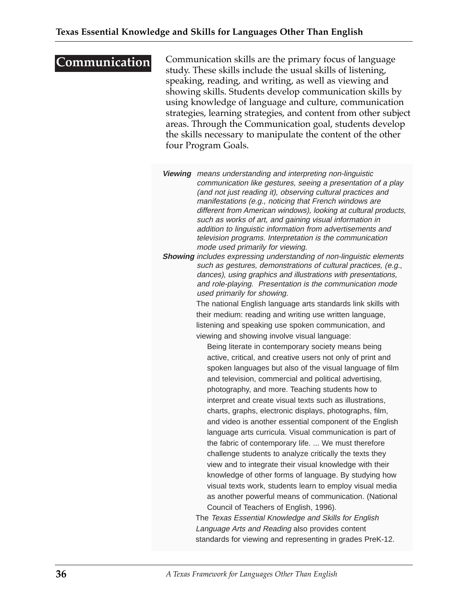# **Communication**

Communication skills are the primary focus of language study. These skills include the usual skills of listening, speaking, reading, and writing, as well as viewing and showing skills. Students develop communication skills by using knowledge of language and culture, communication strategies, learning strategies, and content from other subject areas. Through the Communication goal, students develop the skills necessary to manipulate the content of the other four Program Goals.

**Viewing** means understanding and interpreting non-linguistic communication like gestures, seeing a presentation of a play (and not just reading it), observing cultural practices and manifestations (e.g., noticing that French windows are different from American windows), looking at cultural products, such as works of art, and gaining visual information in addition to linguistic information from advertisements and television programs. Interpretation is the communication mode used primarily for viewing.

**Showing** includes expressing understanding of non-linguistic elements such as gestures, demonstrations of cultural practices, (e.g., dances), using graphics and illustrations with presentations, and role-playing. Presentation is the communication mode used primarily for showing.

> The national English language arts standards link skills with their medium: reading and writing use written language, listening and speaking use spoken communication, and viewing and showing involve visual language:

Being literate in contemporary society means being active, critical, and creative users not only of print and spoken languages but also of the visual language of film and television, commercial and political advertising, photography, and more. Teaching students how to interpret and create visual texts such as illustrations, charts, graphs, electronic displays, photographs, film, and video is another essential component of the English language arts curricula. Visual communication is part of the fabric of contemporary life. ... We must therefore challenge students to analyze critically the texts they view and to integrate their visual knowledge with their knowledge of other forms of language. By studying how visual texts work, students learn to employ visual media as another powerful means of communication. (National Council of Teachers of English, 1996).

The Texas Essential Knowledge and Skills for English Language Arts and Reading also provides content standards for viewing and representing in grades PreK-12.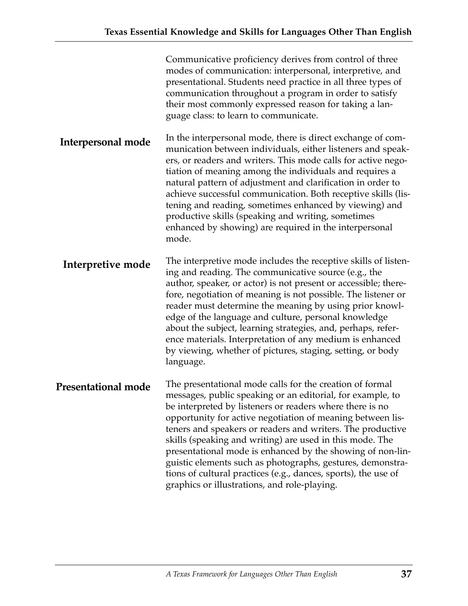|                     | Communicative proficiency derives from control of three<br>modes of communication: interpersonal, interpretive, and<br>presentational. Students need practice in all three types of<br>communication throughout a program in order to satisfy<br>their most commonly expressed reason for taking a lan-<br>guage class: to learn to communicate.                                                                                                                                                                                                                                                                         |
|---------------------|--------------------------------------------------------------------------------------------------------------------------------------------------------------------------------------------------------------------------------------------------------------------------------------------------------------------------------------------------------------------------------------------------------------------------------------------------------------------------------------------------------------------------------------------------------------------------------------------------------------------------|
| Interpersonal mode  | In the interpersonal mode, there is direct exchange of com-<br>munication between individuals, either listeners and speak-<br>ers, or readers and writers. This mode calls for active nego-<br>tiation of meaning among the individuals and requires a<br>natural pattern of adjustment and clarification in order to<br>achieve successful communication. Both receptive skills (lis-<br>tening and reading, sometimes enhanced by viewing) and<br>productive skills (speaking and writing, sometimes<br>enhanced by showing) are required in the interpersonal<br>mode.                                                |
| Interpretive mode   | The interpretive mode includes the receptive skills of listen-<br>ing and reading. The communicative source (e.g., the<br>author, speaker, or actor) is not present or accessible; there-<br>fore, negotiation of meaning is not possible. The listener or<br>reader must determine the meaning by using prior knowl-<br>edge of the language and culture, personal knowledge<br>about the subject, learning strategies, and, perhaps, refer-<br>ence materials. Interpretation of any medium is enhanced<br>by viewing, whether of pictures, staging, setting, or body<br>language.                                     |
| Presentational mode | The presentational mode calls for the creation of formal<br>messages, public speaking or an editorial, for example, to<br>be interpreted by listeners or readers where there is no<br>opportunity for active negotiation of meaning between lis-<br>teners and speakers or readers and writers. The productive<br>skills (speaking and writing) are used in this mode. The<br>presentational mode is enhanced by the showing of non-lin-<br>guistic elements such as photographs, gestures, demonstra-<br>tions of cultural practices (e.g., dances, sports), the use of<br>graphics or illustrations, and role-playing. |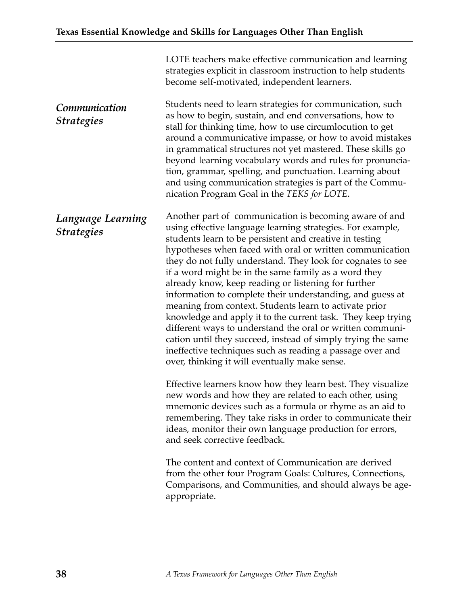|                                        | LOTE teachers make effective communication and learning<br>strategies explicit in classroom instruction to help students<br>become self-motivated, independent learners.                                                                                                                                                                                                                                                                                                                                                                                                                                                                                                                                                                                                                                                                                    |
|----------------------------------------|-------------------------------------------------------------------------------------------------------------------------------------------------------------------------------------------------------------------------------------------------------------------------------------------------------------------------------------------------------------------------------------------------------------------------------------------------------------------------------------------------------------------------------------------------------------------------------------------------------------------------------------------------------------------------------------------------------------------------------------------------------------------------------------------------------------------------------------------------------------|
| Communication<br><b>Strategies</b>     | Students need to learn strategies for communication, such<br>as how to begin, sustain, and end conversations, how to<br>stall for thinking time, how to use circumlocution to get<br>around a communicative impasse, or how to avoid mistakes<br>in grammatical structures not yet mastered. These skills go<br>beyond learning vocabulary words and rules for pronuncia-<br>tion, grammar, spelling, and punctuation. Learning about<br>and using communication strategies is part of the Commu-<br>nication Program Goal in the TEKS for LOTE.                                                                                                                                                                                                                                                                                                            |
| Language Learning<br><b>Strategies</b> | Another part of communication is becoming aware of and<br>using effective language learning strategies. For example,<br>students learn to be persistent and creative in testing<br>hypotheses when faced with oral or written communication<br>they do not fully understand. They look for cognates to see<br>if a word might be in the same family as a word they<br>already know, keep reading or listening for further<br>information to complete their understanding, and guess at<br>meaning from context. Students learn to activate prior<br>knowledge and apply it to the current task. They keep trying<br>different ways to understand the oral or written communi-<br>cation until they succeed, instead of simply trying the same<br>ineffective techniques such as reading a passage over and<br>over, thinking it will eventually make sense. |
|                                        | Effective learners know how they learn best. They visualize<br>new words and how they are related to each other, using<br>mnemonic devices such as a formula or rhyme as an aid to<br>remembering. They take risks in order to communicate their<br>ideas, monitor their own language production for errors,<br>and seek corrective feedback.                                                                                                                                                                                                                                                                                                                                                                                                                                                                                                               |
|                                        | The content and context of Communication are derived<br>from the other four Program Goals: Cultures, Connections,<br>Comparisons, and Communities, and should always be age-<br>appropriate.                                                                                                                                                                                                                                                                                                                                                                                                                                                                                                                                                                                                                                                                |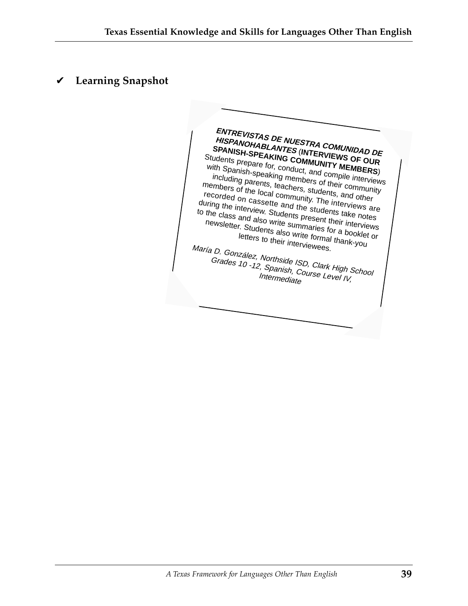# ✔ **Learning Snapshot**

**ENTREVISTAS DE NUESTRA COMUNIDAD DE HISPANOHABLANTES** (**INTERVIEWS OF OUR SPANISH-SPEAKING COMMUNITY MEMBERS**) Students prepare for With Spanish-speaking members of their community , conduct, and compile interviews<br>ing members of their unterviews including parents, teachers, students, and other members of the local community. The interviews are recorded on cassette and the students take notes during the interview to the class and also write summaries for a booklet or . Students present their interviews<br>a write summaries for a interviews newsletter. Students also write formal thank-you letters to their interviewees. María D. González, Northside ISD, Clark High School<br>Grades 10 -12, Spanish, Course Level IV,<br>Intermediate Grades 10 -12, Northside ISD, Clark High S<br>Intermediate Level IV, Intermediate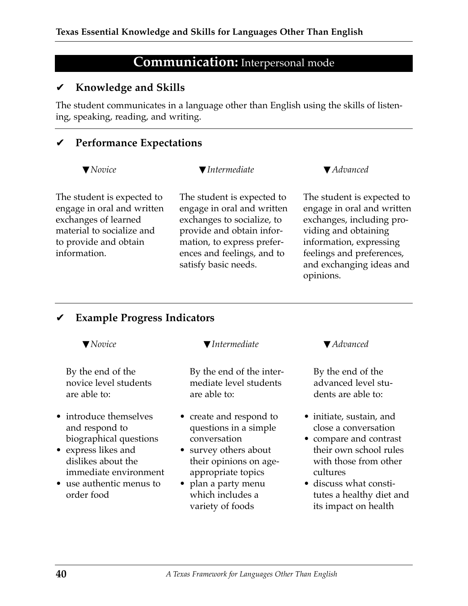# **Communication:** Interpersonal mode

#### ✔ **Knowledge and Skills**

The student communicates in a language other than English using the skills of listening, speaking, reading, and writing.

#### ✔ **Performance Expectations**

▼*Novice*

▼*Intermediate*

The student is expected to engage in oral and written exchanges of learned material to socialize and to provide and obtain information.

The student is expected to engage in oral and written exchanges to socialize, to provide and obtain information, to express preferences and feelings, and to satisfy basic needs.

▼*Advanced*

The student is expected to engage in oral and written exchanges, including providing and obtaining information, expressing feelings and preferences, and exchanging ideas and opinions.

# ✔ **Example Progress Indicators**

▼*Novice*

By the end of the novice level students are able to:

- introduce themselves and respond to biographical questions
- express likes and dislikes about the immediate environment
- use authentic menus to order food

▼*Intermediate*

By the end of the intermediate level students are able to:

- create and respond to questions in a simple conversation
- survey others about their opinions on ageappropriate topics
- plan a party menu which includes a variety of foods

▼*Advanced*

- initiate, sustain, and close a conversation
- compare and contrast their own school rules with those from other cultures
- discuss what constitutes a healthy diet and its impact on health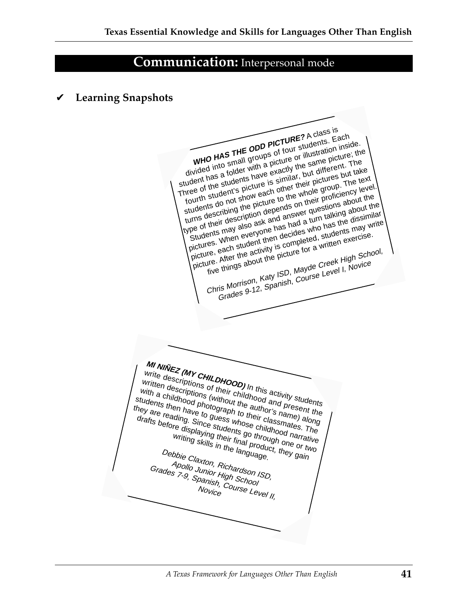# **Communication:** Interpersonal mode

#### ✔ **Learning Snapshots**

**WHO HAS THE ODD PICTURE?** <sup>A</sup> class is divided into small groups of four students. Each student has a folder with a picture or illustration inside. Student has a juice with a picture of independent the same picture; the fourth student's picture is similar, but different. The students do not show each other their pictures but take stuturities and the picture to the whole group. The text type of their description depends on their proficiency level.<br>
turns used in the protocon their proficiency level.<br>
type of their description depends on their proficiency level.<br>
type of their description depends on their Students may also ask and answer questions about the Students may also ask and answer questions about the pictures. When everyone has had a turn talking about the pictures. When everyone has have a turn taining about the<br>pictures, when then decides who has the dissimilar e of their uses also ask after has had a turn has the the activity students may write<br>ictures. When everyone has decides who has the may write<br>ictures. When exercise.<br>icture, each student the picture for a written exercise Chris Morrison, Katy ISD, Mayde Creek High School, Grades 9-12, Spanish, Course Level I, Novice **MI NIÑEZ (MY CHILDHOOD)** In this activity students Write descriptions of their childhood and present the Written descriptions of their children drive present the with a childhood photograph to their classmates. The students then have to guess whose childhood narrative Suudents are reading. Since students go through one or two students and their students of through one or two drafts before displaying their final product, they gain<br>Writing skills in the language.<br>Debbie Clays Debbie Claxton, Richardson ISD, Apollo Junior High School Grades 7-9, Sunior High School<br>Grades 7-9, Spanish, Chool, School, Spanish, Course Level II,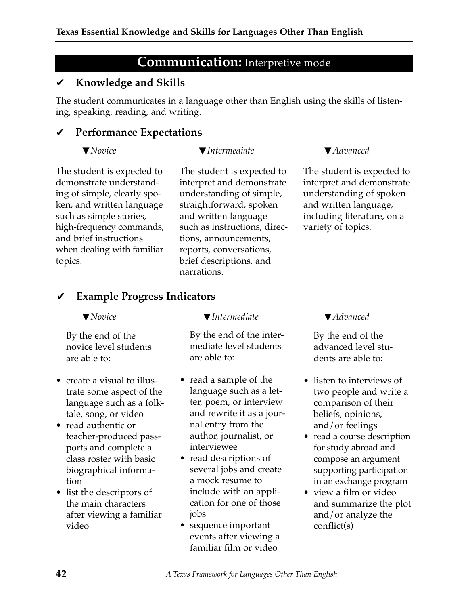# **Communication:** Interpretive mode

#### ✔ **Knowledge and Skills**

The student communicates in a language other than English using the skills of listening, speaking, reading, and writing.

#### ✔ **Performance Expectations**

#### ▼*Novice*

#### ▼*Intermediate*

The student is expected to demonstrate understanding of simple, clearly spoken, and written language such as simple stories, high-frequency commands, and brief instructions when dealing with familiar topics.

The student is expected to interpret and demonstrate understanding of simple, straightforward, spoken and written language such as instructions, directions, announcements, reports, conversations, brief descriptions, and narrations.

#### ▼*Advanced*

The student is expected to interpret and demonstrate understanding of spoken and written language, including literature, on a variety of topics.

#### ✔ **Example Progress Indicators**

#### ▼*Novice*

By the end of the novice level students are able to:

- create a visual to illustrate some aspect of the language such as a folktale, song, or video
- read authentic or teacher-produced passports and complete a class roster with basic biographical information
- list the descriptors of the main characters after viewing a familiar video

#### ▼*Intermediate*

By the end of the intermediate level students are able to:

- read a sample of the language such as a letter, poem, or interview and rewrite it as a journal entry from the author, journalist, or interviewee
- read descriptions of several jobs and create a mock resume to include with an application for one of those jobs
- sequence important events after viewing a familiar film or video

▼*Advanced*

- listen to interviews of two people and write a comparison of their beliefs, opinions, and/or feelings
- read a course description for study abroad and compose an argument supporting participation in an exchange program
- view a film or video and summarize the plot and/or analyze the conflict(s)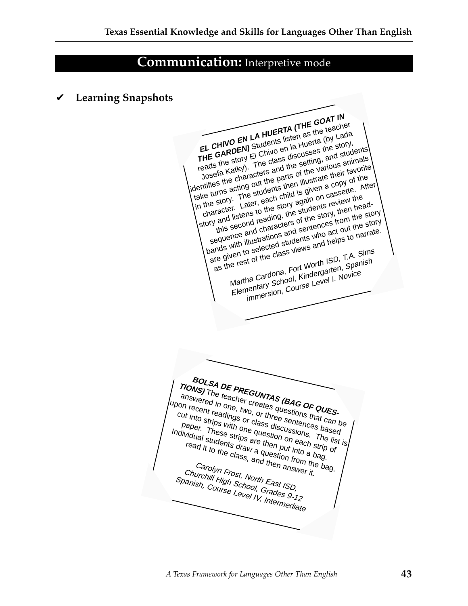# **Communication:** Interpretive mode

✔ **Learning Snapshots BOLSA DE PREGUNTAS (BAG OF QUES-**TIONS) The teacher creates questions that can be answered in one, two, or three sentences based<br>on recent readings or class discussions based<br>cut into strips with one question one. The list is<br>paper. These strips are then put into a based<br>dividual students draw a questio Upon recent readings or class discussions. The list is Cut into strips with one question on each strip of paper. These strips are then put into a bag. Individual students draw a question on each The line of the distribution of the bag,<br>
read it to the class, and then put into a bag,<br>
Carolyn Frost M. Then answer it, Carolyn Frost, North East ISD, Churchill High School, Grades 9-12 Spanish, Course Level IV, Intermediate **EL CHIVO EN LA HUERTA (THE GOAT IN**<br> **EL CHIVO EN LA HUERTA (THE GOAT IN**<br> **EL CARDEN)** Students listen as the teacher<br>
THE GARDEN) Students la Huerta (by Lada<br>
THE GARDEN) Students la Huerta (by Lada<br>
reads the story. Th THE GARDEN) Students listen as the teacher reads the story El Chivo en la Huerta (by Lada EL CHIVO E. THE GARDEN) Students in a Huelia the story,<br>THE GARDEN) El Chivo en la Huelia the story,<br>reads the story. The class discusses the animals<br>losefa Katky). The sand the setting, and students<br>losefa Katky and the p this second reading, the students which the various animals<br>the turns acting out the parts of the various animals<br>take turns acting out the parts of the various animals<br>the story. Later, each child is given a copy of the<br>c in the story. The students then illustrate their favorite the study. The students then must are them layonted the Intifies the students then the story and listens to the story again on cassette. After<br>the story. The students review the story again on cassette. After<br>character. Later, each child is given a review the<br>character and seco sequence and characters of the story, then headbands with illustrations and sentences from the story vanus will illustration and sentences trong act out the story and yiven in acrowed advants with acrowing and solities and helps to narrate. Martha Cardona, Fort Worth ISD, T.A. Sims Elementary School, Kindergarten, Spanish immersion, Course Level I, Novice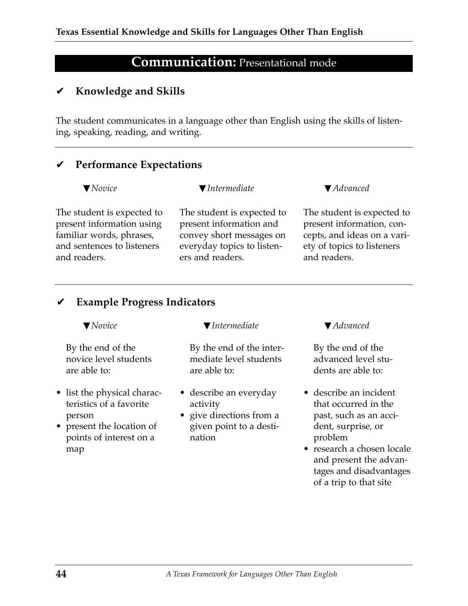# **Communication:** Presentational mode

#### ✔ **Knowledge and Skills**

The student communicates in a language other than English using the skills of listening, speaking, reading, and writing.

#### ✔ **Performance Expectations**

▼*Advanced* ▼*Intermediate* ▼*Novice* The student is expected to present information using familiar words, phrases, and sentences to listeners and readers. The student is expected to present information and convey short messages on everyday topics to listeners and readers. The student is expected to present information, concepts, and ideas on a variety of topics to listeners and readers.

#### ✔ **Example Progress Indicators**

▼*Novice*

By the end of the novice level students are able to:

- list the physical characteristics of a favorite person
- present the location of points of interest on a map

▼*Intermediate*

By the end of the intermediate level students are able to:

- describe an everyday activity
- give directions from a given point to a destination

▼*Advanced*

- describe an incident that occurred in the past, such as an accident, surprise, or problem
- research a chosen locale and present the advantages and disadvantages of a trip to that site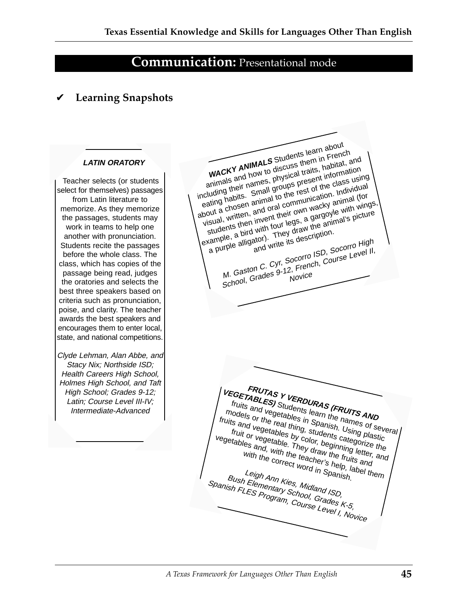# **Communication:** Presentational mode

# ✔ **Learning Snapshots**

#### **LATIN ORATORY**

Teacher selects (or students select for themselves) passages from Latin literature to memorize. As they memorize the passages, students may work in teams to help one another with pronunciation. Students recite the passages before the whole class. The class, which has copies of the passage being read, judges the oratories and selects the best three speakers based on criteria such as pronunciation, poise, and clarity. The teacher awards the best speakers and encourages them to enter local, state, and national competitions.

Clyde Lehman, Alan Abbe, and Stacy Nix; Northside ISD; Health Careers High School, Holmes High School, and Taft High School; Grades 9-12; Latin; Course Level III-IV; Intermediate-Advanced

**FRUTAS Y VERDURAS (FRUITS AND**  VEGETABLES) Students learn the names of several fruits and vegetables in Spanish. Using plastic models or the real thing, students categorize the<br>truit or vegetables by color, beginning letter, and<br>getables and, with they draw the fruits and<br>with the correct word in Spanish<br>them fruits and vegetables by color, beginning letter, and fruit or vegetable. They draw the fruits and<br>stables and, with the teacher the fruits and<br>with the correct word in Spanish.<br>2. Leigh Ann Kies, Midland ISD vegetables and, with the teacher's help, label them<br>
with the correct word in Spanish.<br>
Bush - Bush - Bush - Bush -Bush Elementary School, <sup>Cham</sup>ish.<br>Sh FLES Program, Cchool, Grades K-5,<br>Ann Ales Program, Course Lauru K-5, Spanish FLES Program, Course Level I, Novice **WACK<sup>Y</sup> ANIMALS** Students learn about animals and how to discuss them in French annuals and how to discuss them in Fightat, and annuals and traits, habitat, and www.y their hames, physical trains, habitat, and the motion information. about a chosen animal to the rest of the class using<br>about a chosen animal to the rest of the class using visual, written, and oral communication. Individual students then invent their own wacky animal (for students then invent their own wacky animal (for example, a bird with four legs, a gargoyle with wings, but a committen, and their own agargoyle with sual, written, and with four legs, a gargoyle with picture<br>students then invent four legs, a gargoyle with four legs, a gargoyle with four legs.<br>and write its description. rple alligator).<br>
rple alligator).<br>
and write its desormed ISD, Socorro High<br>
M. Gaston C. Cyr, Socorro ISD, Socorro High<br>
M. Gaston C. Cyr, Socorro ISD, Socorro High<br>
Novice Cythology, Journal Chevel II, U. Cythology, Grades 9-12, French, Course Level II,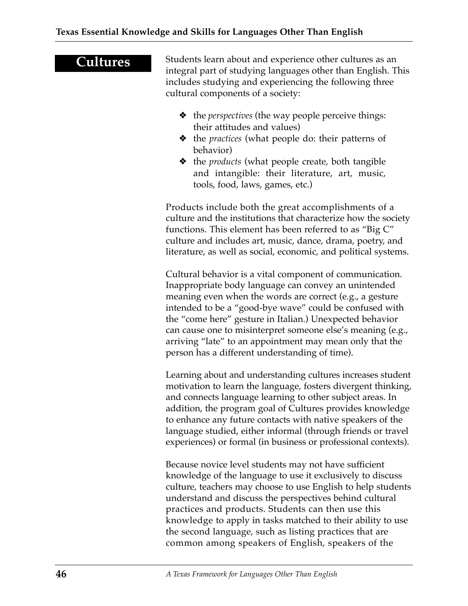# **Cultures**

Students learn about and experience other cultures as an integral part of studying languages other than English. This includes studying and experiencing the following three cultural components of a society:

- ❖ the *perspectives* (the way people perceive things: their attitudes and values)
- ❖ the *practices* (what people do: their patterns of behavior)
- ❖ the *products* (what people create, both tangible and intangible: their literature, art, music, tools, food, laws, games, etc.)

Products include both the great accomplishments of a culture and the institutions that characterize how the society functions. This element has been referred to as "Big C" culture and includes art, music, dance, drama, poetry, and literature, as well as social, economic, and political systems.

Cultural behavior is a vital component of communication. Inappropriate body language can convey an unintended meaning even when the words are correct (e.g., a gesture intended to be a "good-bye wave" could be confused with the "come here" gesture in Italian.) Unexpected behavior can cause one to misinterpret someone else's meaning (e.g., arriving "late" to an appointment may mean only that the person has a different understanding of time).

Learning about and understanding cultures increases student motivation to learn the language, fosters divergent thinking, and connects language learning to other subject areas. In addition, the program goal of Cultures provides knowledge to enhance any future contacts with native speakers of the language studied, either informal (through friends or travel experiences) or formal (in business or professional contexts).

Because novice level students may not have sufficient knowledge of the language to use it exclusively to discuss culture, teachers may choose to use English to help students understand and discuss the perspectives behind cultural practices and products. Students can then use this knowledge to apply in tasks matched to their ability to use the second language, such as listing practices that are common among speakers of English, speakers of the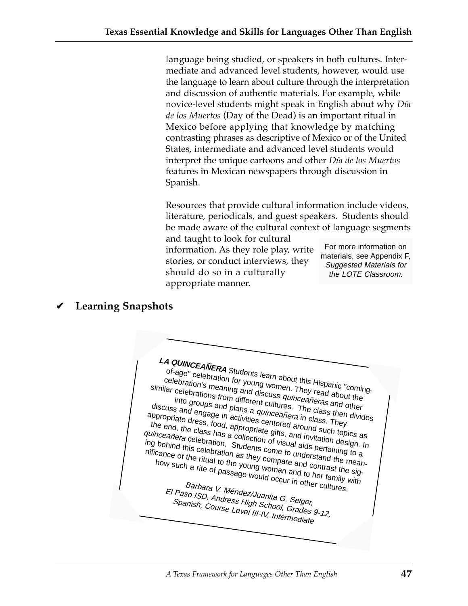language being studied, or speakers in both cultures. Intermediate and advanced level students, however, would use the language to learn about culture through the interpretation and discussion of authentic materials. For example, while novice-level students might speak in English about why *Día de los Muertos* (Day of the Dead) is an important ritual in Mexico before applying that knowledge by matching contrasting phrases as descriptive of Mexico or of the United States, intermediate and advanced level students would interpret the unique cartoons and other *Día de los Muertos* features in Mexican newspapers through discussion in Spanish.

Resources that provide cultural information include videos, literature, periodicals, and guest speakers. Students should be made aware of the cultural context of language segments and taught to look for cultural

information. As they role play, write stories, or conduct interviews, they should do so in a culturally appropriate manner.

For more information on materials, see Appendix F, Suggested Materials for the LOTE Classroom.

# ✔ **Learning Snapshots**

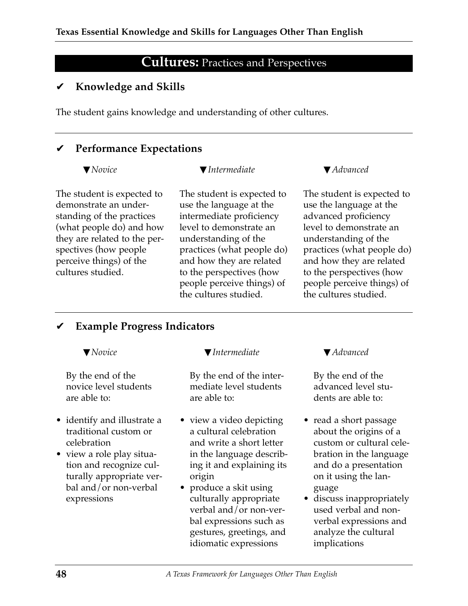# **Cultures:** Practices and Perspectives

#### ✔ **Knowledge and Skills**

The student gains knowledge and understanding of other cultures.

#### ✔ **Performance Expectations**

▼*Novice*

#### ▼*Intermediate*

The student is expected to demonstrate an understanding of the practices (what people do) and how they are related to the perspectives (how people perceive things) of the cultures studied.

The student is expected to use the language at the intermediate proficiency level to demonstrate an understanding of the practices (what people do) and how they are related to the perspectives (how people perceive things) of the cultures studied.

#### ▼*Advanced*

The student is expected to use the language at the advanced proficiency level to demonstrate an understanding of the practices (what people do) and how they are related to the perspectives (how people perceive things) of the cultures studied.

#### ✔ **Example Progress Indicators**

▼*Novice*

By the end of the novice level students are able to:

- identify and illustrate a traditional custom or celebration
- view a role play situation and recognize culturally appropriate verbal and/or non-verbal expressions

▼*Intermediate*

By the end of the intermediate level students are able to:

- view a video depicting a cultural celebration and write a short letter in the language describing it and explaining its origin
- produce a skit using culturally appropriate verbal and/or non-verbal expressions such as gestures, greetings, and idiomatic expressions

#### ▼*Advanced*

- read a short passage about the origins of a custom or cultural celebration in the language and do a presentation on it using the language
- discuss inappropriately used verbal and nonverbal expressions and analyze the cultural implications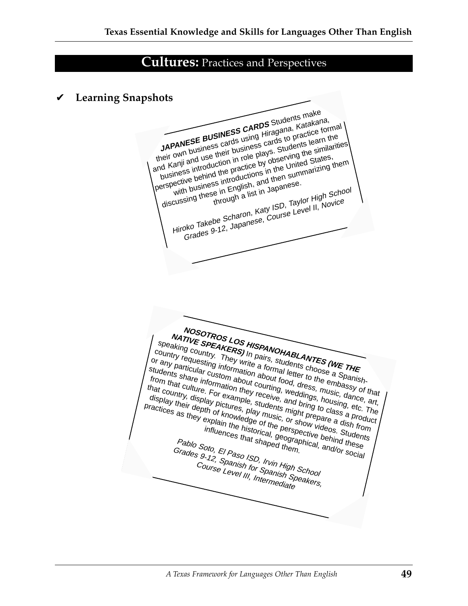#### **Cultures:** Practices and Perspectives

#### ✔ **Learning Snapshots**

JAPANESE BUSINESS CARDS Students make<br>JAPANESE BUSINESS using Hiragana, Katakana,<br>heir own business cards usiness cards to practice form<br>heir own business their business. Students learn the<br>d Kanji and use their pusiness i their own business cards using Hiragana, Katakana, utell until pushings datus using I mayaria, inalanaria, business introduction in role plays. Students learn the JAPANESE<br>
their own business callo siness callo students learnilarities<br>
their own business their business introductions in the United States,<br>
and Kanji and use the practice by observing the similarities<br>
business introdu d Kanji and the practice by observation in the United State pusiness introductions in the United State pusiness introductions in the summarizing them<br>pusiness introductions in the summarizing them<br>respective behind the pra Hiroko Takebe Scharon, Katy ISD, Taylor High School University Julian Changes Agency Julian Changes Agency Julian Changes Agency Julian Changes Agency Julian Changes A<br>Grades 9-12, Japanese, Course Level II, Novice **NOSOTROS LOS HISPANOHABLANTES (WE THE NATIVE SPEAKERS)** In pairs, students choose a Spanishspeaking country. They write a formal letter to the embassy of that speaking country. They write a formation about food, dress, music, dance, art, or any particular custom about courting, weddings, housing, etc. The students share information about food, dress a Spanish-<br>from that culture. For example, students share information about courting, weddings, music, dance, and<br>that country, display to example, students and bring to class a students snare information they receive, and only to class a production of the culture. For example, students might prepare a dish from that country,<br>disple display their depth of knowledge of the perspective and bring to class a productices as they explain the historical, geographical, and/or sections of the perspective behind these condition of the perspective behind these c Trom that culture. For example, students inght prepare a uisit indirection of the commonly display pictures, play music, or show videos. Students u<sub>ispiay urent</sub> uepth of Khowledge of the perspective bermind the historical, geographical, and/or social<br>influences that shaped them.<br>Fablo Soto, El Paso ISD, Irvin High School<br>Crades 9.12, Spanish for Spanish School<br>Cour Pablo Soto, El Paso ISD, Irvin High School Grades 9-12, Spanish for Spanish Speakers,<br>Course Level III, Intermediate<br>Course Level III, Intermediate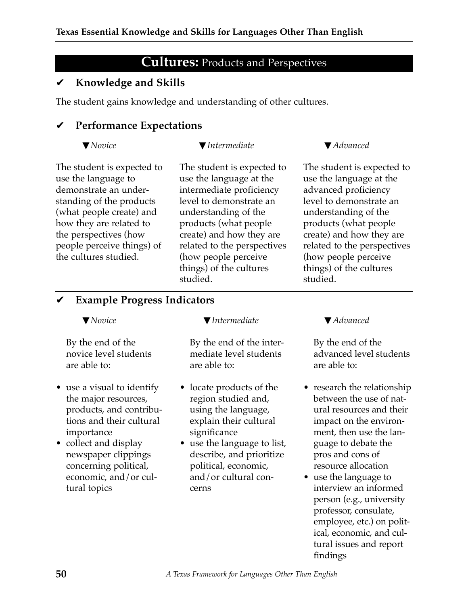#### **Cultures:** Products and Perspectives

#### ✔ **Knowledge and Skills**

The student gains knowledge and understanding of other cultures.

#### ✔ **Performance Expectations**

|  | /Novice |
|--|---------|
|  |         |
|  |         |

#### ▼*Intermediate*

The student is expected to use the language to demonstrate an understanding of the products (what people create) and how they are related to the perspectives (how people perceive things) of the cultures studied.

The student is expected to use the language at the intermediate proficiency level to demonstrate an understanding of the products (what people create) and how they are related to the perspectives (how people perceive things) of the cultures studied.

#### ▼*Advanced*

The student is expected to use the language at the advanced proficiency level to demonstrate an understanding of the products (what people create) and how they are related to the perspectives (how people perceive things) of the cultures studied.

#### ✔ **Example Progress Indicators**

▼*Novice*

By the end of the novice level students are able to:

- use a visual to identify the major resources, products, and contributions and their cultural importance
- collect and display newspaper clippings concerning political, economic, and/or cultural topics

▼*Intermediate*

By the end of the intermediate level students are able to:

- locate products of the region studied and, using the language, explain their cultural significance
- use the language to list, describe, and prioritize political, economic, and/or cultural concerns

▼*Advanced*

- research the relationship between the use of natural resources and their impact on the environment, then use the language to debate the pros and cons of resource allocation
- use the language to interview an informed person (e.g., university professor, consulate, employee, etc.) on political, economic, and cultural issues and report findings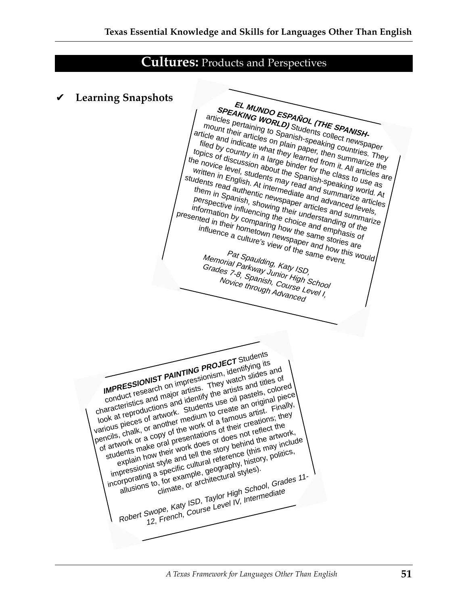#### **Cultures:** Products and Perspectives

#### ✔ **Learning Snapshots**

**EL MUNDO ESPAÑOL (THE SPANISH-SPEAKING WORLD)** Students collect newspaper articles pertaining to Spanish-speaking countries. They mount their articles on plain paper, then summarize the article and indicate what they learned from it. All articles are<br>tind to a contract what they learned from it. All articles are filed by country in a large binder for the class to use as topics of discussion about the Spanish-speaking world. At the novice level, students may read and summarize articles Written in English. At intermediate and advanced levels, students read authentic newspaper articles and summarize<br>them in Spanish, showing their understanding version,<br>information by comparing the choice and summarize<br>esented in their homparing how the same stories are<br>influence them in Spanish, showing their understanding of the perspective influencing the choice and emphasis of information by comparing how the same stories are<br>influence a culture's view of the same stories are<br>metown newspaper and how this were a culture's view of the same event.<br>Memorial part Spaulding, Katv ISD presented in their hometown newspaper and summarize<br>
influence a culture's view of the same stories are<br>
Memorial Paulding is ally the same stories are<br>
Memorial Paulding is Memorial Spaulding, Katy ISD,<br>Grades 7-8, Spanish, Katy ISD,<br>Novice thrown, Course, School, Novice thrown, Course, I Grades 7-8, Spanish, Katy ISD,<br>Novice Spanish, Course Level I,<br>Novice through Advanced **IMPRESSIONIST PAINTING PROJEC<sup>T</sup>** Students conduct research on impressionism, identifying its characteristics and major artists. They watch slides and Unarations and the state of the artists and titles of various pieces of artwork. Students use oil pastels, colored<br>various pieces of artwork. Students use oil pastels, colored yanuus preues ur anuwun, suuuenns use un pastels, cululeu of artwork or a copy of the work of a famous artist. Finally, students make oral presentations of their creations; they explain how their work does or does not reflect the impressionist style and tell the story behind the artwork, explain how their work does or does behind the arrivor<br>students make oral presence as or does behind the story include<br>explain how their work does for perfectural reference (this may include<br>explain how their work does for ents the movies that the storm of the storm in the system of the system of the system of the system of the system of the system of the system of the system of the system of the system of the system of the system of the sys Robert Swope, Katy ISD, Taylor High School, Grades Robert Swope, Katy ISD, Taylor High School, Grades proporating a strip example, strip and the sum of proportions to, for example, or architectural strip School, Grades 11-<br>allusions to, for example, or architectural strip School, Grades 11-<br>Robert Swope, Katy ISD, Taylor H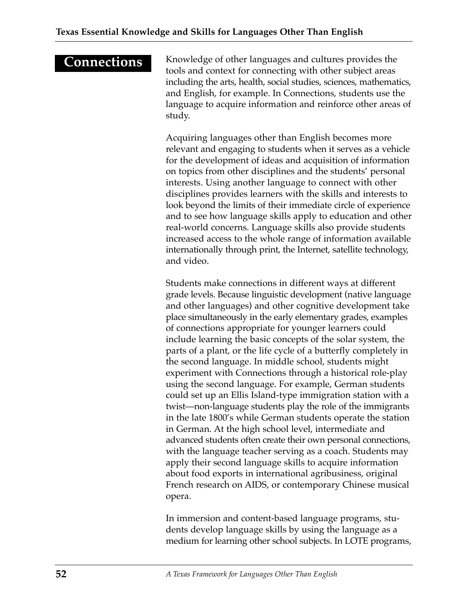# **Connections**

Knowledge of other languages and cultures provides the tools and context for connecting with other subject areas including the arts, health, social studies, sciences, mathematics, and English, for example. In Connections, students use the language to acquire information and reinforce other areas of study.

Acquiring languages other than English becomes more relevant and engaging to students when it serves as a vehicle for the development of ideas and acquisition of information on topics from other disciplines and the students' personal interests. Using another language to connect with other disciplines provides learners with the skills and interests to look beyond the limits of their immediate circle of experience and to see how language skills apply to education and other real-world concerns. Language skills also provide students increased access to the whole range of information available internationally through print, the Internet, satellite technology, and video.

Students make connections in different ways at different grade levels. Because linguistic development (native language and other languages) and other cognitive development take place simultaneously in the early elementary grades, examples of connections appropriate for younger learners could include learning the basic concepts of the solar system, the parts of a plant, or the life cycle of a butterfly completely in the second language. In middle school, students might experiment with Connections through a historical role-play using the second language. For example, German students could set up an Ellis Island-type immigration station with a twist—non-language students play the role of the immigrants in the late 1800's while German students operate the station in German. At the high school level, intermediate and advanced students often create their own personal connections, with the language teacher serving as a coach. Students may apply their second language skills to acquire information about food exports in international agribusiness, original French research on AIDS, or contemporary Chinese musical opera.

In immersion and content-based language programs, students develop language skills by using the language as a medium for learning other school subjects. In LOTE programs,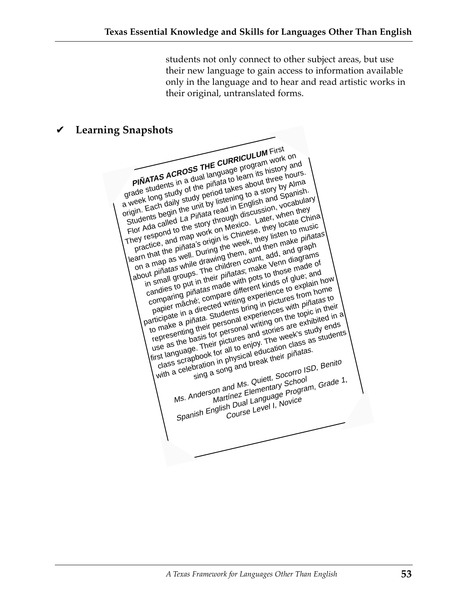students not only connect to other subject areas, but use their new language to gain access to information available only in the language and to hear and read artistic works in their original, untranslated forms.

# ✔ **Learning Snapshots**

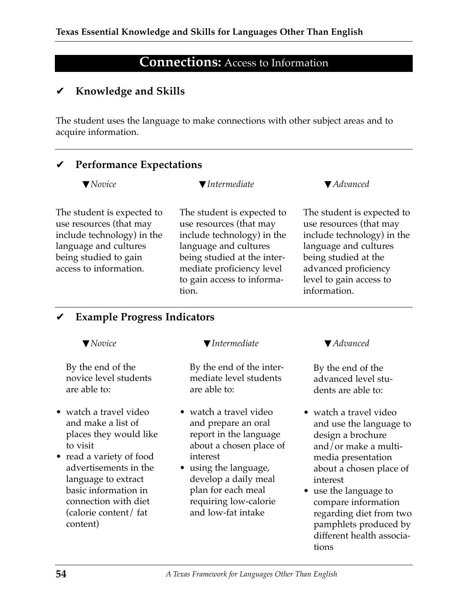# **Connections:** Access to Information

#### ✔ **Knowledge and Skills**

The student uses the language to make connections with other subject areas and to acquire information.

#### ✔ **Performance Expectations**

▼*Intermediate*

The student is expected to use resources (that may include technology) in the language and cultures being studied to gain access to information.

The student is expected to use resources (that may include technology) in the language and cultures being studied at the intermediate proficiency level to gain access to information.

▼*Advanced*

The student is expected to use resources (that may include technology) in the language and cultures being studied at the advanced proficiency level to gain access to information.

#### ✔ **Example Progress Indicators**

▼*Novice*

By the end of the novice level students are able to:

- watch a travel video and make a list of places they would like to visit
- read a variety of food advertisements in the language to extract basic information in connection with diet (calorie content/ fat content)

▼*Intermediate*

By the end of the intermediate level students are able to:

- watch a travel video and prepare an oral report in the language about a chosen place of interest
- using the language, develop a daily meal plan for each meal requiring low-calorie and low-fat intake

▼*Advanced*

- watch a travel video and use the language to design a brochure and/or make a multimedia presentation about a chosen place of interest
- use the language to compare information regarding diet from two pamphlets produced by different health associations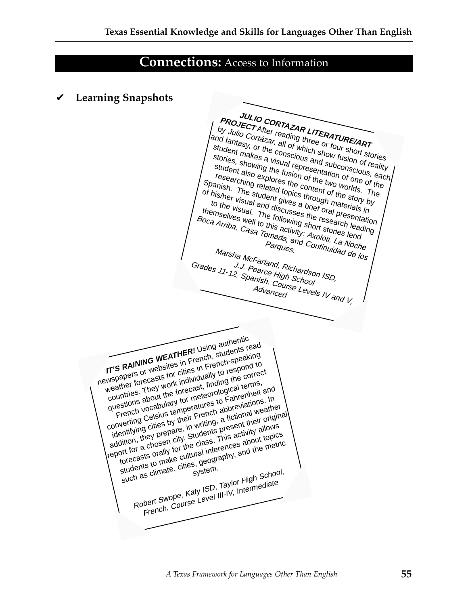# **Connections:** Access to Information

✔ **Learning Snapshots**

**JULIO CORTAZAR LITERATURE/ART PROJECT After reading three or four short stories**<br>by Julio Cortázar, all of three or four short stories<br>tudent makes a victor stories and three three four short stories  $by$  Julio Cortázar, all of which show fusion of reality and fantasy,<br>stude and randong makes a visual representation of one of the , or the conscious and subconstant<br>ikes a visual representation of reality<br>owing the fusion of the conscious, each<br>so explores and subconscious, each stories, showing the fusion of the two worlds. The student also explores the content of the story by researching related topics through materials in Spanish. Of his/her visual and discusses the research leading The student gives a brient of the story by<br>Visual and discusses a brief oral presentation<br>Stual. The following the research in the story by<br>S well to u. Ollowing at research in the interto the visual. The following short stories lend themselves well to this activity: Axoloti, La Noche<br> *Ca Arriba*, *Casa Tomada*, and *Axoloti, La Noche*<br> *Parques*. Boca Arriba, Casa Tomada, and<br>Formula, Casa Tomada, and<br>Para, and Continuidad de los Marsha McFarland, Richardson ISD,<br>J.J. Pearce High Schardson ISD,<br>11-12, Spanish, Courschool Grades<sub>1</sub> 1-12, Spanish, Course Levels IV and V, Advanced **IT'S RAINING WEATHER!** Using authentic newspapers or websites in French, students read were the forecasts for cities in French-speaking<br>weather forecasts for cities in French-speaking weather wise and to little the respond to the animal wise of the work individually to respond to questions about the forecast, finding the correct Trench vocabulary for meteorological terms, converting Celsius temperatures to Fahrenheit and with the cities by their French abbreviations. In identifying cities by their French abbreviations. In Internation, they prepare, in writing, a fictional weather report for a chosen city. Students present their original forecasts orally for the class. This activity allows students to make cultural inferences about topics<br>students to make cultural inferences about topics<br>forecasts orally for the class. This activity<br>students to make cultural inferences about to metric<br>students to make, citie such as climate, cities, geography, and the metric Robert Swope, Katy ISD, Taylor High School, French, Course Level III-IV, Intermediate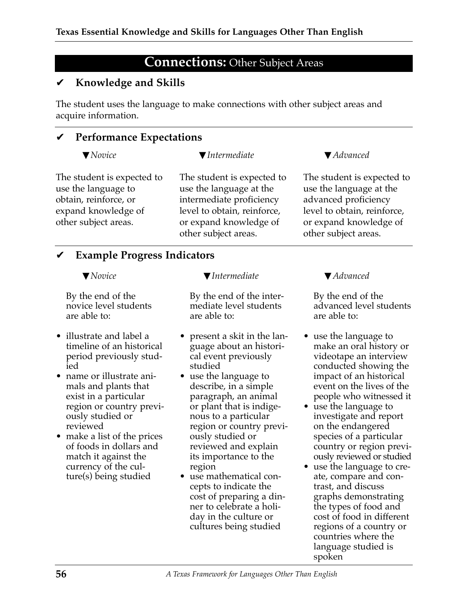# **Connections:** Other Subject Areas

#### ✔ **Knowledge and Skills**

The student uses the language to make connections with other subject areas and acquire information.

#### ✔ **Performance Expectations**

```
▼Novice
```
#### ▼*Intermediate*

The student is expected to use the language to obtain, reinforce, or expand knowledge of other subject areas.

The student is expected to use the language at the intermediate proficiency level to obtain, reinforce, or expand knowledge of other subject areas.

#### ▼*Advanced*

The student is expected to use the language at the advanced proficiency level to obtain, reinforce, or expand knowledge of other subject areas.

#### ✔ **Example Progress Indicators**

#### ▼*Novice*

By the end of the novice level students are able to:

- illustrate and label a timeline of an historical period previously studied
- name or illustrate animals and plants that exist in a particular region or country previously studied or reviewed
- make a list of the prices of foods in dollars and match it against the currency of the culture(s) being studied

▼*Intermediate*

By the end of the intermediate level students are able to:

- present a skit in the language about an historical event previously studied
- use the language to describe, in a simple paragraph, an animal or plant that is indigenous to a particular region or country previously studied or reviewed and explain its importance to the region
- use mathematical concepts to indicate the cost of preparing a dinner to celebrate a holiday in the culture or cultures being studied

#### ▼*Advanced*

- use the language to make an oral history or videotape an interview conducted showing the impact of an historical event on the lives of the people who witnessed it
- use the language to investigate and report on the endangered species of a particular country or region previously reviewed or studied
- use the language to create, compare and contrast, and discuss graphs demonstrating the types of food and cost of food in different regions of a country or countries where the language studied is spoken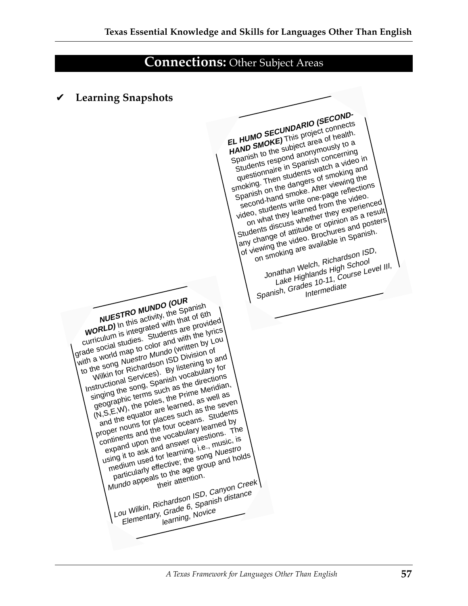#### **Connections:** Other Subject Areas

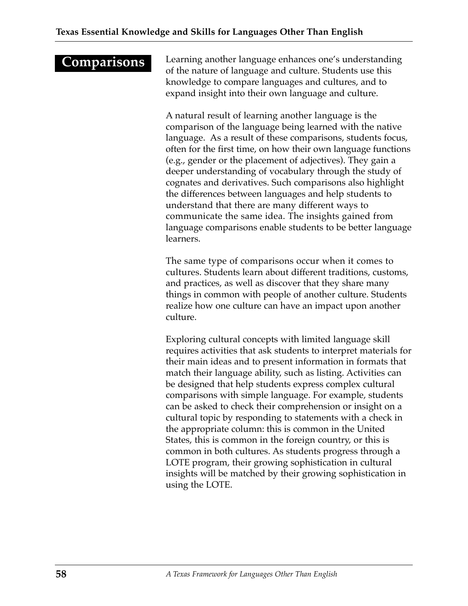# **Comparisons**

Learning another language enhances one's understanding of the nature of language and culture. Students use this knowledge to compare languages and cultures, and to expand insight into their own language and culture.

A natural result of learning another language is the comparison of the language being learned with the native language. As a result of these comparisons, students focus, often for the first time, on how their own language functions (e.g., gender or the placement of adjectives). They gain a deeper understanding of vocabulary through the study of cognates and derivatives. Such comparisons also highlight the differences between languages and help students to understand that there are many different ways to communicate the same idea. The insights gained from language comparisons enable students to be better language learners.

The same type of comparisons occur when it comes to cultures. Students learn about different traditions, customs, and practices, as well as discover that they share many things in common with people of another culture. Students realize how one culture can have an impact upon another culture.

Exploring cultural concepts with limited language skill requires activities that ask students to interpret materials for their main ideas and to present information in formats that match their language ability, such as listing. Activities can be designed that help students express complex cultural comparisons with simple language. For example, students can be asked to check their comprehension or insight on a cultural topic by responding to statements with a check in the appropriate column: this is common in the United States, this is common in the foreign country, or this is common in both cultures. As students progress through a LOTE program, their growing sophistication in cultural insights will be matched by their growing sophistication in using the LOTE.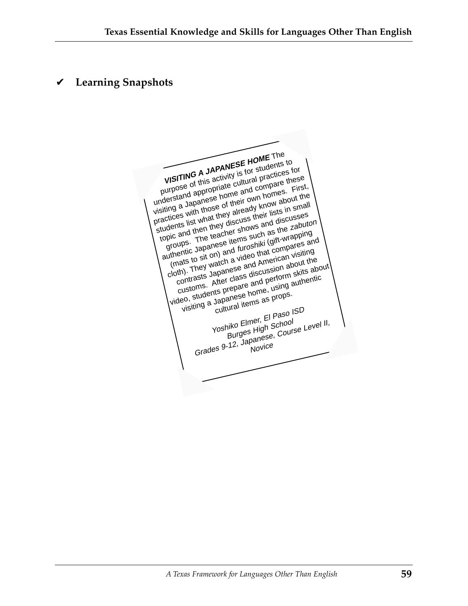# ✔ **Learning Snapshots**

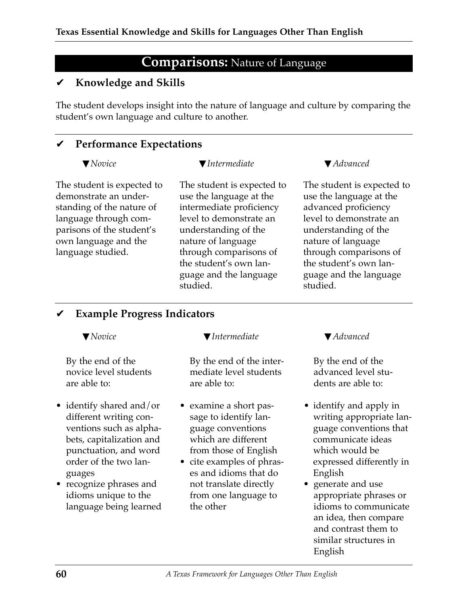# **Comparisons:** Nature of Language

#### ✔ **Knowledge and Skills**

The student develops insight into the nature of language and culture by comparing the student's own language and culture to another.

#### ✔ **Performance Expectations**

#### ▼*Novice*

▼*Intermediate*

The student is expected to demonstrate an understanding of the nature of language through comparisons of the student's own language and the language studied.

The student is expected to use the language at the intermediate proficiency level to demonstrate an understanding of the nature of language through comparisons of the student's own language and the language studied.

#### ▼*Advanced*

The student is expected to use the language at the advanced proficiency level to demonstrate an understanding of the nature of language through comparisons of the student's own language and the language studied.

#### ✔ **Example Progress Indicators**

▼*Novice*

By the end of the novice level students are able to:

- identify shared and/or different writing conventions such as alphabets, capitalization and punctuation, and word order of the two languages
- recognize phrases and idioms unique to the language being learned

▼*Intermediate*

By the end of the intermediate level students are able to:

- examine a short passage to identify language conventions which are different from those of English
- cite examples of phrases and idioms that do not translate directly from one language to the other

▼*Advanced*

- identify and apply in writing appropriate language conventions that communicate ideas which would be expressed differently in English
- generate and use appropriate phrases or idioms to communicate an idea, then compare and contrast them to similar structures in English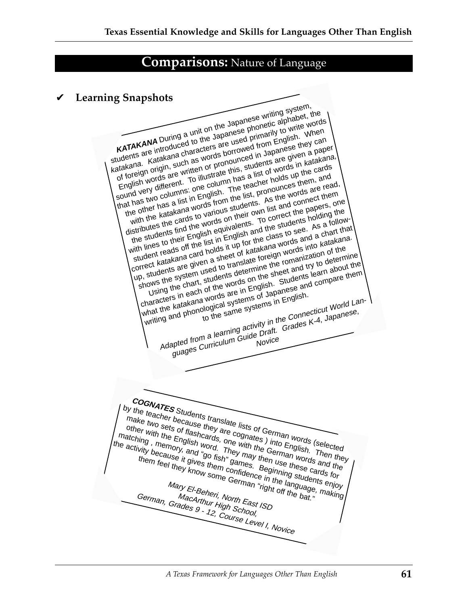# **Comparisons:** Nature of Language

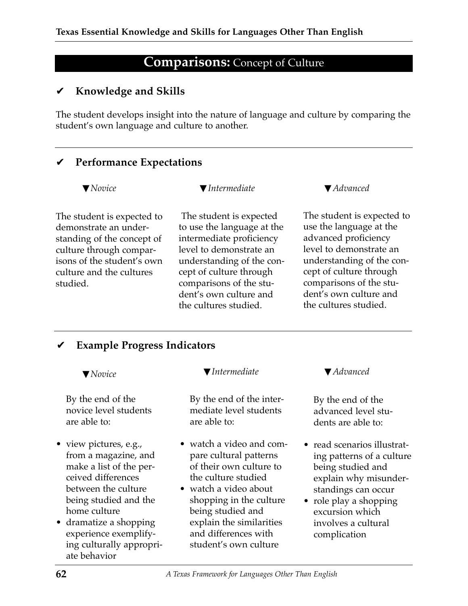#### **Comparisons:** Concept of Culture

#### ✔ **Knowledge and Skills**

The student develops insight into the nature of language and culture by comparing the student's own language and culture to another.

#### ✔ **Performance Expectations**

▼*Novice*

▼*Intermediate*

The student is expected to demonstrate an understanding of the concept of culture through comparisons of the student's own culture and the cultures studied.

The student is expected to use the language at the intermediate proficiency level to demonstrate an understanding of the concept of culture through comparisons of the student's own culture and the cultures studied.

#### ▼*Advanced*

The student is expected to use the language at the advanced proficiency level to demonstrate an understanding of the concept of culture through comparisons of the student's own culture and the cultures studied.

# ✔ **Example Progress Indicators**

▼*Novice*

By the end of the novice level students are able to:

- view pictures, e.g., from a magazine, and make a list of the perceived differences between the culture being studied and the home culture
- dramatize a shopping experience exemplifying culturally appropriate behavior

▼*Intermediate*

By the end of the intermediate level students are able to:

- watch a video and compare cultural patterns of their own culture to the culture studied
- watch a video about shopping in the culture being studied and explain the similarities and differences with student's own culture

▼*Advanced*

- read scenarios illustrating patterns of a culture being studied and explain why misunderstandings can occur
- role play a shopping excursion which involves a cultural complication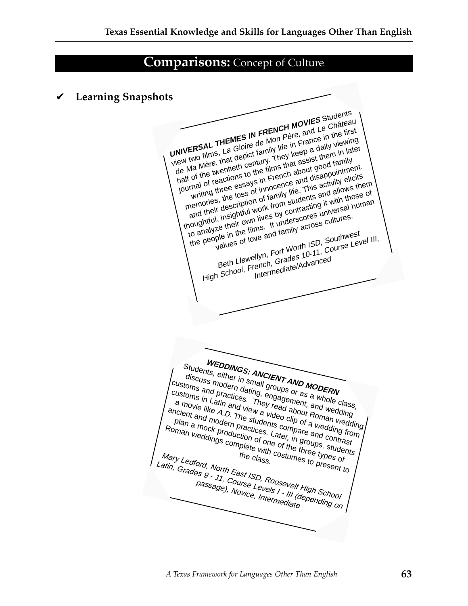# **Comparisons:** Concept of Culture

UNIVERSAL THEMES IN FRENCH MOVIES Students<br>
UNIVERSAL THEMES IN FRENCH MOVIES Students<br>
View two films, La Gloire de Mon Père, and Le Château<br>
View two films, La depict family life in France in the time<br>
de Ma Mère, that d view two films, La Gloire de Mon Père, and Le Château we we must be violence in the first<br>de Ma Mère, that depict family life in France in the first<br>de Ma Mère, that depict family life in France in half of the twentieth century. They keep a daily viewing journal of reactions to the films that assist them in later Wo the twentieth century. They assist the family<br>la Mère, that dependent me films that assist the twentieth century.<br>of the twentiens to the films about good family<br>and disappointme integers of innocence and disappointme!<br> Ma Mero,<br>If of the twentieth General films that bout good infiment,<br>If of the twentions to the films and disappointment,<br>urnal of reactions of innocence and disappointments<br>writing three essays in French shares and allows and their description of family life. This activity elicits<br>and their description of family life. This activity elicits<br>and their description of family life. This activity the<br>noughtful, insightful work from students and t thoughtful, insightful work from students and allows them to analyze their own lives by contrasting it with those of nemories, description of from studenting it will alternate<br>and their description lives by contrasting it will be human<br>loughtful, insightful work from sumplers universal human<br>loughtul, insight work in the films. It unders Beth Llewellyn, Fort Worth ISD, Southwest people in values of love and vorth ISD, Southwest vel III,<br>Beth Llewellyn, Fort Worth ISD, Southwest Level III,<br>High School, French, Grades 10-11, Course Level III, **WEDDINGS: ANCIENT AND MODERN** Students, either in small groups or as a whole class, discuss modern dating, engagement, and wedding customs and practices. They read about Roman wedding Customs in Latin and view a video clip of a wedding from A movie like A.D. The students compare and contrast ancient and modern practices. Later, in groups, students plan a mock production of one of a wedding<br>man weddings complete with contraction of one of the three types of<br>the class. Complete with contraction of the three types of<br>the class. Roman weddings complete with costumes to present to Mary Ledford, North East ISD, Roosevelt High School Latin, Grades 9 - 11, Course Levels I - United School<br>Passage), Novice Levels I - III (depending on ✔ **Learning Snapshots**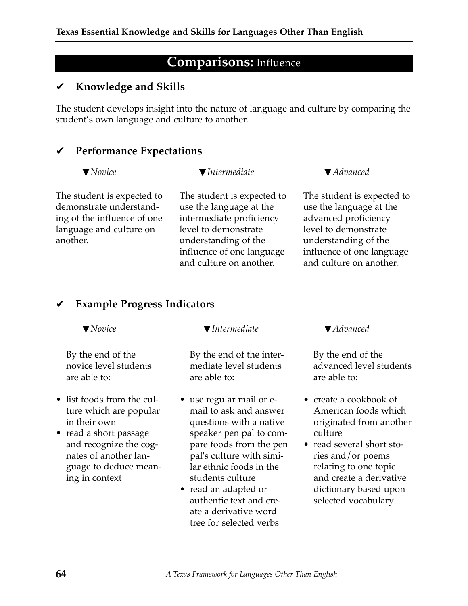# **Comparisons:** Influence

## ✔ **Knowledge and Skills**

The student develops insight into the nature of language and culture by comparing the student's own language and culture to another.

# ✔ **Performance Expectations**

▼*Novice*

▼*Intermediate*

The student is expected to demonstrate understanding of the influence of one language and culture on another.

The student is expected to use the language at the intermediate proficiency level to demonstrate understanding of the influence of one language and culture on another.

### ▼*Advanced*

The student is expected to use the language at the advanced proficiency level to demonstrate understanding of the influence of one language and culture on another.

# ✔ **Example Progress Indicators**

▼*Novice*

By the end of the novice level students are able to:

- list foods from the culture which are popular in their own
- read a short passage and recognize the cognates of another language to deduce meaning in context

▼*Intermediate*

By the end of the intermediate level students are able to:

- use regular mail or email to ask and answer questions with a native speaker pen pal to compare foods from the pen pal's culture with similar ethnic foods in the students culture
- read an adapted or authentic text and create a derivative word tree for selected verbs

▼*Advanced*

By the end of the advanced level students are able to:

- create a cookbook of American foods which originated from another culture
- read several short stories and/or poems relating to one topic and create a derivative dictionary based upon selected vocabulary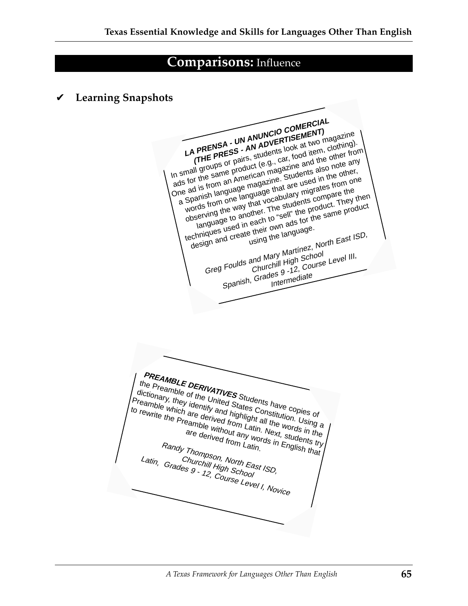# **Comparisons:** Influence

# ✔ **Learning Snapshots**

**LA PRENS<sup>A</sup> - UN ANUNCIO COMERCIAL (THE PRESS - AN ADVERTISEMENT)** In small groups or pairs, students look at two magazine at the same product (e.g., car, food item, clothing). One ad is from an American magazine and the other from a Spanish language magazine. Students also note any words from one language that are used in the other, words in the way that vocabulary migrates from one language to another. The students compare the language to another. The students compare the Spanish is one language vocabulaty in scompart words from one language to another. The students compare product<br>observing the way that vocabulaty the product. They then<br>observing the way in each to "sell" the product<br>langu design and create their own ads for the same product gh and create the languas<br>gn and create the languas, North East ISD,<br>Greg Foulds and Mary Martinez, North East ISD,<br>Greg Foulds churchill High School Level III, Foulds and Mary Man School<br>Churchill High Scourse Level III,<br>Spanish, Grades 9 -12, Course **PREAMBLE DERIVATIVES** Students have copies of the Preamble of the United Students have copies of<br>dictionary, they identify and States Constitution.<br>Preamble which are derived from Lating all the Word Using a dictionary, Preamble which are derived from Latin. Next, students try<br>to rewrite the Preamble which are derived from Latin. Next, students in the<br>are derived from Latin. Next, students try<br>are derived from Latin. Next, students try<br>Ra High requires of the United States Constitution, Using a dictionary, they identify and highlight all the words in the Treamble will are using it of the Preamble without any words in English that Randy Thompson, North Eatin, Andy Thompson, North East ISD,<br>Churchill High School<br>Grades 9 - 12, Co., School Latin, Grades 9 - 12, Course Level I, Novice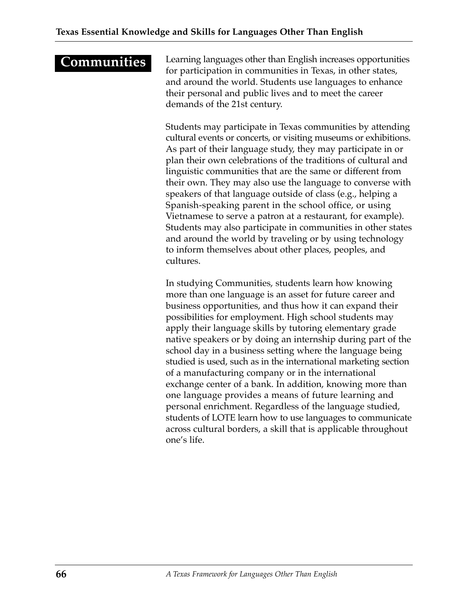# **Communities**

Learning languages other than English increases opportunities for participation in communities in Texas, in other states, and around the world. Students use languages to enhance their personal and public lives and to meet the career demands of the 21st century.

Students may participate in Texas communities by attending cultural events or concerts, or visiting museums or exhibitions. As part of their language study, they may participate in or plan their own celebrations of the traditions of cultural and linguistic communities that are the same or different from their own. They may also use the language to converse with speakers of that language outside of class (e.g., helping a Spanish-speaking parent in the school office, or using Vietnamese to serve a patron at a restaurant, for example). Students may also participate in communities in other states and around the world by traveling or by using technology to inform themselves about other places, peoples, and cultures.

In studying Communities, students learn how knowing more than one language is an asset for future career and business opportunities, and thus how it can expand their possibilities for employment. High school students may apply their language skills by tutoring elementary grade native speakers or by doing an internship during part of the school day in a business setting where the language being studied is used, such as in the international marketing section of a manufacturing company or in the international exchange center of a bank. In addition, knowing more than one language provides a means of future learning and personal enrichment. Regardless of the language studied, students of LOTE learn how to use languages to communicate across cultural borders, a skill that is applicable throughout one's life.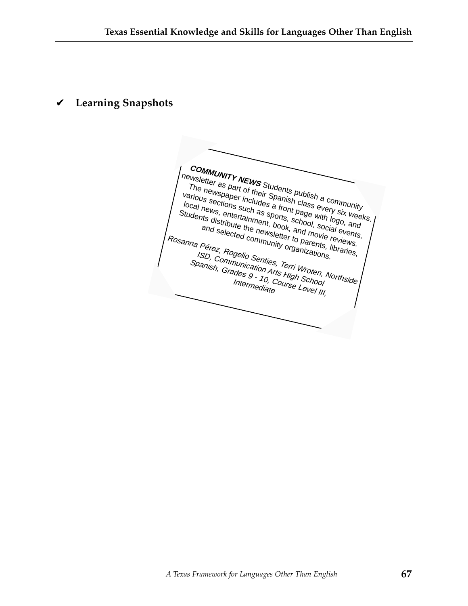# ✔ **Learning Snapshots**

**COMMUNITY NEWS** Students publish a community newsletter as part of their Spanish class every six weeks.<br>The newspaper includes a front page with your six weeks.<br>Iocal news, entertainment, book, and hogo, and<br>Students distribute the newsletter to parents, libraries,<br>a **The newspaper includes a front page with logo, and**<br>
The newspaper includes a front page with logo, and<br> **Contract page with logo, and** Various sections such as sports, school, social events,  $\frac{1}{2}$ Various secuons such as sports, someone of the fitter of the fitter of the fitter of the field community organizations.<br>
Students distribute the newsletter to parents, events in the reviews.<br>
The parents reviews.<br>
The pare Students distribute the newsletter to parents, libraries,<br>and selected community organizations.<br>Sanna Pérez, Rogelio Sensi Rosanna Pérez, Rogelio Senties, Terri Wroten, Northside<br>
ISD, Communication Senties, Terri Wroten, Northside<br>
Spanish, Grades 9 - 10, Course, School<br>
Intermation Arts High School Spanish, Grades 9 - 10, Cerri Wroten, I<br>Spanish, Grades 9 - 10, Course Cohool<br>Intermediate<br>III, Intermediate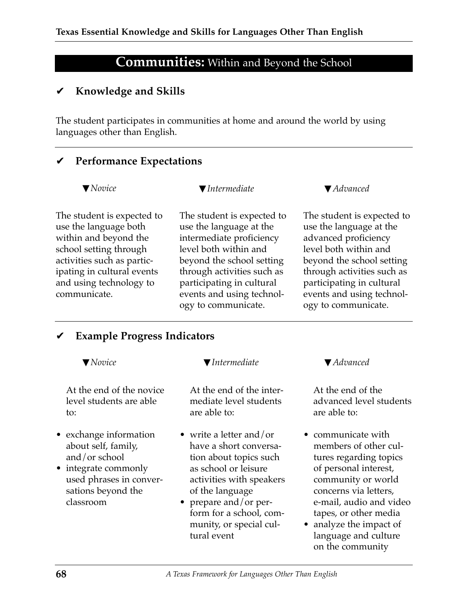# **Communities:** Within and Beyond the School

## ✔ **Knowledge and Skills**

The student participates in communities at home and around the world by using languages other than English.

# ✔ **Performance Expectations**

▼*Novice*

▼*Intermediate*

The student is expected to use the language both within and beyond the school setting through activities such as participating in cultural events and using technology to communicate.

### The student is expected to use the language at the intermediate proficiency level both within and beyond the school setting through activities such as participating in cultural events and using technology to communicate.

### ▼*Advanced*

The student is expected to use the language at the advanced proficiency level both within and beyond the school setting through activities such as participating in cultural events and using technology to communicate.

# ✔ **Example Progress Indicators**

▼*Novice*

### ▼*Intermediate*

At the end of the novice level students are able to:

- exchange information about self, family, and/or school
- integrate commonly used phrases in conversations beyond the classroom

At the end of the intermediate level students are able to:

- write a letter and/or have a short conversation about topics such as school or leisure activities with speakers of the language
- prepare and/or perform for a school, community, or special cultural event

▼*Advanced*

At the end of the advanced level students are able to:

- communicate with members of other cultures regarding topics of personal interest, community or world concerns via letters, e-mail, audio and video tapes, or other media
- analyze the impact of language and culture on the community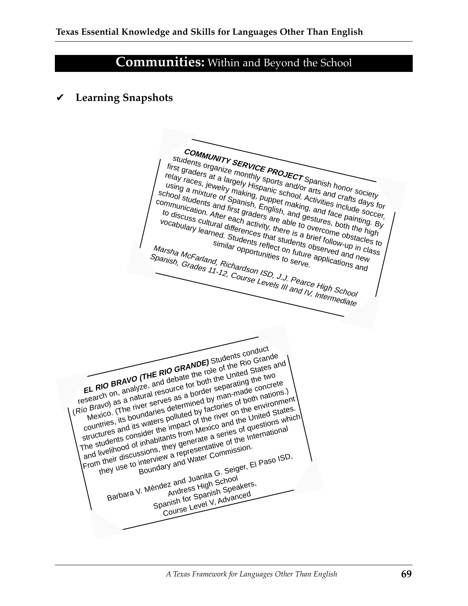# **Communities:** Within and Beyond the School

## ✔ **Learning Snapshots**

**COMMUNITY SERVICE PROJECT** Spanish honor society students organize monthly sports and/or arts and crafts days for studerits organize moliting sports and or ans and craits days to relay races, jewelry making, puppet making, and face painting. By reray races, Jeweiry making, pupper making, and sesting a mixture of Spanish, English, and gestures, both the high<br>about the condition of the high stures, both the high using a mixture of Spanish, English, and yestures, both the might scribol students and thist graders are able to overcommunication. After each activity, there is a brief follow-up in class to discuss cultural differences that students observed and new ocabulary learned. Students reflect on future applications and new mish, Gradend, Richard Richard Richard Richard Case of the students reflect on future applic vocabulary learned. Students reflect on future applications and Marsha McFarland, Richardson ISD, J.J. Pearce High School <sup>Iviarsna ivicranana, Kicharason iSD, J.J. Fearce High School<br>Spanish, Grades 11-12, Course Levels III and IV, Intermediate</sup> **EL RIO BRAVO (THE RIO GRANDE)** Students conduct<br> **EL RIO BRAVO (THE RIO GRANDE)** Students conduct<br>
seearch on, analyze, and debate the role of the United States at<br>
seearch on, analyze, are source for both the United Stat research on, analyze, and debate the role of the Rio Grande EL RIO BRAVO (THE RIO GRANDE) Students and<br>research on, analyze, and debate the role of the United States and<br>research on, analyze, and debate for both the United Concrete<br>research on, analyze, and debate for both man-made Trom their discussions, they are presentative of the International The students to interview a representative of the International The students countries, they generate a series of questions which and livelihood of inhabit Guines, its poundants determined by matrimage concrete. Structures and its waters pointied by lacturies of the environment The students consider the lingual of the United States.<br>
Line students consider the United States.<br>
Line students of inhabitants from Mexico and the United States. Mexico. its boundaries polluted of the river on the United Structures<br>countries, its waters polluted of the inverse of questions which<br>structures and its waters from Mexico and the International<br>the students consider they eir discussive a lept Water Common<br>Barbara V. Méndez and Juanita G. Seiger, El Paso ISD,<br>Barbara V. Méndez and Juanita G. Seiger, El Paso ISD,<br>Barbara V. Méndez and Juanita Speakers, Spanish for Spanish Speakers, Course Level V, Advanced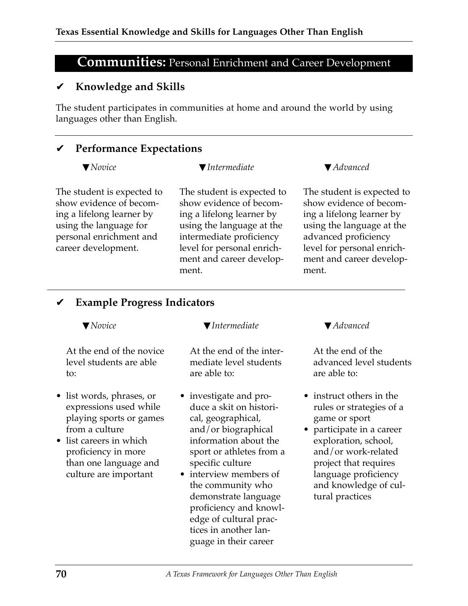# **Communities:** Personal Enrichment and Career Development

### ✔ **Knowledge and Skills**

The student participates in communities at home and around the world by using languages other than English.

## ✔ **Performance Expectations**

▼*Novice*

### ▼*Intermediate*

The student is expected to show evidence of becoming a lifelong learner by using the language for personal enrichment and career development.

The student is expected to show evidence of becoming a lifelong learner by using the language at the intermediate proficiency level for personal enrichment and career development.

### ▼*Advanced*

The student is expected to show evidence of becoming a lifelong learner by using the language at the advanced proficiency level for personal enrichment and career development.

# ✔ **Example Progress Indicators**

▼*Novice*

At the end of the novice level students are able to:

- list words, phrases, or expressions used while playing sports or games from a culture
- list careers in which proficiency in more than one language and culture are important

▼*Intermediate*

At the end of the intermediate level students are able to:

- investigate and produce a skit on historical, geographical, and/or biographical information about the sport or athletes from a specific culture
- interview members of the community who demonstrate language proficiency and knowledge of cultural practices in another language in their career

▼*Advanced*

At the end of the advanced level students are able to:

- instruct others in the rules or strategies of a game or sport
- participate in a career exploration, school, and/or work-related project that requires language proficiency and knowledge of cultural practices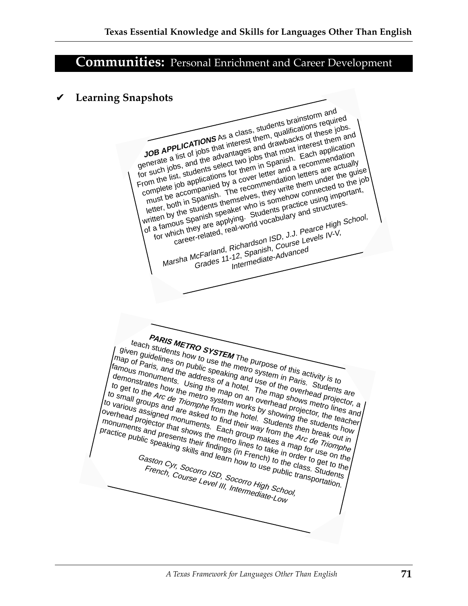# **Communities:** Personal Enrichment and Career Development

### ✔ **Learning Snapshots**

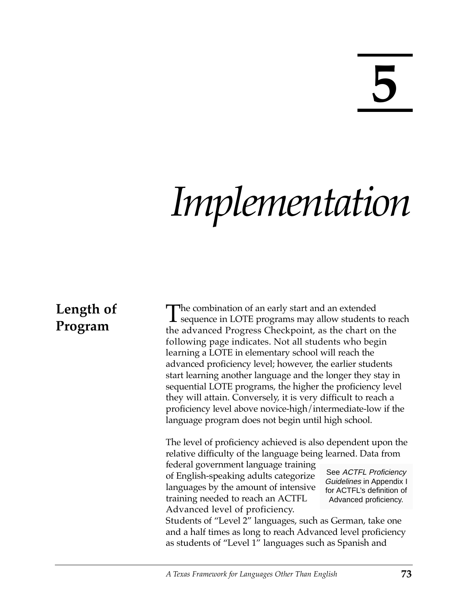**5**

# *Implementation*

# **Length of Program**

The combination of an early start and an extended<br>sequence in LOTE programs may allow students to reach<br>the set of the start of the start of the start of the the advanced Progress Checkpoint, as the chart on the following page indicates. Not all students who begin learning a LOTE in elementary school will reach the advanced proficiency level; however, the earlier students start learning another language and the longer they stay in sequential LOTE programs, the higher the proficiency level they will attain. Conversely, it is very difficult to reach a proficiency level above novice-high/intermediate-low if the language program does not begin until high school.

The level of proficiency achieved is also dependent upon the relative difficulty of the language being learned. Data from

federal government language training of English-speaking adults categorize languages by the amount of intensive training needed to reach an ACTFL Advanced level of proficiency.

See ACTFL Proficiency Guidelines in Appendix I for ACTFL's definition of Advanced proficiency.

Students of "Level 2" languages, such as German, take one and a half times as long to reach Advanced level proficiency as students of "Level 1" languages such as Spanish and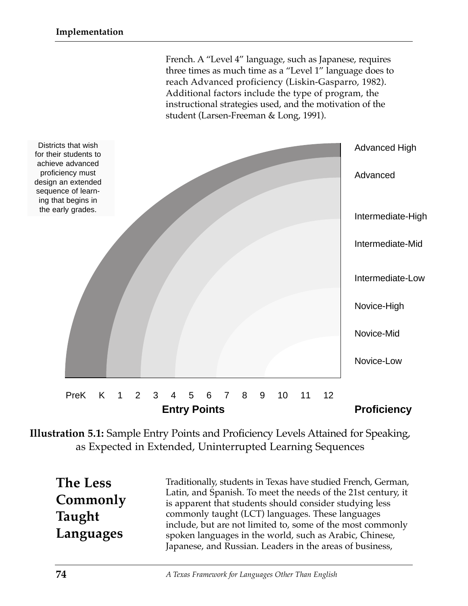



**Illustration 5.1:** Sample Entry Points and Proficiency Levels Attained for Speaking, as Expected in Extended, Uninterrupted Learning Sequences

**The Less Commonly Taught Languages**

Traditionally, students in Texas have studied French, German, Latin, and Spanish. To meet the needs of the 21st century, it is apparent that students should consider studying less commonly taught (LCT) languages. These languages include, but are not limited to, some of the most commonly spoken languages in the world, such as Arabic, Chinese, Japanese, and Russian. Leaders in the areas of business,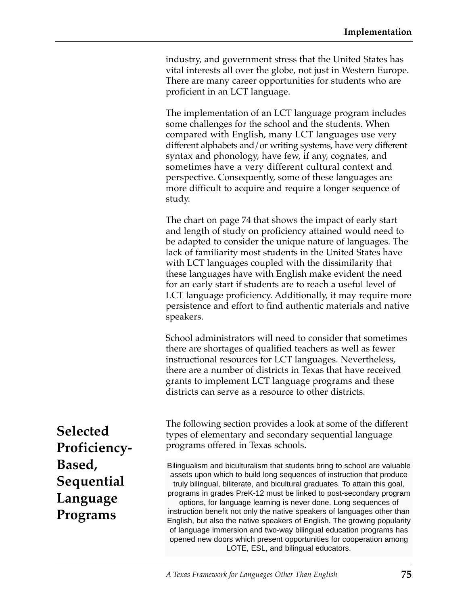industry, and government stress that the United States has vital interests all over the globe, not just in Western Europe. There are many career opportunities for students who are proficient in an LCT language.

The implementation of an LCT language program includes some challenges for the school and the students. When compared with English, many LCT languages use very different alphabets and/or writing systems, have very different syntax and phonology, have few, if any, cognates, and sometimes have a very different cultural context and perspective. Consequently, some of these languages are more difficult to acquire and require a longer sequence of study.

The chart on page 74 that shows the impact of early start and length of study on proficiency attained would need to be adapted to consider the unique nature of languages. The lack of familiarity most students in the United States have with LCT languages coupled with the dissimilarity that these languages have with English make evident the need for an early start if students are to reach a useful level of LCT language proficiency. Additionally, it may require more persistence and effort to find authentic materials and native speakers.

School administrators will need to consider that sometimes there are shortages of qualified teachers as well as fewer instructional resources for LCT languages. Nevertheless, there are a number of districts in Texas that have received grants to implement LCT language programs and these districts can serve as a resource to other districts.

**Selected Proficiency-Based, Sequential Language Programs**

The following section provides a look at some of the different types of elementary and secondary sequential language programs offered in Texas schools.

Bilingualism and biculturalism that students bring to school are valuable assets upon which to build long sequences of instruction that produce truly bilingual, biliterate, and bicultural graduates. To attain this goal, programs in grades PreK-12 must be linked to post-secondary program options, for language learning is never done. Long sequences of instruction benefit not only the native speakers of languages other than English, but also the native speakers of English. The growing popularity of language immersion and two-way bilingual education programs has opened new doors which present opportunities for cooperation among LOTE, ESL, and bilingual educators.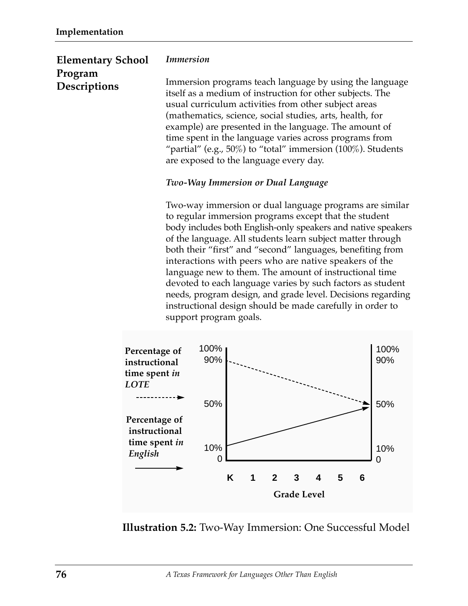#### *Immersion* **Elementary School Program Descriptions**

Immersion programs teach language by using the language itself as a medium of instruction for other subjects. The usual curriculum activities from other subject areas (mathematics, science, social studies, arts, health, for example) are presented in the language. The amount of time spent in the language varies across programs from "partial" (e.g., 50%) to "total" immersion  $(100\%)$ . Students are exposed to the language every day.

### *Two-Way Immersion or Dual Language*

Two-way immersion or dual language programs are similar to regular immersion programs except that the student body includes both English-only speakers and native speakers of the language. All students learn subject matter through both their "first" and "second" languages, benefiting from interactions with peers who are native speakers of the language new to them. The amount of instructional time devoted to each language varies by such factors as student needs, program design, and grade level. Decisions regarding instructional design should be made carefully in order to support program goals.



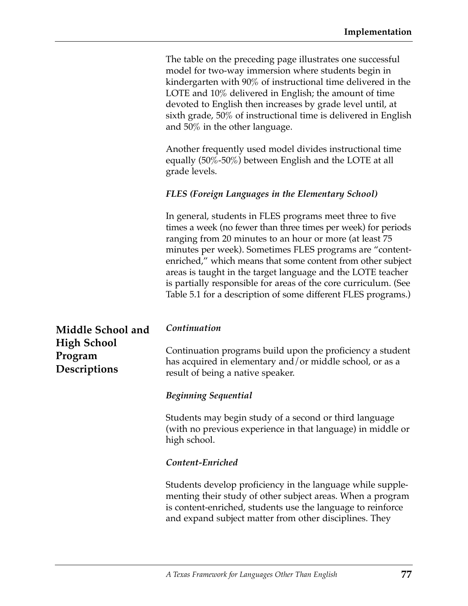The table on the preceding page illustrates one successful model for two-way immersion where students begin in kindergarten with 90% of instructional time delivered in the LOTE and 10% delivered in English; the amount of time devoted to English then increases by grade level until, at sixth grade, 50% of instructional time is delivered in English and 50% in the other language.

Another frequently used model divides instructional time equally (50%-50%) between English and the LOTE at all grade levels.

### *FLES (Foreign Languages in the Elementary School)*

In general, students in FLES programs meet three to five times a week (no fewer than three times per week) for periods ranging from 20 minutes to an hour or more (at least 75 minutes per week). Sometimes FLES programs are "contentenriched," which means that some content from other subject areas is taught in the target language and the LOTE teacher is partially responsible for areas of the core curriculum. (See Table 5.1 for a description of some different FLES programs.)

| Middle School and   | Continuation                                               |
|---------------------|------------------------------------------------------------|
| <b>High School</b>  | Continuation programs build upon the proficiency a student |
| Program             | has acquired in elementary and/or middle school, or as a   |
| <b>Descriptions</b> | result of being a native speaker.                          |

### *Beginning Sequential*

Students may begin study of a second or third language (with no previous experience in that language) in middle or high school.

### *Content-Enriched*

Students develop proficiency in the language while supplementing their study of other subject areas. When a program is content-enriched, students use the language to reinforce and expand subject matter from other disciplines. They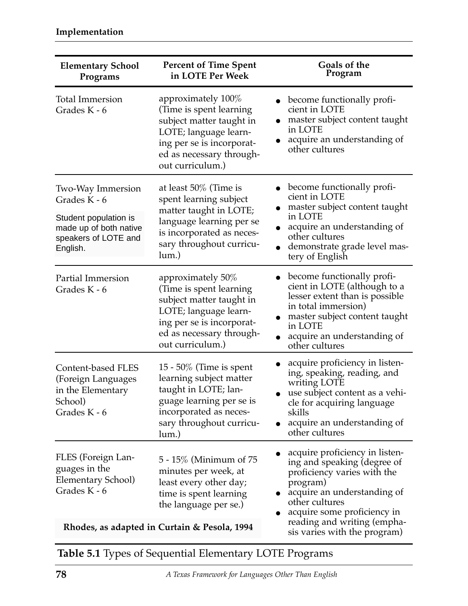| <b>Elementary School</b><br>Programs                                                                                            | <b>Percent of Time Spent</b><br>in LOTE Per Week                                                                                                                                | Goals of the<br>Program                                                                                                                                                                                                                                 |
|---------------------------------------------------------------------------------------------------------------------------------|---------------------------------------------------------------------------------------------------------------------------------------------------------------------------------|---------------------------------------------------------------------------------------------------------------------------------------------------------------------------------------------------------------------------------------------------------|
| <b>Total Immersion</b><br>Grades K - 6                                                                                          | approximately 100%<br>(Time is spent learning<br>subject matter taught in<br>LOTE; language learn-<br>ing per se is incorporat-<br>ed as necessary through-<br>out curriculum.) | become functionally profi-<br>cient in LOTE<br>master subject content taught<br>in LOTE<br>acquire an understanding of<br>other cultures                                                                                                                |
| <b>Two-Way Immersion</b><br>Grades K - 6<br>Student population is<br>made up of both native<br>speakers of LOTE and<br>English. | at least $50\%$ (Time is<br>spent learning subject<br>matter taught in LOTE;<br>language learning per se<br>is incorporated as neces-<br>sary throughout curricu-<br>lum.)      | become functionally profi-<br>cient in LOTE<br>master subject content taught<br>in LOTE<br>acquire an understanding of<br>other cultures<br>demonstrate grade level mas-<br>tery of English                                                             |
| <b>Partial Immersion</b><br>Grades K - 6                                                                                        | approximately 50%<br>(Time is spent learning<br>subject matter taught in<br>LOTE; language learn-<br>ing per se is incorporat-<br>ed as necessary through-<br>out curriculum.)  | become functionally profi-<br>cient in LOTE (although to a<br>lesser extent than is possible<br>in total immersion)<br>master subject content taught<br>in LOTE<br>acquire an understanding of<br>other cultures                                        |
| <b>Content-based FLES</b><br>(Foreign Languages<br>in the Elementary<br>School)<br>Grades K - 6                                 | 15 - 50% (Time is spent<br>learning subject matter<br>taught in LOTE; lan-<br>guage learning per se is<br>incorporated as neces-<br>sary throughout curricu-<br>lum.)           | acquire proficiency in listen-<br>ing, speaking, reading, and<br>writing LOTE<br>use subject content as a vehi-<br>cle for acquiring language<br>skills<br>acquire an understanding of<br>other cultures                                                |
| FLES (Foreign Lan-<br>guages in the<br>Elementary School)<br>Grades K - 6                                                       | 5 - 15% (Minimum of 75<br>minutes per week, at<br>least every other day;<br>time is spent learning<br>the language per se.)<br>Rhodes, as adapted in Curtain & Pesola, 1994     | acquire proficiency in listen-<br>ing and speaking (degree of<br>proficiency varies with the<br>program)<br>acquire an understanding of<br>other cultures<br>acquire some proficiency in<br>reading and writing (empha-<br>sis varies with the program) |

**Table 5.1** Types of Sequential Elementary LOTE Programs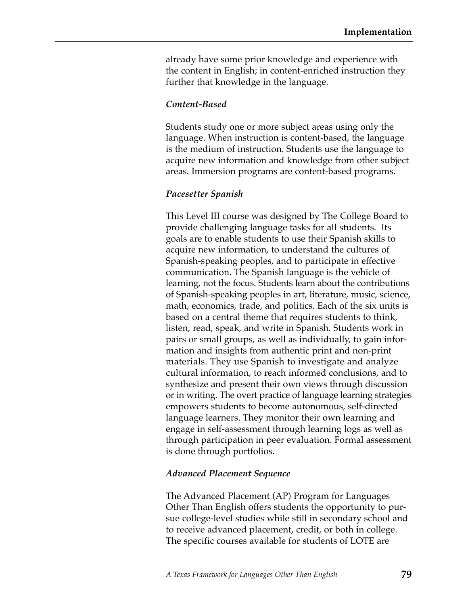already have some prior knowledge and experience with the content in English; in content-enriched instruction they further that knowledge in the language.

### *Content-Based*

Students study one or more subject areas using only the language. When instruction is content-based, the language is the medium of instruction. Students use the language to acquire new information and knowledge from other subject areas. Immersion programs are content-based programs.

### *Pacesetter Spanish*

This Level III course was designed by The College Board to provide challenging language tasks for all students. Its goals are to enable students to use their Spanish skills to acquire new information, to understand the cultures of Spanish-speaking peoples, and to participate in effective communication. The Spanish language is the vehicle of learning, not the focus. Students learn about the contributions of Spanish-speaking peoples in art, literature, music, science, math, economics, trade, and politics. Each of the six units is based on a central theme that requires students to think, listen, read, speak, and write in Spanish. Students work in pairs or small groups, as well as individually, to gain information and insights from authentic print and non-print materials. They use Spanish to investigate and analyze cultural information, to reach informed conclusions, and to synthesize and present their own views through discussion or in writing. The overt practice of language learning strategies empowers students to become autonomous, self-directed language learners. They monitor their own learning and engage in self-assessment through learning logs as well as through participation in peer evaluation. Formal assessment is done through portfolios.

### *Advanced Placement Sequence*

The Advanced Placement (AP) Program for Languages Other Than English offers students the opportunity to pursue college-level studies while still in secondary school and to receive advanced placement, credit, or both in college. The specific courses available for students of LOTE are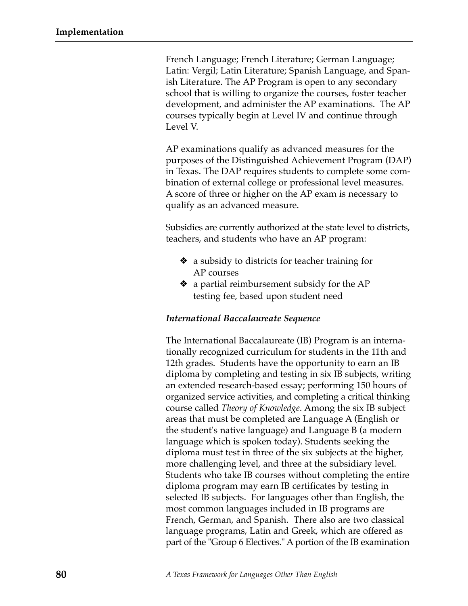French Language; French Literature; German Language; Latin: Vergil; Latin Literature; Spanish Language, and Spanish Literature. The AP Program is open to any secondary school that is willing to organize the courses, foster teacher development, and administer the AP examinations. The AP courses typically begin at Level IV and continue through Level V.

AP examinations qualify as advanced measures for the purposes of the Distinguished Achievement Program (DAP) in Texas. The DAP requires students to complete some combination of external college or professional level measures. A score of three or higher on the AP exam is necessary to qualify as an advanced measure.

Subsidies are currently authorized at the state level to districts, teachers, and students who have an AP program:

- ❖ a subsidy to districts for teacher training for AP courses
- $\triangleleft$  a partial reimbursement subsidy for the AP testing fee, based upon student need

### *International Baccalaureate Sequence*

The International Baccalaureate (IB) Program is an internationally recognized curriculum for students in the 11th and 12th grades. Students have the opportunity to earn an IB diploma by completing and testing in six IB subjects, writing an extended research-based essay; performing 150 hours of organized service activities, and completing a critical thinking course called *Theory of Knowledge*. Among the six IB subject areas that must be completed are Language A (English or the student's native language) and Language B (a modern language which is spoken today). Students seeking the diploma must test in three of the six subjects at the higher, more challenging level, and three at the subsidiary level. Students who take IB courses without completing the entire diploma program may earn IB certificates by testing in selected IB subjects. For languages other than English, the most common languages included in IB programs are French, German, and Spanish. There also are two classical language programs, Latin and Greek, which are offered as part of the "Group 6 Electives." A portion of the IB examination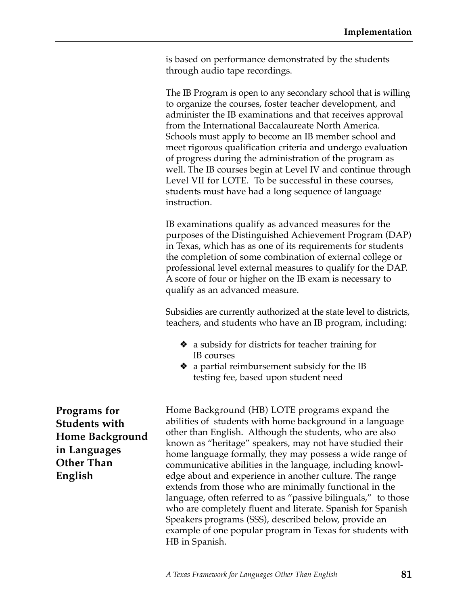is based on performance demonstrated by the students through audio tape recordings.

The IB Program is open to any secondary school that is willing to organize the courses, foster teacher development, and administer the IB examinations and that receives approval from the International Baccalaureate North America. Schools must apply to become an IB member school and meet rigorous qualification criteria and undergo evaluation of progress during the administration of the program as well. The IB courses begin at Level IV and continue through Level VII for LOTE. To be successful in these courses, students must have had a long sequence of language instruction.

IB examinations qualify as advanced measures for the purposes of the Distinguished Achievement Program (DAP) in Texas, which has as one of its requirements for students the completion of some combination of external college or professional level external measures to qualify for the DAP. A score of four or higher on the IB exam is necessary to qualify as an advanced measure.

Subsidies are currently authorized at the state level to districts, teachers, and students who have an IB program, including:

- ❖ a subsidy for districts for teacher training for IB courses
- $\triangleleft$  a partial reimbursement subsidy for the IB testing fee, based upon student need

**Programs for Students with Home Background in Languages Other Than English** 

Home Background (HB) LOTE programs expand the abilities of students with home background in a language other than English. Although the students, who are also known as "heritage" speakers, may not have studied their home language formally, they may possess a wide range of communicative abilities in the language, including knowledge about and experience in another culture. The range extends from those who are minimally functional in the language, often referred to as "passive bilinguals," to those who are completely fluent and literate. Spanish for Spanish Speakers programs (SSS), described below, provide an example of one popular program in Texas for students with HB in Spanish.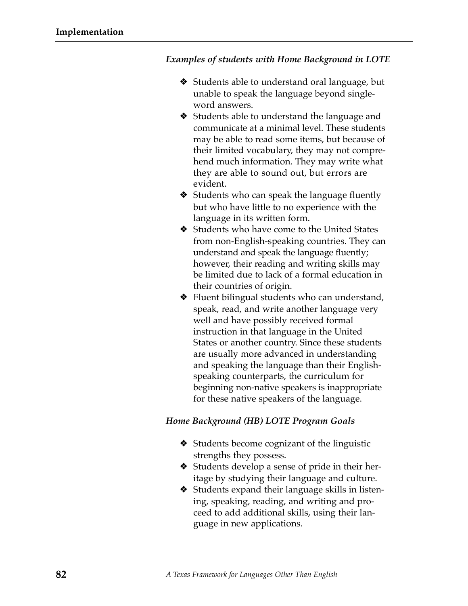### *Examples of students with Home Background in LOTE*

- ❖ Students able to understand oral language, but unable to speak the language beyond singleword answers.
- ❖ Students able to understand the language and communicate at a minimal level. These students may be able to read some items, but because of their limited vocabulary, they may not comprehend much information. They may write what they are able to sound out, but errors are evident.
- ❖ Students who can speak the language fluently but who have little to no experience with the language in its written form.
- ❖ Students who have come to the United States from non-English-speaking countries. They can understand and speak the language fluently; however, their reading and writing skills may be limited due to lack of a formal education in their countries of origin.
- ❖ Fluent bilingual students who can understand, speak, read, and write another language very well and have possibly received formal instruction in that language in the United States or another country. Since these students are usually more advanced in understanding and speaking the language than their Englishspeaking counterparts, the curriculum for beginning non-native speakers is inappropriate for these native speakers of the language.

### *Home Background (HB) LOTE Program Goals*

- ❖ Students become cognizant of the linguistic strengths they possess.
- ❖ Students develop a sense of pride in their heritage by studying their language and culture.
- ❖ Students expand their language skills in listening, speaking, reading, and writing and proceed to add additional skills, using their language in new applications.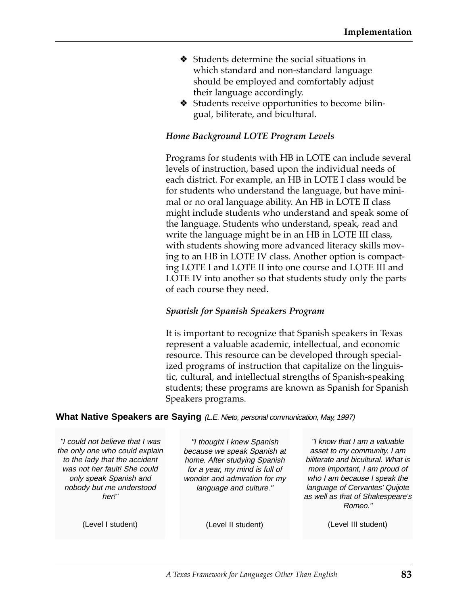- ❖ Students determine the social situations in which standard and non-standard language should be employed and comfortably adjust their language accordingly.
- ❖ Students receive opportunities to become bilingual, biliterate, and bicultural.

### *Home Background LOTE Program Levels*

Programs for students with HB in LOTE can include several levels of instruction, based upon the individual needs of each district. For example, an HB in LOTE I class would be for students who understand the language, but have minimal or no oral language ability. An HB in LOTE II class might include students who understand and speak some of the language. Students who understand, speak, read and write the language might be in an HB in LOTE III class, with students showing more advanced literacy skills moving to an HB in LOTE IV class. Another option is compacting LOTE I and LOTE II into one course and LOTE III and LOTE IV into another so that students study only the parts of each course they need.

### *Spanish for Spanish Speakers Program*

It is important to recognize that Spanish speakers in Texas represent a valuable academic, intellectual, and economic resource. This resource can be developed through specialized programs of instruction that capitalize on the linguistic, cultural, and intellectual strengths of Spanish-speaking students; these programs are known as Spanish for Spanish Speakers programs.

### **What Native Speakers are Saying (L.E. Nieto, personal communication, May, 1997)**

"I could not believe that I was the only one who could explain to the lady that the accident was not her fault! She could only speak Spanish and nobody but me understood her!"

"I thought I knew Spanish because we speak Spanish at home. After studying Spanish for a year, my mind is full of wonder and admiration for my language and culture."

"I know that I am a valuable asset to my community. I am biliterate and bicultural. What is more important, I am proud of who I am because I speak the language of Cervantes' Quijote as well as that of Shakespeare's Romeo."

(Level I student)

(Level II student)

(Level III student)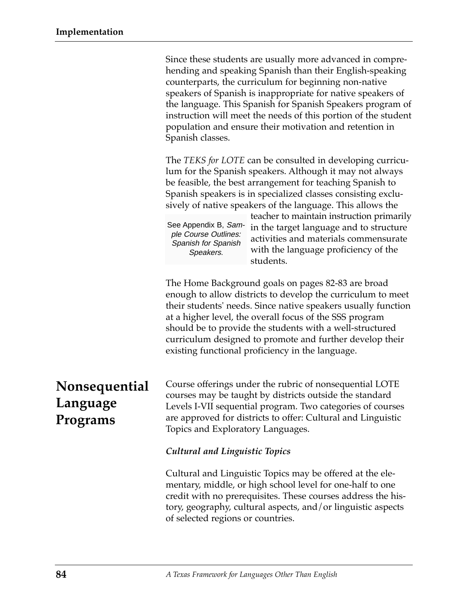The *TEKS for LOTE* can be consulted in developing curriculum for the Spanish speakers. Although it may not always be feasible, the best arrangement for teaching Spanish to Spanish speakers is in specialized classes consisting exclusively of native speakers of the language. This allows the

See Appendix B, Sample Course Outlines: Spanish for Spanish Speakers.

teacher to maintain instruction primarily in the target language and to structure activities and materials commensurate with the language proficiency of the students.

The Home Background goals on pages 82-83 are broad enough to allow districts to develop the curriculum to meet their students' needs. Since native speakers usually function at a higher level, the overall focus of the SSS program should be to provide the students with a well-structured curriculum designed to promote and further develop their existing functional proficiency in the language.

Course offerings under the rubric of nonsequential LOTE courses may be taught by districts outside the standard Levels I-VII sequential program. Two categories of courses are approved for districts to offer: Cultural and Linguistic Topics and Exploratory Languages. **Nonsequential Language Programs**

### *Cultural and Linguistic Topics*

Cultural and Linguistic Topics may be offered at the elementary, middle, or high school level for one-half to one credit with no prerequisites. These courses address the history, geography, cultural aspects, and/or linguistic aspects of selected regions or countries.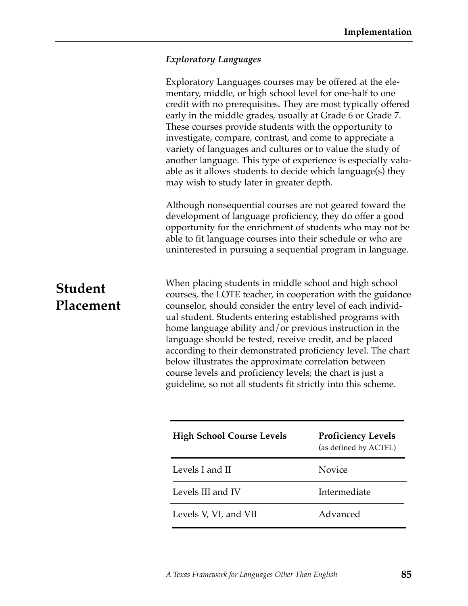## *Exploratory Languages*

|                             | <b>High School Course Levels</b>                                                                                                                                                                                                                                                                                                                                                                                                                                                                                                                                                                                                | <b>Proficiency Levels</b><br>(as defined by ACTFL) |
|-----------------------------|---------------------------------------------------------------------------------------------------------------------------------------------------------------------------------------------------------------------------------------------------------------------------------------------------------------------------------------------------------------------------------------------------------------------------------------------------------------------------------------------------------------------------------------------------------------------------------------------------------------------------------|----------------------------------------------------|
| <b>Student</b><br>Placement | When placing students in middle school and high school<br>courses, the LOTE teacher, in cooperation with the guidance<br>counselor, should consider the entry level of each individ-<br>ual student. Students entering established programs with<br>home language ability and/or previous instruction in the<br>language should be tested, receive credit, and be placed<br>according to their demonstrated proficiency level. The chart<br>below illustrates the approximate correlation between<br>course levels and proficiency levels; the chart is just a<br>guideline, so not all students fit strictly into this scheme. |                                                    |
|                             | Although nonsequential courses are not geared toward the<br>development of language proficiency, they do offer a good<br>opportunity for the enrichment of students who may not be<br>able to fit language courses into their schedule or who are<br>uninterested in pursuing a sequential program in language.                                                                                                                                                                                                                                                                                                                 |                                                    |
|                             | Exploratory Languages courses may be offered at the ele-<br>mentary, middle, or high school level for one-half to one<br>credit with no prerequisites. They are most typically offered<br>early in the middle grades, usually at Grade 6 or Grade 7.<br>These courses provide students with the opportunity to<br>investigate, compare, contrast, and come to appreciate a<br>variety of languages and cultures or to value the study of<br>another language. This type of experience is especially valu-<br>able as it allows students to decide which language(s) they<br>may wish to study later in greater depth.           |                                                    |

Levels I and II Levels III and IV Levels V, VI, and VII Novice Intermediate Advanced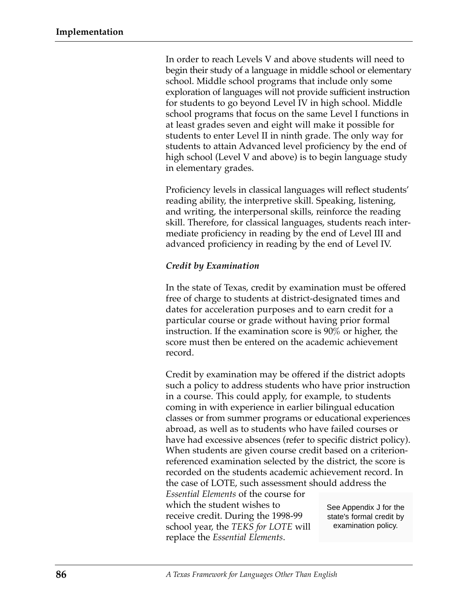In order to reach Levels V and above students will need to begin their study of a language in middle school or elementary school. Middle school programs that include only some exploration of languages will not provide sufficient instruction for students to go beyond Level IV in high school. Middle school programs that focus on the same Level I functions in at least grades seven and eight will make it possible for students to enter Level II in ninth grade. The only way for students to attain Advanced level proficiency by the end of high school (Level V and above) is to begin language study in elementary grades.

Proficiency levels in classical languages will reflect students' reading ability, the interpretive skill. Speaking, listening, and writing, the interpersonal skills, reinforce the reading skill. Therefore, for classical languages, students reach intermediate proficiency in reading by the end of Level III and advanced proficiency in reading by the end of Level IV.

### *Credit by Examination*

In the state of Texas, credit by examination must be offered free of charge to students at district-designated times and dates for acceleration purposes and to earn credit for a particular course or grade without having prior formal instruction. If the examination score is 90% or higher, the score must then be entered on the academic achievement record.

Credit by examination may be offered if the district adopts such a policy to address students who have prior instruction in a course. This could apply, for example, to students coming in with experience in earlier bilingual education classes or from summer programs or educational experiences abroad, as well as to students who have failed courses or have had excessive absences (refer to specific district policy). When students are given course credit based on a criterionreferenced examination selected by the district, the score is recorded on the students academic achievement record. In the case of LOTE, such assessment should address the *Essential Elements* of the course for which the student wishes to receive credit. During the 1998-99 school year, the *TEKS for LOTE* will replace the *Essential Elements*. See Appendix J for the state's formal credit by examination policy.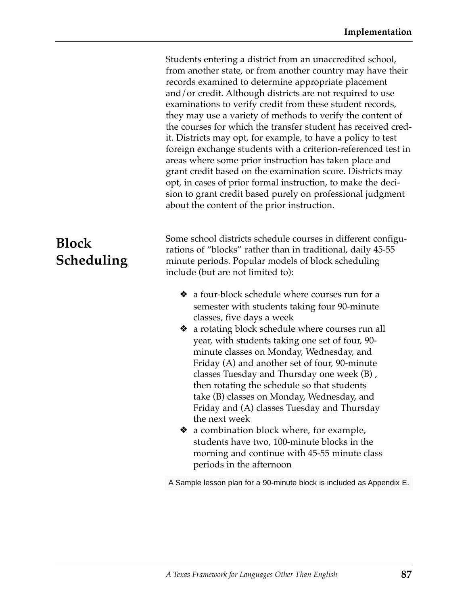Students entering a district from an unaccredited school, from another state, or from another country may have their records examined to determine appropriate placement and/or credit. Although districts are not required to use examinations to verify credit from these student records, they may use a variety of methods to verify the content of the courses for which the transfer student has received credit. Districts may opt, for example, to have a policy to test foreign exchange students with a criterion-referenced test in areas where some prior instruction has taken place and grant credit based on the examination score. Districts may opt, in cases of prior formal instruction, to make the decision to grant credit based purely on professional judgment about the content of the prior instruction.

# **Block Scheduling**

Some school districts schedule courses in different configurations of "blocks" rather than in traditional, daily 45-55 minute periods. Popular models of block scheduling include (but are not limited to):

- ❖ a four-block schedule where courses run for a semester with students taking four 90-minute classes, five days a week
- ❖ a rotating block schedule where courses run all year, with students taking one set of four, 90 minute classes on Monday, Wednesday, and Friday (A) and another set of four, 90-minute classes Tuesday and Thursday one week (B) , then rotating the schedule so that students take (B) classes on Monday, Wednesday, and Friday and (A) classes Tuesday and Thursday the next week
- ❖ a combination block where, for example, students have two, 100-minute blocks in the morning and continue with 45-55 minute class periods in the afternoon

A Sample lesson plan for a 90-minute block is included as Appendix E.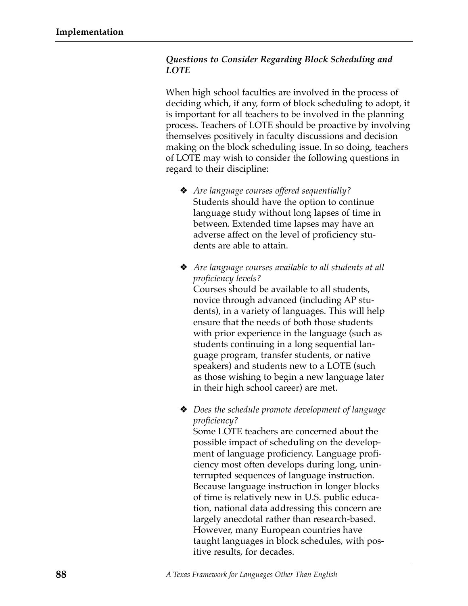### *Questions to Consider Regarding Block Scheduling and LOTE*

When high school faculties are involved in the process of deciding which, if any, form of block scheduling to adopt, it is important for all teachers to be involved in the planning process. Teachers of LOTE should be proactive by involving themselves positively in faculty discussions and decision making on the block scheduling issue. In so doing, teachers of LOTE may wish to consider the following questions in regard to their discipline:

- ❖ *Are language courses offered sequentially?* Students should have the option to continue language study without long lapses of time in between. Extended time lapses may have an adverse affect on the level of proficiency students are able to attain.
- ❖ *Are language courses available to all students at all proficiency levels?*

Courses should be available to all students, novice through advanced (including AP students), in a variety of languages. This will help ensure that the needs of both those students with prior experience in the language (such as students continuing in a long sequential language program, transfer students, or native speakers) and students new to a LOTE (such as those wishing to begin a new language later in their high school career) are met.

❖ *Does the schedule promote development of language proficiency?*

Some LOTE teachers are concerned about the possible impact of scheduling on the development of language proficiency. Language proficiency most often develops during long, uninterrupted sequences of language instruction. Because language instruction in longer blocks of time is relatively new in U.S. public education, national data addressing this concern are largely anecdotal rather than research-based. However, many European countries have taught languages in block schedules, with positive results, for decades.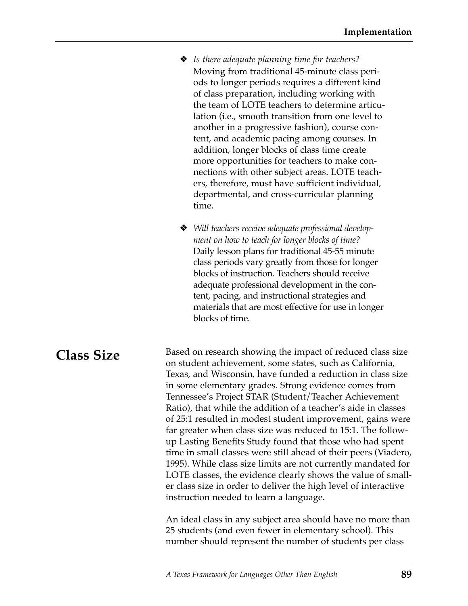| Is there adequate planning time for teachers?     |
|---------------------------------------------------|
| Moving from traditional 45-minute class peri-     |
| ods to longer periods requires a different kind   |
| of class preparation, including working with      |
| the team of LOTE teachers to determine articu-    |
| lation (i.e., smooth transition from one level to |
| another in a progressive fashion), course con-    |
| tent, and academic pacing among courses. In       |
| addition, longer blocks of class time create      |
| more opportunities for teachers to make con-      |
| nections with other subject areas. LOTE teach-    |
| ers, therefore, must have sufficient individual,  |
| departmental, and cross-curricular planning       |
| time.                                             |
|                                                   |

❖ *Will teachers receive adequate professional development on how to teach for longer blocks of time?* Daily lesson plans for traditional 45-55 minute class periods vary greatly from those for longer blocks of instruction. Teachers should receive adequate professional development in the content, pacing, and instructional strategies and materials that are most effective for use in longer blocks of time.

Based on research showing the impact of reduced class size on student achievement, some states, such as California, Texas, and Wisconsin, have funded a reduction in class size in some elementary grades. Strong evidence comes from Tennessee's Project STAR (Student/Teacher Achievement Ratio), that while the addition of a teacher's aide in classes of 25:1 resulted in modest student improvement, gains were far greater when class size was reduced to 15:1. The followup Lasting Benefits Study found that those who had spent time in small classes were still ahead of their peers (Viadero, 1995). While class size limits are not currently mandated for LOTE classes, the evidence clearly shows the value of smaller class size in order to deliver the high level of interactive instruction needed to learn a language. **Class Size**

> An ideal class in any subject area should have no more than 25 students (and even fewer in elementary school). This number should represent the number of students per class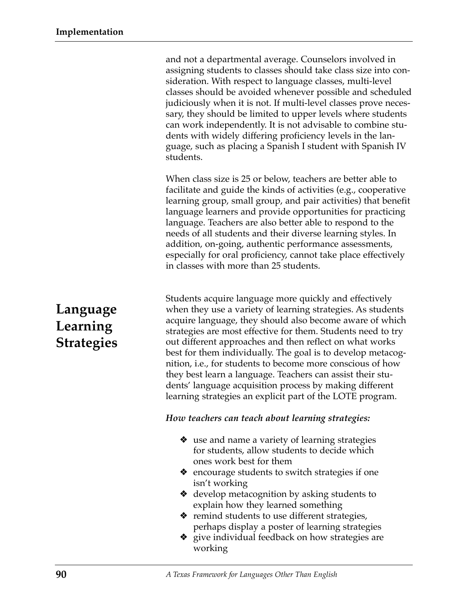and not a departmental average. Counselors involved in assigning students to classes should take class size into consideration. With respect to language classes, multi-level classes should be avoided whenever possible and scheduled judiciously when it is not. If multi-level classes prove necessary, they should be limited to upper levels where students can work independently. It is not advisable to combine students with widely differing proficiency levels in the language, such as placing a Spanish I student with Spanish IV students.

When class size is 25 or below, teachers are better able to facilitate and guide the kinds of activities (e.g., cooperative learning group, small group, and pair activities) that benefit language learners and provide opportunities for practicing language. Teachers are also better able to respond to the needs of all students and their diverse learning styles. In addition, on-going, authentic performance assessments, especially for oral proficiency, cannot take place effectively in classes with more than 25 students.

Students acquire language more quickly and effectively when they use a variety of learning strategies. As students acquire language, they should also become aware of which strategies are most effective for them. Students need to try out different approaches and then reflect on what works best for them individually. The goal is to develop metacognition, i.e., for students to become more conscious of how they best learn a language. Teachers can assist their students' language acquisition process by making different learning strategies an explicit part of the LOTE program.

### *How teachers can teach about learning strategies:*

- ❖ use and name a variety of learning strategies for students, allow students to decide which ones work best for them
- ❖ encourage students to switch strategies if one isn't working
- ❖ develop metacognition by asking students to explain how they learned something
- ❖ remind students to use different strategies, perhaps display a poster of learning strategies
- ❖ give individual feedback on how strategies are working

# **Language Learning Strategies**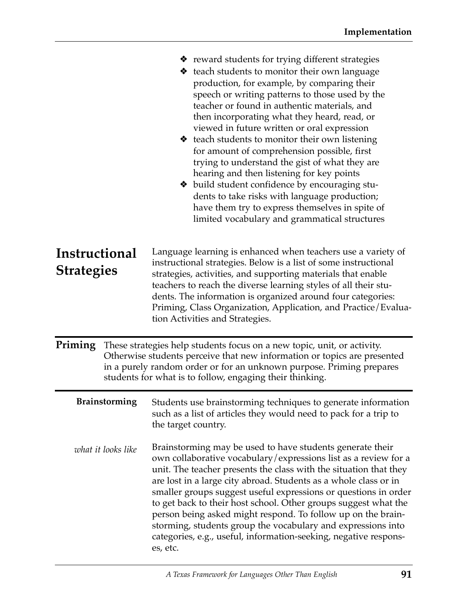|                                    |                      | ❖ reward students for trying different strategies<br>❖ teach students to monitor their own language<br>production, for example, by comparing their<br>speech or writing patterns to those used by the<br>teacher or found in authentic materials, and<br>then incorporating what they heard, read, or<br>viewed in future written or oral expression<br>❖ teach students to monitor their own listening<br>for amount of comprehension possible, first<br>trying to understand the gist of what they are<br>hearing and then listening for key points<br>❖ build student confidence by encouraging stu-<br>dents to take risks with language production;<br>have them try to express themselves in spite of<br>limited vocabulary and grammatical structures |  |
|------------------------------------|----------------------|--------------------------------------------------------------------------------------------------------------------------------------------------------------------------------------------------------------------------------------------------------------------------------------------------------------------------------------------------------------------------------------------------------------------------------------------------------------------------------------------------------------------------------------------------------------------------------------------------------------------------------------------------------------------------------------------------------------------------------------------------------------|--|
| Instructional<br><b>Strategies</b> |                      | Language learning is enhanced when teachers use a variety of<br>instructional strategies. Below is a list of some instructional<br>strategies, activities, and supporting materials that enable<br>teachers to reach the diverse learning styles of all their stu-<br>dents. The information is organized around four categories:<br>Priming, Class Organization, Application, and Practice/Evalua-<br>tion Activities and Strategies.                                                                                                                                                                                                                                                                                                                       |  |
| Priming                            |                      | These strategies help students focus on a new topic, unit, or activity.<br>Otherwise students perceive that new information or topics are presented<br>in a purely random order or for an unknown purpose. Priming prepares<br>students for what is to follow, engaging their thinking.                                                                                                                                                                                                                                                                                                                                                                                                                                                                      |  |
|                                    | <b>Brainstorming</b> | Students use brainstorming techniques to generate information<br>such as a list of articles they would need to pack for a trip to<br>the target country.                                                                                                                                                                                                                                                                                                                                                                                                                                                                                                                                                                                                     |  |
|                                    | what it looks like   | Brainstorming may be used to have students generate their<br>own collaborative vocabulary/expressions list as a review for a<br>unit. The teacher presents the class with the situation that they<br>are lost in a large city abroad. Students as a whole class or in<br>smaller groups suggest useful expressions or questions in order<br>to get back to their host school. Other groups suggest what the<br>person being asked might respond. To follow up on the brain-<br>storming, students group the vocabulary and expressions into<br>categories, e.g., useful, information-seeking, negative respons-<br>es, etc.                                                                                                                                  |  |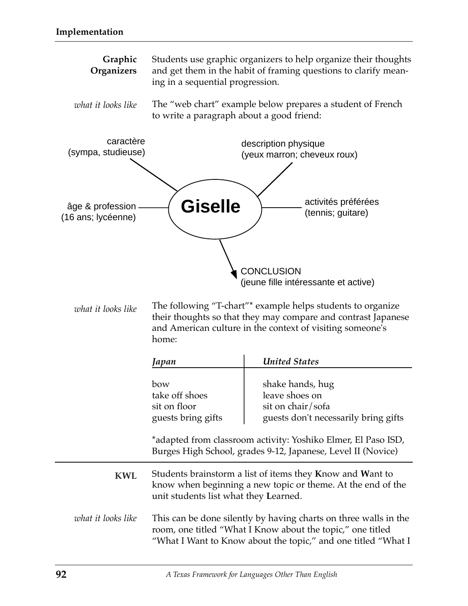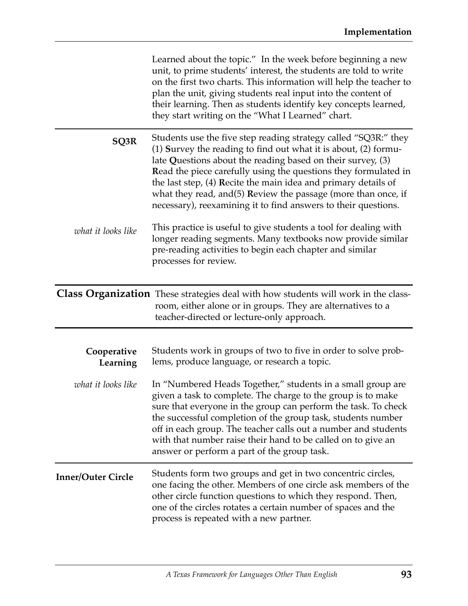|                           | Learned about the topic." In the week before beginning a new<br>unit, to prime students' interest, the students are told to write<br>on the first two charts. This information will help the teacher to<br>plan the unit, giving students real input into the content of<br>their learning. Then as students identify key concepts learned,<br>they start writing on the "What I Learned" chart.                                                                             |
|---------------------------|------------------------------------------------------------------------------------------------------------------------------------------------------------------------------------------------------------------------------------------------------------------------------------------------------------------------------------------------------------------------------------------------------------------------------------------------------------------------------|
| SQ3R                      | Students use the five step reading strategy called "SQ3R:" they<br>(1) Survey the reading to find out what it is about, (2) formu-<br>late Questions about the reading based on their survey, (3)<br>Read the piece carefully using the questions they formulated in<br>the last step, (4) Recite the main idea and primary details of<br>what they read, and $(5)$ Review the passage (more than once, if<br>necessary), reexamining it to find answers to their questions. |
| what it looks like        | This practice is useful to give students a tool for dealing with<br>longer reading segments. Many textbooks now provide similar<br>pre-reading activities to begin each chapter and similar<br>processes for review.                                                                                                                                                                                                                                                         |
|                           | Class Organization These strategies deal with how students will work in the class-<br>room, either alone or in groups. They are alternatives to a<br>teacher-directed or lecture-only approach.                                                                                                                                                                                                                                                                              |
| Cooperative<br>Learning   | Students work in groups of two to five in order to solve prob-<br>lems, produce language, or research a topic.                                                                                                                                                                                                                                                                                                                                                               |
| what it looks like        | In "Numbered Heads Together," students in a small group are<br>given a task to complete. The charge to the group is to make<br>sure that everyone in the group can perform the task. To check<br>the successful completion of the group task, students number<br>off in each group. The teacher calls out a number and students<br>with that number raise their hand to be called on to give an<br>answer or perform a part of the group task.                               |
| <b>Inner/Outer Circle</b> | Students form two groups and get in two concentric circles,<br>one facing the other. Members of one circle ask members of the<br>other circle function questions to which they respond. Then,<br>one of the circles rotates a certain number of spaces and the<br>process is repeated with a new partner.                                                                                                                                                                    |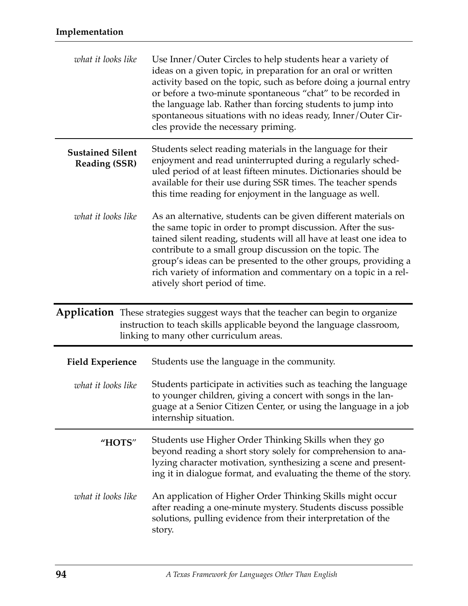| what it looks like                              | Use Inner/Outer Circles to help students hear a variety of<br>ideas on a given topic, in preparation for an oral or written<br>activity based on the topic, such as before doing a journal entry<br>or before a two-minute spontaneous "chat" to be recorded in<br>the language lab. Rather than forcing students to jump into<br>spontaneous situations with no ideas ready, Inner/Outer Cir-<br>cles provide the necessary priming.    |
|-------------------------------------------------|------------------------------------------------------------------------------------------------------------------------------------------------------------------------------------------------------------------------------------------------------------------------------------------------------------------------------------------------------------------------------------------------------------------------------------------|
| <b>Sustained Silent</b><br><b>Reading (SSR)</b> | Students select reading materials in the language for their<br>enjoyment and read uninterrupted during a regularly sched-<br>uled period of at least fifteen minutes. Dictionaries should be<br>available for their use during SSR times. The teacher spends<br>this time reading for enjoyment in the language as well.                                                                                                                 |
| what it looks like                              | As an alternative, students can be given different materials on<br>the same topic in order to prompt discussion. After the sus-<br>tained silent reading, students will all have at least one idea to<br>contribute to a small group discussion on the topic. The<br>group's ideas can be presented to the other groups, providing a<br>rich variety of information and commentary on a topic in a rel-<br>atively short period of time. |
|                                                 | Application These strategies suggest ways that the teacher can begin to organize<br>instruction to teach skills applicable beyond the language classroom,<br>linking to many other curriculum areas.                                                                                                                                                                                                                                     |
| <b>Field Experience</b>                         | Students use the language in the community.                                                                                                                                                                                                                                                                                                                                                                                              |
| what it looks like                              | Students participate in activities such as teaching the language<br>to younger children, giving a concert with songs in the lan-<br>guage at a Senior Citizen Center, or using the language in a job<br>internship situation.                                                                                                                                                                                                            |
| "HOTS"                                          | Students use Higher Order Thinking Skills when they go<br>beyond reading a short story solely for comprehension to ana-<br>lyzing character motivation, synthesizing a scene and present-<br>ing it in dialogue format, and evaluating the theme of the story.                                                                                                                                                                           |
| what it looks like                              | An application of Higher Order Thinking Skills might occur<br>after reading a one-minute mystery. Students discuss possible<br>solutions, pulling evidence from their interpretation of the<br>story.                                                                                                                                                                                                                                    |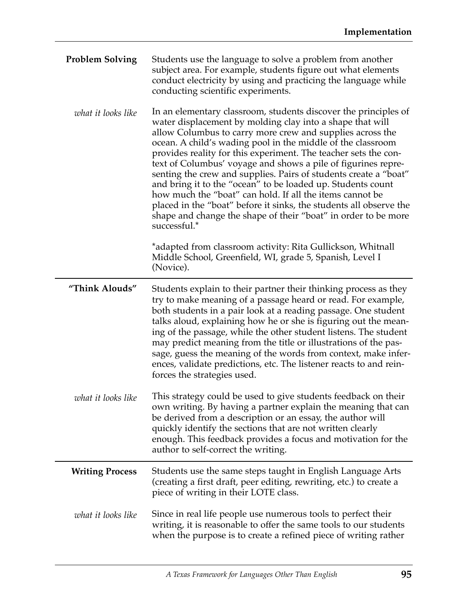| <b>Problem Solving</b> | Students use the language to solve a problem from another<br>subject area. For example, students figure out what elements<br>conduct electricity by using and practicing the language while<br>conducting scientific experiments.                                                                                                                                                                                                                                                                                                                                                                                                                                                                                                                   |
|------------------------|-----------------------------------------------------------------------------------------------------------------------------------------------------------------------------------------------------------------------------------------------------------------------------------------------------------------------------------------------------------------------------------------------------------------------------------------------------------------------------------------------------------------------------------------------------------------------------------------------------------------------------------------------------------------------------------------------------------------------------------------------------|
| what it looks like     | In an elementary classroom, students discover the principles of<br>water displacement by molding clay into a shape that will<br>allow Columbus to carry more crew and supplies across the<br>ocean. A child's wading pool in the middle of the classroom<br>provides reality for this experiment. The teacher sets the con-<br>text of Columbus' voyage and shows a pile of figurines repre-<br>senting the crew and supplies. Pairs of students create a "boat"<br>and bring it to the "ocean" to be loaded up. Students count<br>how much the "boat" can hold. If all the items cannot be<br>placed in the "boat" before it sinks, the students all observe the<br>shape and change the shape of their "boat" in order to be more<br>successful.* |
|                        | *adapted from classroom activity: Rita Gullickson, Whitnall<br>Middle School, Greenfield, WI, grade 5, Spanish, Level I<br>(Novice).                                                                                                                                                                                                                                                                                                                                                                                                                                                                                                                                                                                                                |
| "Think Alouds"         | Students explain to their partner their thinking process as they<br>try to make meaning of a passage heard or read. For example,<br>both students in a pair look at a reading passage. One student<br>talks aloud, explaining how he or she is figuring out the mean-<br>ing of the passage, while the other student listens. The student<br>may predict meaning from the title or illustrations of the pas-<br>sage, guess the meaning of the words from context, make infer-<br>ences, validate predictions, etc. The listener reacts to and rein-<br>forces the strategies used.                                                                                                                                                                 |
| what it looks like     | This strategy could be used to give students feedback on their<br>own writing. By having a partner explain the meaning that can<br>be derived from a description or an essay, the author will                                                                                                                                                                                                                                                                                                                                                                                                                                                                                                                                                       |
|                        | quickly identify the sections that are not written clearly<br>enough. This feedback provides a focus and motivation for the<br>author to self-correct the writing.                                                                                                                                                                                                                                                                                                                                                                                                                                                                                                                                                                                  |
| <b>Writing Process</b> | Students use the same steps taught in English Language Arts<br>(creating a first draft, peer editing, rewriting, etc.) to create a<br>piece of writing in their LOTE class.                                                                                                                                                                                                                                                                                                                                                                                                                                                                                                                                                                         |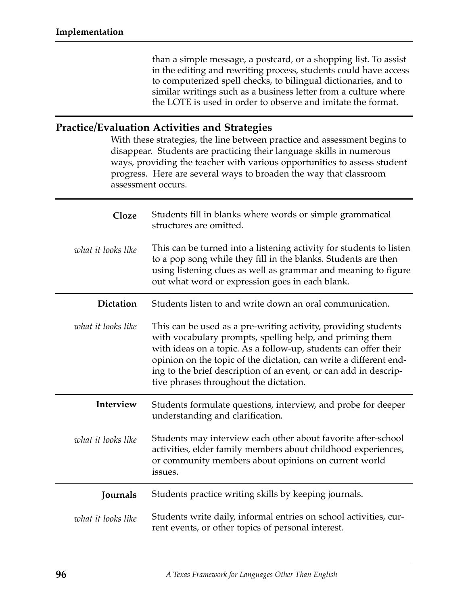than a simple message, a postcard, or a shopping list. To assist in the editing and rewriting process, students could have access to computerized spell checks, to bilingual dictionaries, and to similar writings such as a business letter from a culture where the LOTE is used in order to observe and imitate the format.

## **Practice/Evaluation Activities and Strategies**

With these strategies, the line between practice and assessment begins to disappear. Students are practicing their language skills in numerous ways, providing the teacher with various opportunities to assess student progress. Here are several ways to broaden the way that classroom assessment occurs.

| Cloze              | Students fill in blanks where words or simple grammatical<br>structures are omitted.                                                                                                                                                                                                                                                                                             |
|--------------------|----------------------------------------------------------------------------------------------------------------------------------------------------------------------------------------------------------------------------------------------------------------------------------------------------------------------------------------------------------------------------------|
| what it looks like | This can be turned into a listening activity for students to listen<br>to a pop song while they fill in the blanks. Students are then<br>using listening clues as well as grammar and meaning to figure<br>out what word or expression goes in each blank.                                                                                                                       |
| <b>Dictation</b>   | Students listen to and write down an oral communication.                                                                                                                                                                                                                                                                                                                         |
| what it looks like | This can be used as a pre-writing activity, providing students<br>with vocabulary prompts, spelling help, and priming them<br>with ideas on a topic. As a follow-up, students can offer their<br>opinion on the topic of the dictation, can write a different end-<br>ing to the brief description of an event, or can add in descrip-<br>tive phrases throughout the dictation. |
| Interview          | Students formulate questions, interview, and probe for deeper<br>understanding and clarification.                                                                                                                                                                                                                                                                                |
| what it looks like | Students may interview each other about favorite after-school<br>activities, elder family members about childhood experiences,<br>or community members about opinions on current world<br>issues.                                                                                                                                                                                |
| Journals           | Students practice writing skills by keeping journals.                                                                                                                                                                                                                                                                                                                            |
| what it looks like | Students write daily, informal entries on school activities, cur-<br>rent events, or other topics of personal interest.                                                                                                                                                                                                                                                          |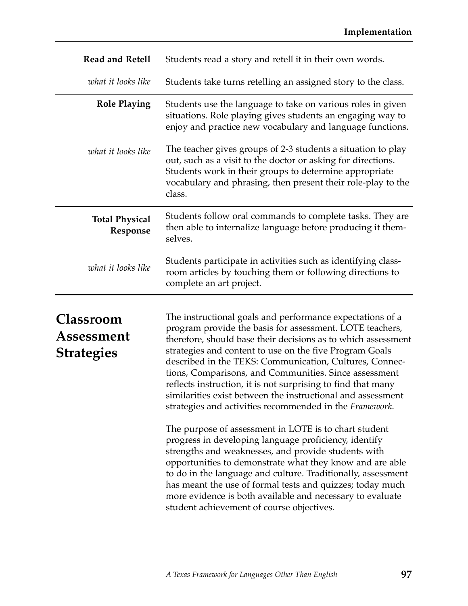| Read and Retell                                     | Students read a story and retell it in their own words.                                                                                                                                                                                                                                                                                                                                                                                                                                                                                                                                                                                                                                                                                                                                                                                                                                                                                                                                                                                     |
|-----------------------------------------------------|---------------------------------------------------------------------------------------------------------------------------------------------------------------------------------------------------------------------------------------------------------------------------------------------------------------------------------------------------------------------------------------------------------------------------------------------------------------------------------------------------------------------------------------------------------------------------------------------------------------------------------------------------------------------------------------------------------------------------------------------------------------------------------------------------------------------------------------------------------------------------------------------------------------------------------------------------------------------------------------------------------------------------------------------|
| what it looks like                                  | Students take turns retelling an assigned story to the class.                                                                                                                                                                                                                                                                                                                                                                                                                                                                                                                                                                                                                                                                                                                                                                                                                                                                                                                                                                               |
| <b>Role Playing</b>                                 | Students use the language to take on various roles in given<br>situations. Role playing gives students an engaging way to<br>enjoy and practice new vocabulary and language functions.                                                                                                                                                                                                                                                                                                                                                                                                                                                                                                                                                                                                                                                                                                                                                                                                                                                      |
| what it looks like                                  | The teacher gives groups of 2-3 students a situation to play<br>out, such as a visit to the doctor or asking for directions.<br>Students work in their groups to determine appropriate<br>vocabulary and phrasing, then present their role-play to the<br>class.                                                                                                                                                                                                                                                                                                                                                                                                                                                                                                                                                                                                                                                                                                                                                                            |
| <b>Total Physical</b><br>Response                   | Students follow oral commands to complete tasks. They are<br>then able to internalize language before producing it them-<br>selves.                                                                                                                                                                                                                                                                                                                                                                                                                                                                                                                                                                                                                                                                                                                                                                                                                                                                                                         |
| what it looks like                                  | Students participate in activities such as identifying class-<br>room articles by touching them or following directions to<br>complete an art project.                                                                                                                                                                                                                                                                                                                                                                                                                                                                                                                                                                                                                                                                                                                                                                                                                                                                                      |
| <b>Classroom</b><br>Assessment<br><b>Strategies</b> | The instructional goals and performance expectations of a<br>program provide the basis for assessment. LOTE teachers,<br>therefore, should base their decisions as to which assessment<br>strategies and content to use on the five Program Goals<br>described in the TEKS: Communication, Cultures, Connec-<br>tions, Comparisons, and Communities. Since assessment<br>reflects instruction, it is not surprising to find that many<br>similarities exist between the instructional and assessment<br>strategies and activities recommended in the Framework.<br>The purpose of assessment in LOTE is to chart student<br>progress in developing language proficiency, identify<br>strengths and weaknesses, and provide students with<br>opportunities to demonstrate what they know and are able<br>to do in the language and culture. Traditionally, assessment<br>has meant the use of formal tests and quizzes; today much<br>more evidence is both available and necessary to evaluate<br>student achievement of course objectives. |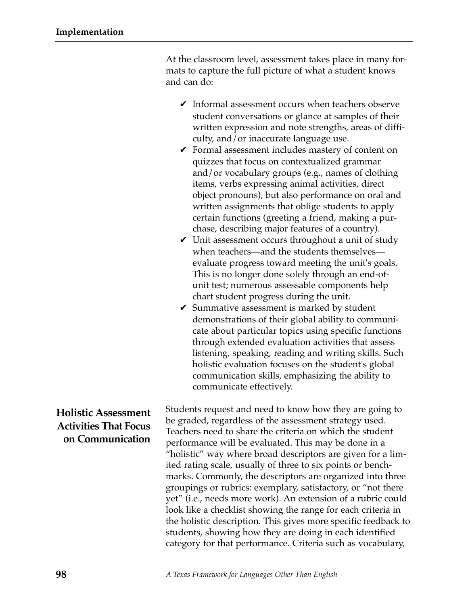At the classroom level, assessment takes place in many formats to capture the full picture of what a student knows and can do:

- $\vee$  Informal assessment occurs when teachers observe student conversations or glance at samples of their written expression and note strengths, areas of difficulty, and/or inaccurate language use.
- $\checkmark$  Formal assessment includes mastery of content on quizzes that focus on contextualized grammar and/or vocabulary groups (e.g., names of clothing items, verbs expressing animal activities, direct object pronouns), but also performance on oral and written assignments that oblige students to apply certain functions (greeting a friend, making a purchase, describing major features of a country).
- $\vee$  Unit assessment occurs throughout a unit of study when teachers—and the students themselves evaluate progress toward meeting the unit's goals. This is no longer done solely through an end-ofunit test; numerous assessable components help chart student progress during the unit.
- $\vee$  Summative assessment is marked by student demonstrations of their global ability to communicate about particular topics using specific functions through extended evaluation activities that assess listening, speaking, reading and writing skills. Such holistic evaluation focuses on the student's global communication skills, emphasizing the ability to communicate effectively.

Students request and need to know how they are going to be graded, regardless of the assessment strategy used. Teachers need to share the criteria on which the student performance will be evaluated. This may be done in a "holistic" way where broad descriptors are given for a limited rating scale, usually of three to six points or benchmarks. Commonly, the descriptors are organized into three groupings or rubrics: exemplary, satisfactory, or "not there yet" (i.e., needs more work). An extension of a rubric could look like a checklist showing the range for each criteria in the holistic description. This gives more specific feedback to students, showing how they are doing in each identified category for that performance. Criteria such as vocabulary, **Holistic Assessment Activities That Focus on Communication**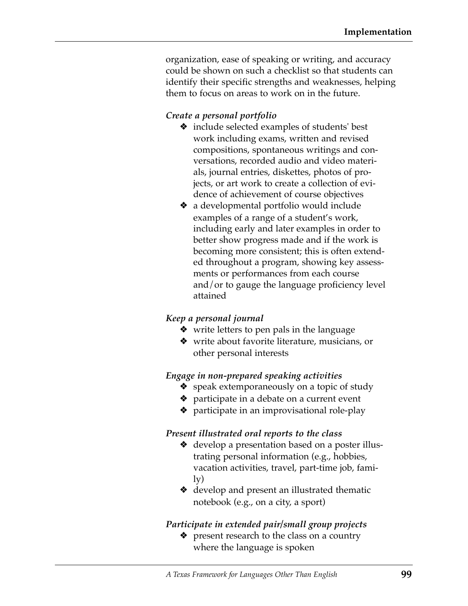organization, ease of speaking or writing, and accuracy could be shown on such a checklist so that students can identify their specific strengths and weaknesses, helping them to focus on areas to work on in the future.

#### *Create a personal portfolio*

- ❖ include selected examples of students' best work including exams, written and revised compositions, spontaneous writings and conversations, recorded audio and video materials, journal entries, diskettes, photos of projects, or art work to create a collection of evidence of achievement of course objectives
- ❖ a developmental portfolio would include examples of a range of a student's work, including early and later examples in order to better show progress made and if the work is becoming more consistent; this is often extended throughout a program, showing key assessments or performances from each course and/or to gauge the language proficiency level attained

#### *Keep a personal journal*

- ❖ write letters to pen pals in the language
- ❖ write about favorite literature, musicians, or other personal interests

#### *Engage in non-prepared speaking activities*

- ❖ speak extemporaneously on a topic of study
- ❖ participate in a debate on a current event
- ❖ participate in an improvisational role-play

#### *Present illustrated oral reports to the class*

- ❖ develop a presentation based on a poster illustrating personal information (e.g., hobbies, vacation activities, travel, part-time job, family)
- ❖ develop and present an illustrated thematic notebook (e.g., on a city, a sport)

#### *Participate in extended pair/small group projects*

❖ present research to the class on a country where the language is spoken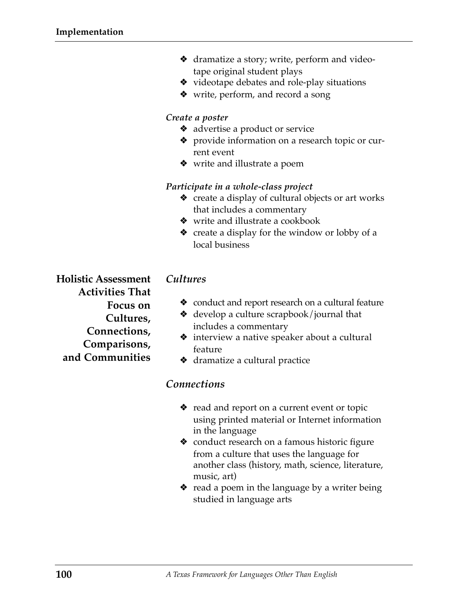- ❖ dramatize a story; write, perform and videotape original student plays
- ❖ videotape debates and role-play situations
- ❖ write, perform, and record a song

#### *Create a poster*

- ❖ advertise a product or service
- ❖ provide information on a research topic or current event
- ❖ write and illustrate a poem

#### *Participate in a whole-class project*

- ❖ create a display of cultural objects or art works that includes a commentary
- ❖ write and illustrate a cookbook
- ❖ create a display for the window or lobby of a local business

**Holistic Assessment Activities That Focus on Cultures, Connections, Comparisons, and Communities**

#### *Cultures*

- ❖ conduct and report research on a cultural feature
- ❖ develop a culture scrapbook/journal that includes a commentary
- ❖ interview a native speaker about a cultural feature
- ❖ dramatize a cultural practice

#### *Connections*

- ❖ read and report on a current event or topic using printed material or Internet information in the language
- ❖ conduct research on a famous historic figure from a culture that uses the language for another class (history, math, science, literature, music, art)
- ❖ read a poem in the language by a writer being studied in language arts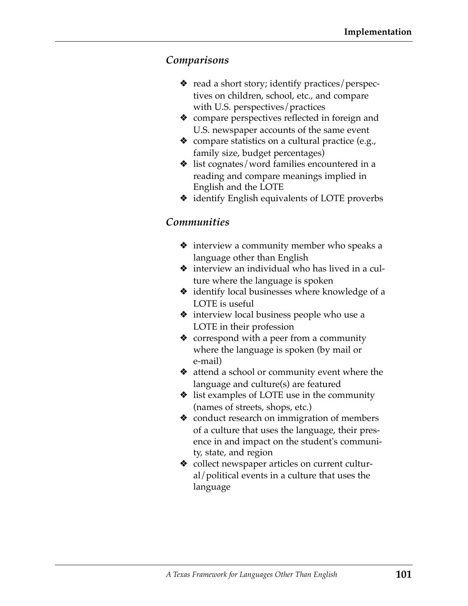#### *Comparisons*

- ❖ read a short story; identify practices/perspectives on children, school, etc., and compare with U.S. perspectives/practices
- ❖ compare perspectives reflected in foreign and U.S. newspaper accounts of the same event
- $\triangleleft$  compare statistics on a cultural practice (e.g., family size, budget percentages)
- $\triangleq$  list cognates/word families encountered in a reading and compare meanings implied in English and the LOTE
- ❖ identify English equivalents of LOTE proverbs

### *Communities*

- ❖ interview a community member who speaks a language other than English
- ❖ interview an individual who has lived in a culture where the language is spoken
- ❖ identify local businesses where knowledge of a LOTE is useful
- ❖ interview local business people who use a LOTE in their profession
- ❖ correspond with a peer from a community where the language is spoken (by mail or e-mail)
- ❖ attend a school or community event where the language and culture(s) are featured
- ❖ list examples of LOTE use in the community (names of streets, shops, etc.)
- ❖ conduct research on immigration of members of a culture that uses the language, their presence in and impact on the student's community, state, and region
- ❖ collect newspaper articles on current cultural/political events in a culture that uses the language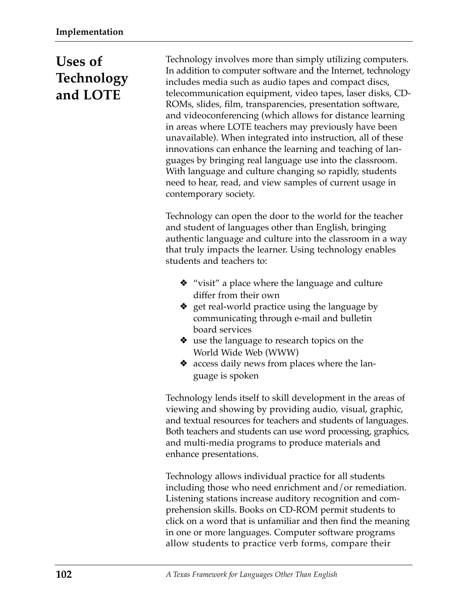# **Uses of Technology and LOTE**

Technology involves more than simply utilizing computers. In addition to computer software and the Internet, technology includes media such as audio tapes and compact discs, telecommunication equipment, video tapes, laser disks, CD-ROMs, slides, film, transparencies, presentation software, and videoconferencing (which allows for distance learning in areas where LOTE teachers may previously have been unavailable). When integrated into instruction, all of these innovations can enhance the learning and teaching of languages by bringing real language use into the classroom. With language and culture changing so rapidly, students need to hear, read, and view samples of current usage in contemporary society.

Technology can open the door to the world for the teacher and student of languages other than English, bringing authentic language and culture into the classroom in a way that truly impacts the learner. Using technology enables students and teachers to:

- ❖ "visit" a place where the language and culture differ from their own
- ❖ get real-world practice using the language by communicating through e-mail and bulletin board services
- ❖ use the language to research topics on the World Wide Web (WWW)
- ❖ access daily news from places where the language is spoken

Technology lends itself to skill development in the areas of viewing and showing by providing audio, visual, graphic, and textual resources for teachers and students of languages. Both teachers and students can use word processing, graphics, and multi-media programs to produce materials and enhance presentations.

Technology allows individual practice for all students including those who need enrichment and/or remediation. Listening stations increase auditory recognition and comprehension skills. Books on CD-ROM permit students to click on a word that is unfamiliar and then find the meaning in one or more languages. Computer software programs allow students to practice verb forms, compare their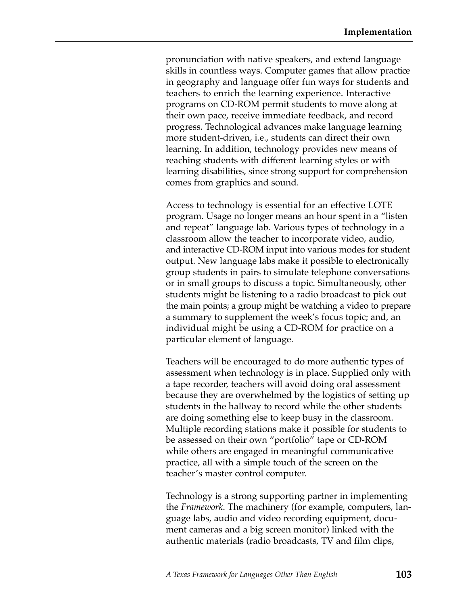pronunciation with native speakers, and extend language skills in countless ways. Computer games that allow practice in geography and language offer fun ways for students and teachers to enrich the learning experience. Interactive programs on CD-ROM permit students to move along at their own pace, receive immediate feedback, and record progress. Technological advances make language learning more student-driven, i.e., students can direct their own learning. In addition, technology provides new means of reaching students with different learning styles or with learning disabilities, since strong support for comprehension comes from graphics and sound.

Access to technology is essential for an effective LOTE program. Usage no longer means an hour spent in a "listen and repeat" language lab. Various types of technology in a classroom allow the teacher to incorporate video, audio, and interactive CD-ROM input into various modes for student output. New language labs make it possible to electronically group students in pairs to simulate telephone conversations or in small groups to discuss a topic. Simultaneously, other students might be listening to a radio broadcast to pick out the main points; a group might be watching a video to prepare a summary to supplement the week's focus topic; and, an individual might be using a CD-ROM for practice on a particular element of language.

Teachers will be encouraged to do more authentic types of assessment when technology is in place. Supplied only with a tape recorder, teachers will avoid doing oral assessment because they are overwhelmed by the logistics of setting up students in the hallway to record while the other students are doing something else to keep busy in the classroom. Multiple recording stations make it possible for students to be assessed on their own "portfolio" tape or CD-ROM while others are engaged in meaningful communicative practice, all with a simple touch of the screen on the teacher's master control computer.

Technology is a strong supporting partner in implementing the *Framework*. The machinery (for example, computers, language labs, audio and video recording equipment, document cameras and a big screen monitor) linked with the authentic materials (radio broadcasts, TV and film clips,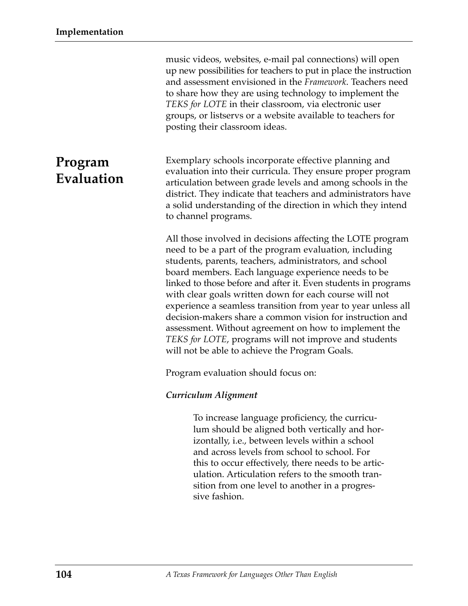music videos, websites, e-mail pal connections) will open up new possibilities for teachers to put in place the instruction and assessment envisioned in the *Framework*. Teachers need to share how they are using technology to implement the *TEKS for LOTE* in their classroom, via electronic user groups, or listservs or a website available to teachers for posting their classroom ideas.

#### Exemplary schools incorporate effective planning and evaluation into their curricula. They ensure proper program articulation between grade levels and among schools in the district. They indicate that teachers and administrators have a solid understanding of the direction in which they intend to channel programs.

All those involved in decisions affecting the LOTE program need to be a part of the program evaluation, including students, parents, teachers, administrators, and school board members. Each language experience needs to be linked to those before and after it. Even students in programs with clear goals written down for each course will not experience a seamless transition from year to year unless all decision-makers share a common vision for instruction and assessment. Without agreement on how to implement the *TEKS for LOTE*, programs will not improve and students will not be able to achieve the Program Goals.

Program evaluation should focus on:

#### *Curriculum Alignment*

To increase language proficiency, the curriculum should be aligned both vertically and horizontally, i.e., between levels within a school and across levels from school to school. For this to occur effectively, there needs to be articulation. Articulation refers to the smooth transition from one level to another in a progressive fashion.

# **Program Evaluation**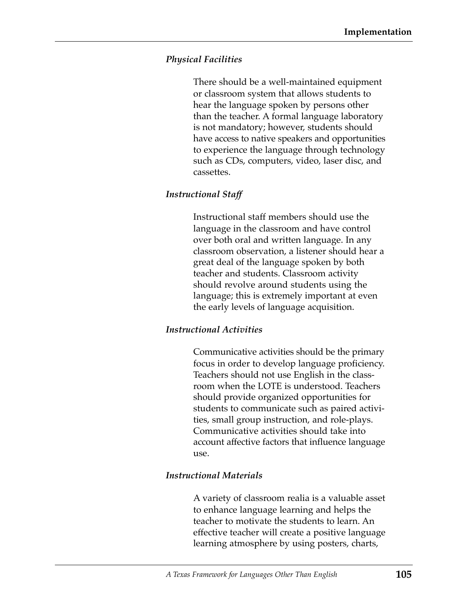#### *Physical Facilities*

There should be a well-maintained equipment or classroom system that allows students to hear the language spoken by persons other than the teacher. A formal language laboratory is not mandatory; however, students should have access to native speakers and opportunities to experience the language through technology such as CDs, computers, video, laser disc, and cassettes.

#### *Instructional Staff*

Instructional staff members should use the language in the classroom and have control over both oral and written language. In any classroom observation, a listener should hear a great deal of the language spoken by both teacher and students. Classroom activity should revolve around students using the language; this is extremely important at even the early levels of language acquisition.

#### *Instructional Activities*

Communicative activities should be the primary focus in order to develop language proficiency. Teachers should not use English in the classroom when the LOTE is understood. Teachers should provide organized opportunities for students to communicate such as paired activities, small group instruction, and role-plays. Communicative activities should take into account affective factors that influence language use.

#### *Instructional Materials*

A variety of classroom realia is a valuable asset to enhance language learning and helps the teacher to motivate the students to learn. An effective teacher will create a positive language learning atmosphere by using posters, charts,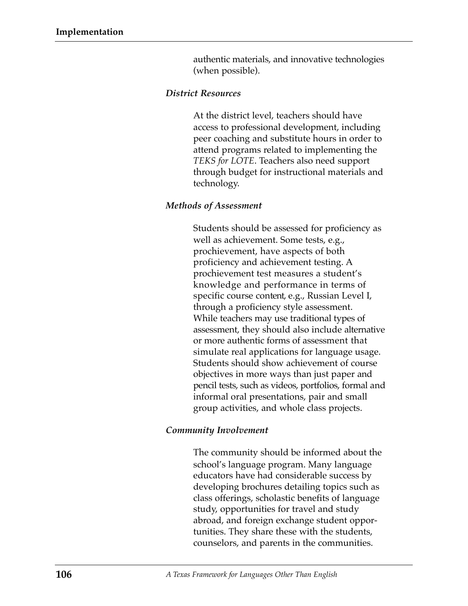authentic materials, and innovative technologies (when possible).

#### *District Resources*

At the district level, teachers should have access to professional development, including peer coaching and substitute hours in order to attend programs related to implementing the *TEKS for LOTE*. Teachers also need support through budget for instructional materials and technology.

#### *Methods of Assessment*

Students should be assessed for proficiency as well as achievement. Some tests, e.g., prochievement, have aspects of both proficiency and achievement testing. A prochievement test measures a student's knowledge and performance in terms of specific course content, e.g., Russian Level I, through a proficiency style assessment. While teachers may use traditional types of assessment, they should also include alternative or more authentic forms of assessment that simulate real applications for language usage. Students should show achievement of course objectives in more ways than just paper and pencil tests, such as videos, portfolios, formal and informal oral presentations, pair and small group activities, and whole class projects.

#### *Community Involvement*

The community should be informed about the school's language program. Many language educators have had considerable success by developing brochures detailing topics such as class offerings, scholastic benefits of language study, opportunities for travel and study abroad, and foreign exchange student opportunities. They share these with the students, counselors, and parents in the communities.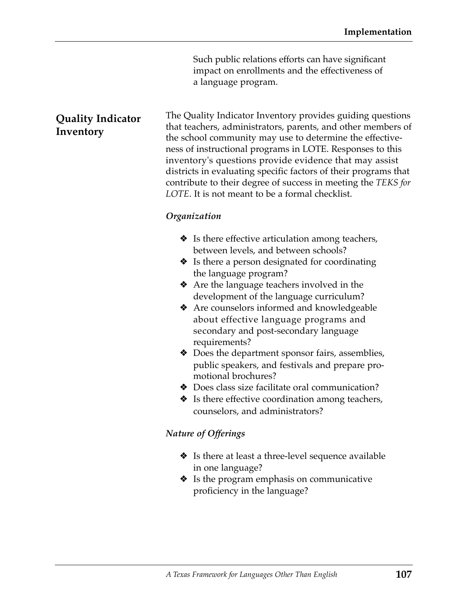Such public relations efforts can have significant impact on enrollments and the effectiveness of a language program.

#### **Quality Indicator Inventory**

The Quality Indicator Inventory provides guiding questions that teachers, administrators, parents, and other members of the school community may use to determine the effectiveness of instructional programs in LOTE. Responses to this inventory's questions provide evidence that may assist districts in evaluating specific factors of their programs that contribute to their degree of success in meeting the *TEKS for LOTE*. It is not meant to be a formal checklist.

#### *Organization*

- $\triangleleft$  Is there effective articulation among teachers, between levels, and between schools?
- $\triangleleft$  Is there a person designated for coordinating the language program?
- ❖ Are the language teachers involved in the development of the language curriculum?
- ❖ Are counselors informed and knowledgeable about effective language programs and secondary and post-secondary language requirements?
- ❖ Does the department sponsor fairs, assemblies, public speakers, and festivals and prepare promotional brochures?
- ❖ Does class size facilitate oral communication?
- ❖ Is there effective coordination among teachers, counselors, and administrators?

#### *Nature of Offerings*

- ❖ Is there at least a three-level sequence available in one language?
- ❖ Is the program emphasis on communicative proficiency in the language?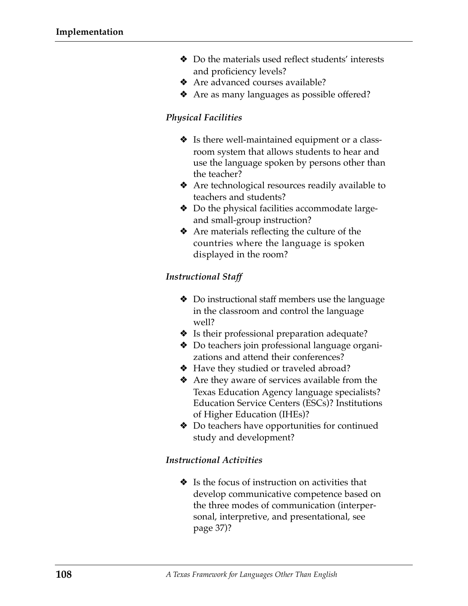- ❖ Do the materials used reflect students' interests and proficiency levels?
- ❖ Are advanced courses available?
- ❖ Are as many languages as possible offered?

#### *Physical Facilities*

- $\triangleleft$  Is there well-maintained equipment or a classroom system that allows students to hear and use the language spoken by persons other than the teacher?
- ❖ Are technological resources readily available to teachers and students?
- ❖ Do the physical facilities accommodate largeand small-group instruction?
- ❖ Are materials reflecting the culture of the countries where the language is spoken displayed in the room?

#### *Instructional Staff*

- ❖ Do instructional staff members use the language in the classroom and control the language well?
- ❖ Is their professional preparation adequate?
- ❖ Do teachers join professional language organizations and attend their conferences?
- ❖ Have they studied or traveled abroad?
- ❖ Are they aware of services available from the Texas Education Agency language specialists? Education Service Centers (ESCs)? Institutions of Higher Education (IHEs)?
- ❖ Do teachers have opportunities for continued study and development?

#### *Instructional Activities*

❖ Is the focus of instruction on activities that develop communicative competence based on the three modes of communication (interpersonal, interpretive, and presentational, see page 37)?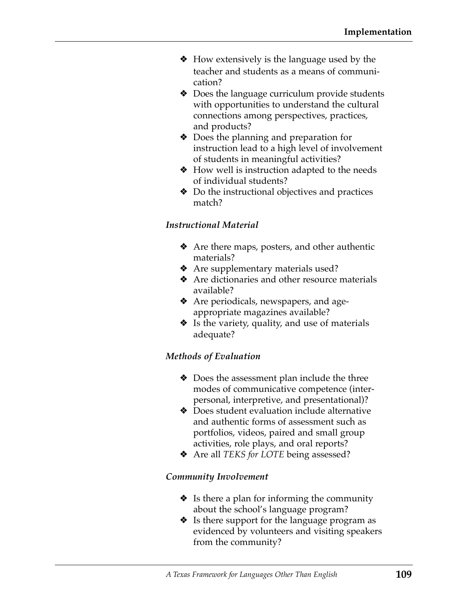- ❖ How extensively is the language used by the teacher and students as a means of communication?
- ❖ Does the language curriculum provide students with opportunities to understand the cultural connections among perspectives, practices, and products?
- ❖ Does the planning and preparation for instruction lead to a high level of involvement of students in meaningful activities?
- ❖ How well is instruction adapted to the needs of individual students?
- ❖ Do the instructional objectives and practices match?

#### *Instructional Material*

- ❖ Are there maps, posters, and other authentic materials?
- ❖ Are supplementary materials used?
- ❖ Are dictionaries and other resource materials available?
- ❖ Are periodicals, newspapers, and ageappropriate magazines available?
- ❖ Is the variety, quality, and use of materials adequate?

#### *Methods of Evaluation*

- ❖ Does the assessment plan include the three modes of communicative competence (interpersonal, interpretive, and presentational)?
- ❖ Does student evaluation include alternative and authentic forms of assessment such as portfolios, videos, paired and small group activities, role plays, and oral reports?
- ❖ Are all *TEKS for LOTE* being assessed?

#### *Community Involvement*

- $\triangleleft$  Is there a plan for informing the community about the school's language program?
- ❖ Is there support for the language program as evidenced by volunteers and visiting speakers from the community?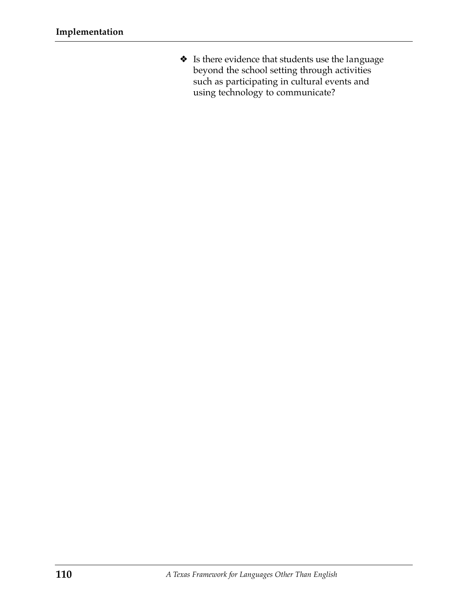❖ Is there evidence that students use the language beyond the school setting through activities such as participating in cultural events and using technology to communicate?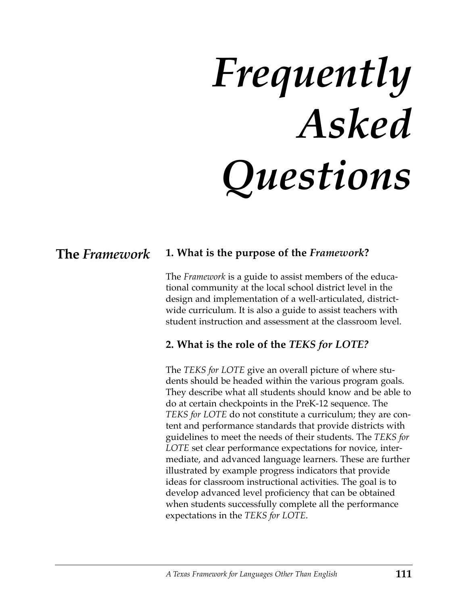# *Frequently Asked Questions*

#### **1. What is the purpose of the** *Framework***? The** *Framework*

The *Framework* is a guide to assist members of the educational community at the local school district level in the design and implementation of a well-articulated, districtwide curriculum. It is also a guide to assist teachers with student instruction and assessment at the classroom level.

#### **2. What is the role of the** *TEKS for LOTE?*

The *TEKS for LOTE* give an overall picture of where students should be headed within the various program goals. They describe what all students should know and be able to do at certain checkpoints in the PreK-12 sequence. The *TEKS for LOTE* do not constitute a curriculum; they are content and performance standards that provide districts with guidelines to meet the needs of their students. The *TEKS for LOTE* set clear performance expectations for novice, intermediate, and advanced language learners. These are further illustrated by example progress indicators that provide ideas for classroom instructional activities. The goal is to develop advanced level proficiency that can be obtained when students successfully complete all the performance expectations in the *TEKS for LOTE*.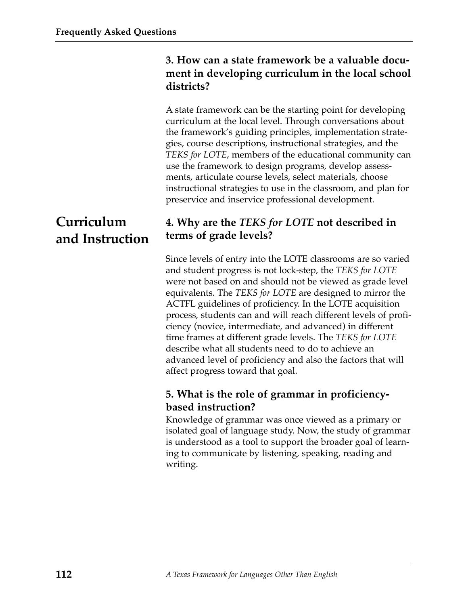#### **3. How can a state framework be a valuable document in developing curriculum in the local school districts?**

A state framework can be the starting point for developing curriculum at the local level. Through conversations about the framework's guiding principles, implementation strategies, course descriptions, instructional strategies, and the *TEKS for LOTE*, members of the educational community can use the framework to design programs, develop assessments, articulate course levels, select materials, choose instructional strategies to use in the classroom, and plan for preservice and inservice professional development.

# **Curriculum and Instruction**

### **4. Why are the** *TEKS for LOTE* **not described in terms of grade levels?**

Since levels of entry into the LOTE classrooms are so varied and student progress is not lock-step, the *TEKS for LOTE* were not based on and should not be viewed as grade level equivalents. The *TEKS for LOTE* are designed to mirror the ACTFL guidelines of proficiency. In the LOTE acquisition process, students can and will reach different levels of proficiency (novice, intermediate, and advanced) in different time frames at different grade levels. The *TEKS for LOTE* describe what all students need to do to achieve an advanced level of proficiency and also the factors that will affect progress toward that goal.

#### **5. What is the role of grammar in proficiencybased instruction?**

Knowledge of grammar was once viewed as a primary or isolated goal of language study. Now, the study of grammar is understood as a tool to support the broader goal of learning to communicate by listening, speaking, reading and writing.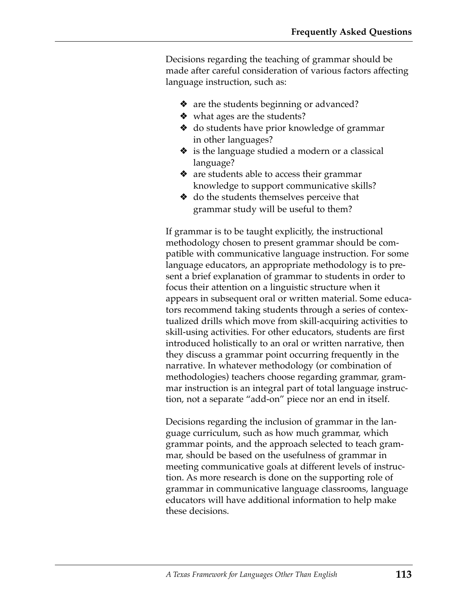Decisions regarding the teaching of grammar should be made after careful consideration of various factors affecting language instruction, such as:

- ❖ are the students beginning or advanced?
- ❖ what ages are the students?
- ❖ do students have prior knowledge of grammar in other languages?
- ❖ is the language studied a modern or a classical language?
- ❖ are students able to access their grammar knowledge to support communicative skills?
- ❖ do the students themselves perceive that grammar study will be useful to them?

If grammar is to be taught explicitly, the instructional methodology chosen to present grammar should be compatible with communicative language instruction. For some language educators, an appropriate methodology is to present a brief explanation of grammar to students in order to focus their attention on a linguistic structure when it appears in subsequent oral or written material. Some educators recommend taking students through a series of contextualized drills which move from skill-acquiring activities to skill-using activities. For other educators, students are first introduced holistically to an oral or written narrative, then they discuss a grammar point occurring frequently in the narrative. In whatever methodology (or combination of methodologies) teachers choose regarding grammar, grammar instruction is an integral part of total language instruction, not a separate "add-on" piece nor an end in itself.

Decisions regarding the inclusion of grammar in the language curriculum, such as how much grammar, which grammar points, and the approach selected to teach grammar, should be based on the usefulness of grammar in meeting communicative goals at different levels of instruction. As more research is done on the supporting role of grammar in communicative language classrooms, language educators will have additional information to help make these decisions.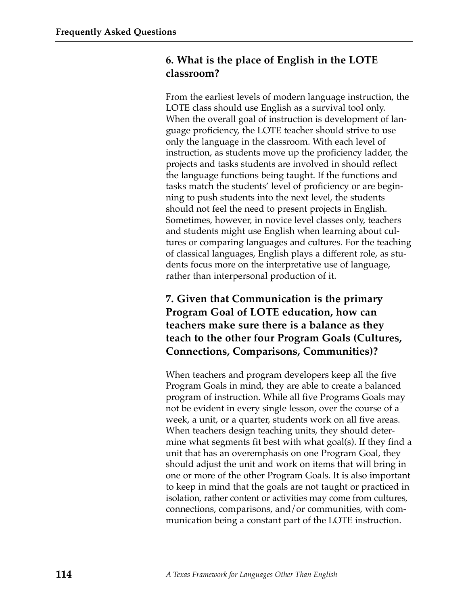#### **6. What is the place of English in the LOTE classroom?**

From the earliest levels of modern language instruction, the LOTE class should use English as a survival tool only. When the overall goal of instruction is development of language proficiency, the LOTE teacher should strive to use only the language in the classroom. With each level of instruction, as students move up the proficiency ladder, the projects and tasks students are involved in should reflect the language functions being taught. If the functions and tasks match the students' level of proficiency or are beginning to push students into the next level, the students should not feel the need to present projects in English. Sometimes, however, in novice level classes only, teachers and students might use English when learning about cultures or comparing languages and cultures. For the teaching of classical languages, English plays a different role, as students focus more on the interpretative use of language, rather than interpersonal production of it.

#### **7. Given that Communication is the primary Program Goal of LOTE education, how can teachers make sure there is a balance as they teach to the other four Program Goals (Cultures, Connections, Comparisons, Communities)?**

When teachers and program developers keep all the five Program Goals in mind, they are able to create a balanced program of instruction. While all five Programs Goals may not be evident in every single lesson, over the course of a week, a unit, or a quarter, students work on all five areas. When teachers design teaching units, they should determine what segments fit best with what goal(s). If they find a unit that has an overemphasis on one Program Goal, they should adjust the unit and work on items that will bring in one or more of the other Program Goals. It is also important to keep in mind that the goals are not taught or practiced in isolation, rather content or activities may come from cultures, connections, comparisons, and/or communities, with communication being a constant part of the LOTE instruction.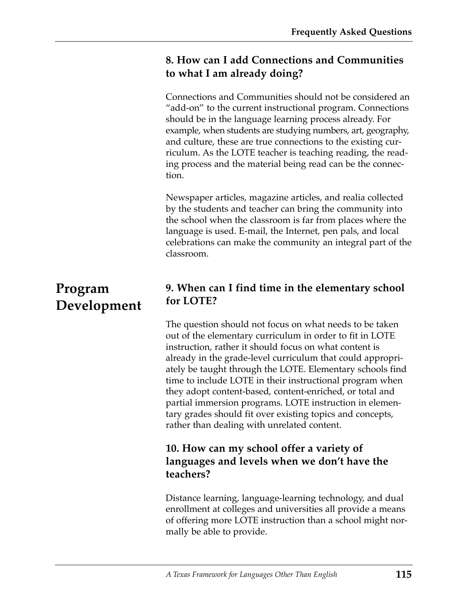#### **8. How can I add Connections and Communities to what I am already doing?**

Connections and Communities should not be considered an "add-on" to the current instructional program. Connections should be in the language learning process already. For example, when students are studying numbers, art, geography, and culture, these are true connections to the existing curriculum. As the LOTE teacher is teaching reading, the reading process and the material being read can be the connection.

Newspaper articles, magazine articles, and realia collected by the students and teacher can bring the community into the school when the classroom is far from places where the language is used. E-mail, the Internet, pen pals, and local celebrations can make the community an integral part of the classroom.

#### **9. When can I find time in the elementary school for LOTE?**

The question should not focus on what needs to be taken out of the elementary curriculum in order to fit in LOTE instruction, rather it should focus on what content is already in the grade-level curriculum that could appropriately be taught through the LOTE. Elementary schools find time to include LOTE in their instructional program when they adopt content-based, content-enriched, or total and partial immersion programs. LOTE instruction in elementary grades should fit over existing topics and concepts, rather than dealing with unrelated content.

#### **10. How can my school offer a variety of languages and levels when we don't have the teachers?**

Distance learning, language-learning technology, and dual enrollment at colleges and universities all provide a means of offering more LOTE instruction than a school might normally be able to provide.

# **Program Development**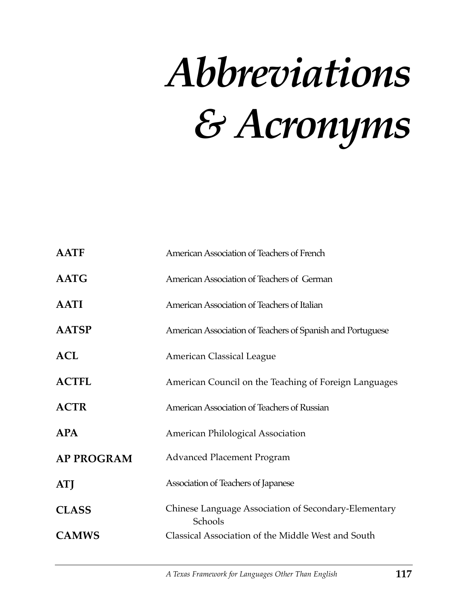# *Abbreviations & Acronyms*

| <b>AATF</b>       | American Association of Teachers of French                      |
|-------------------|-----------------------------------------------------------------|
| <b>AATG</b>       | American Association of Teachers of German                      |
| <b>AATI</b>       | American Association of Teachers of Italian                     |
| <b>AATSP</b>      | American Association of Teachers of Spanish and Portuguese      |
| <b>ACL</b>        | <b>American Classical League</b>                                |
| <b>ACTFL</b>      | American Council on the Teaching of Foreign Languages           |
| <b>ACTR</b>       | American Association of Teachers of Russian                     |
| <b>APA</b>        | American Philological Association                               |
| <b>AP PROGRAM</b> | <b>Advanced Placement Program</b>                               |
| <b>ATJ</b>        | Association of Teachers of Japanese                             |
| <b>CLASS</b>      | Chinese Language Association of Secondary-Elementary<br>Schools |
| <b>CAMWS</b>      | Classical Association of the Middle West and South              |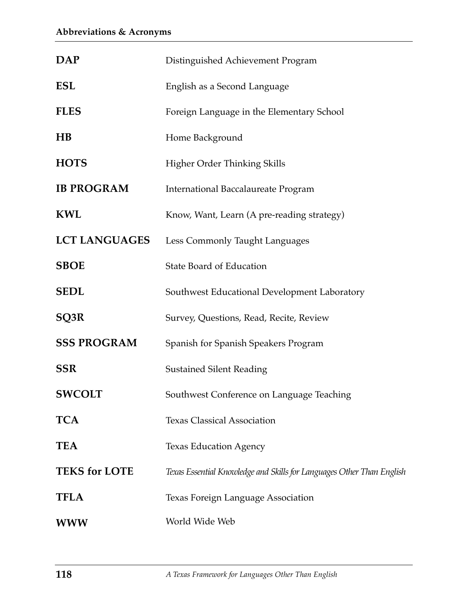| <b>DAP</b>           | Distinguished Achievement Program                                     |
|----------------------|-----------------------------------------------------------------------|
| <b>ESL</b>           | English as a Second Language                                          |
| <b>FLES</b>          | Foreign Language in the Elementary School                             |
| <b>HB</b>            | Home Background                                                       |
| <b>HOTS</b>          | Higher Order Thinking Skills                                          |
| <b>IB PROGRAM</b>    | <b>International Baccalaureate Program</b>                            |
| <b>KWL</b>           | Know, Want, Learn (A pre-reading strategy)                            |
| <b>LCT LANGUAGES</b> | Less Commonly Taught Languages                                        |
| <b>SBOE</b>          | <b>State Board of Education</b>                                       |
| <b>SEDL</b>          | Southwest Educational Development Laboratory                          |
| SQ3R                 | Survey, Questions, Read, Recite, Review                               |
| <b>SSS PROGRAM</b>   | Spanish for Spanish Speakers Program                                  |
| <b>SSR</b>           | <b>Sustained Silent Reading</b>                                       |
| <b>SWCOLT</b>        | Southwest Conference on Language Teaching                             |
| <b>TCA</b>           | <b>Texas Classical Association</b>                                    |
| <b>TEA</b>           | <b>Texas Education Agency</b>                                         |
| <b>TEKS for LOTE</b> | Texas Essential Knowledge and Skills for Languages Other Than English |
| <b>TFLA</b>          | Texas Foreign Language Association                                    |
| <b>WWW</b>           | World Wide Web                                                        |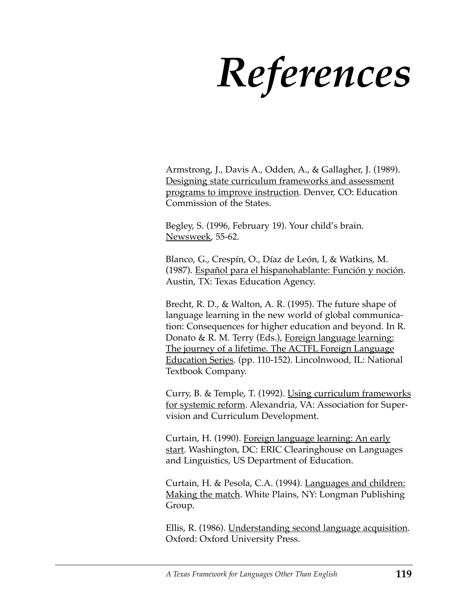*References*

Armstrong, J., Davis A., Odden, A., & Gallagher, J. (1989). Designing state curriculum frameworks and assessment programs to improve instruction. Denver, CO: Education Commission of the States.

Begley, S. (1996, February 19). Your child's brain. Newsweek, 55-62.

Blanco, G., Crespín, O., Díaz de León, I, & Watkins, M. (1987). Español para el hispanohablante: Función y noción. Austin, TX: Texas Education Agency.

Brecht, R. D., & Walton, A. R. (1995). The future shape of language learning in the new world of global communication: Consequences for higher education and beyond. In R. Donato & R. M. Terry (Eds.), Foreign language learning: The journey of a lifetime. The ACTFL Foreign Language Education Series. (pp. 110-152). Lincolnwood, IL: National Textbook Company.

Curry, B. & Temple, T. (1992). Using curriculum frameworks for systemic reform. Alexandria, VA: Association for Supervision and Curriculum Development.

Curtain, H. (1990). Foreign language learning: An early start. Washington, DC: ERIC Clearinghouse on Languages and Linguistics, US Department of Education.

Curtain, H. & Pesola, C.A. (1994). Languages and children: Making the match. White Plains, NY: Longman Publishing Group.

Ellis, R. (1986). Understanding second language acquisition. Oxford: Oxford University Press.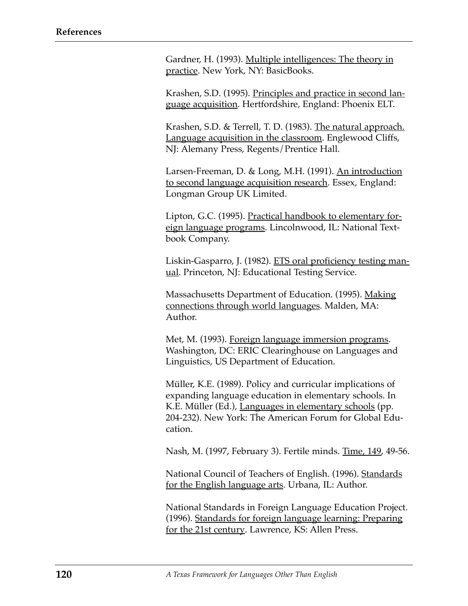Gardner, H. (1993). Multiple intelligences: The theory in practice. New York, NY: BasicBooks.

Krashen, S.D. (1995). Principles and practice in second language acquisition. Hertfordshire, England: Phoenix ELT.

Krashen, S.D. & Terrell, T. D. (1983). The natural approach. Language acquisition in the classroom. Englewood Cliffs, NJ: Alemany Press, Regents/Prentice Hall.

Larsen-Freeman, D. & Long, M.H. (1991). An introduction to second language acquisition research. Essex, England: Longman Group UK Limited.

Lipton, G.C. (1995). Practical handbook to elementary foreign language programs. Lincolnwood, IL: National Textbook Company.

Liskin-Gasparro, J. (1982). ETS oral proficiency testing manual. Princeton, NJ: Educational Testing Service.

Massachusetts Department of Education. (1995). Making connections through world languages. Malden, MA: Author.

Met, M. (1993). Foreign language immersion programs. Washington, DC: ERIC Clearinghouse on Languages and Linguistics, US Department of Education.

Müller, K.E. (1989). Policy and curricular implications of expanding language education in elementary schools. In K.E. Müller (Ed.), Languages in elementary schools (pp. 204-232). New York: The American Forum for Global Education.

Nash, M. (1997, February 3). Fertile minds. Time, 149, 49-56.

National Council of Teachers of English. (1996). Standards for the English language arts. Urbana, IL: Author.

National Standards in Foreign Language Education Project. (1996). Standards for foreign language learning: Preparing for the 21st century. Lawrence, KS: Allen Press.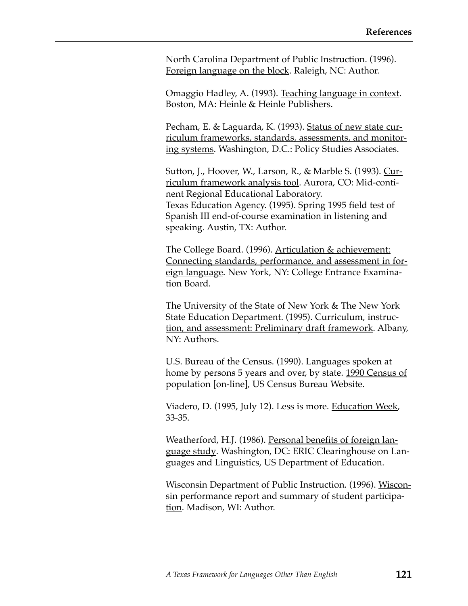North Carolina Department of Public Instruction. (1996). Foreign language on the block. Raleigh, NC: Author.

Omaggio Hadley, A. (1993). Teaching language in context. Boston, MA: Heinle & Heinle Publishers.

Pecham, E. & Laguarda, K. (1993). Status of new state curriculum frameworks, standards, assessments, and monitoring systems. Washington, D.C.: Policy Studies Associates.

Sutton, J., Hoover, W., Larson, R., & Marble S. (1993). Curriculum framework analysis tool. Aurora, CO: Mid-continent Regional Educational Laboratory. Texas Education Agency. (1995). Spring 1995 field test of Spanish III end-of-course examination in listening and speaking. Austin, TX: Author.

The College Board. (1996). Articulation & achievement: Connecting standards, performance, and assessment in foreign language. New York, NY: College Entrance Examination Board.

The University of the State of New York & The New York State Education Department. (1995). Curriculum, instruction, and assessment: Preliminary draft framework. Albany, NY: Authors.

U.S. Bureau of the Census. (1990). Languages spoken at home by persons 5 years and over, by state. 1990 Census of population [on-line], US Census Bureau Website.

Viadero, D. (1995, July 12). Less is more. Education Week, 33-35.

Weatherford, H.J. (1986). Personal benefits of foreign language study. Washington, DC: ERIC Clearinghouse on Languages and Linguistics, US Department of Education.

Wisconsin Department of Public Instruction. (1996). Wisconsin performance report and summary of student participation. Madison, WI: Author.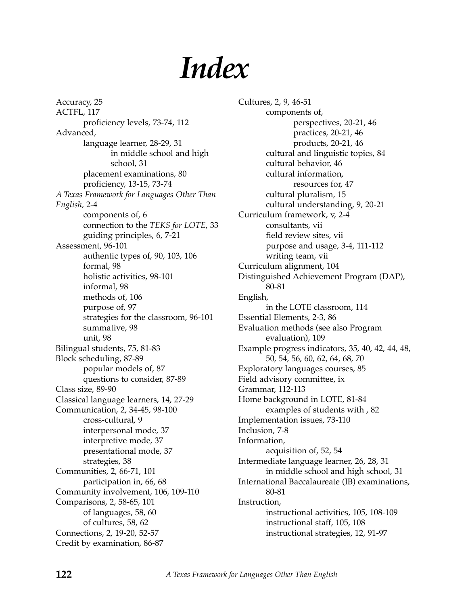# *Index*

Accuracy, 25 ACTFL, 117 proficiency levels, 73-74, 112 Advanced, language learner, 28-29, 31 in middle school and high school, 31 placement examinations, 80 proficiency, 13-15, 73-74 *A Texas Framework for Languages Other Than English,* 2-4 components of, 6 connection to the *TEKS for LOTE*, 33 guiding principles, 6, 7-21 Assessment, 96-101 authentic types of, 90, 103, 106 formal, 98 holistic activities, 98-101 informal, 98 methods of, 106 purpose of, 97 strategies for the classroom, 96-101 summative, 98 unit, 98 Bilingual students, 75, 81-83 Block scheduling, 87-89 popular models of, 87 questions to consider, 87-89 Class size, 89-90 Classical language learners, 14, 27-29 Communication, 2, 34-45, 98-100 cross-cultural, 9 interpersonal mode, 37 interpretive mode, 37 presentational mode, 37 strategies, 38 Communities, 2, 66-71, 101 participation in, 66, 68 Community involvement, 106, 109-110 Comparisons, 2, 58-65, 101 of languages, 58, 60 of cultures, 58, 62 Connections, 2, 19-20, 52-57 Credit by examination, 86-87

Cultures, 2, 9, 46-51 components of, perspectives, 20-21, 46 practices, 20-21, 46 products, 20-21, 46 cultural and linguistic topics, 84 cultural behavior, 46 cultural information, resources for, 47 cultural pluralism, 15 cultural understanding, 9, 20-21 Curriculum framework, v, 2-4 consultants, vii field review sites, vii purpose and usage, 3-4, 111-112 writing team, vii Curriculum alignment, 104 Distinguished Achievement Program (DAP), 80-81 English, in the LOTE classroom, 114 Essential Elements, 2-3, 86 Evaluation methods (see also Program evaluation), 109 Example progress indicators, 35, 40, 42, 44, 48, 50, 54, 56, 60, 62, 64, 68, 70 Exploratory languages courses, 85 Field advisory committee, ix Grammar, 112-113 Home background in LOTE, 81-84 examples of students with , 82 Implementation issues, 73-110 Inclusion, 7-8 Information, acquisition of, 52, 54 Intermediate language learner, 26, 28, 31 in middle school and high school, 31 International Baccalaureate (IB) examinations, 80-81 Instruction, instructional activities, 105, 108-109 instructional staff, 105, 108 instructional strategies, 12, 91-97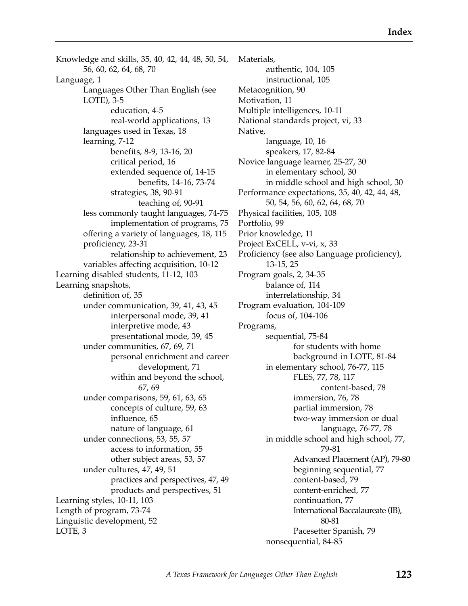Knowledge and skills, 35, 40, 42, 44, 48, 50, 54, 56, 60, 62, 64, 68, 70 Language, 1 Languages Other Than English (see LOTE), 3-5 education, 4-5 real-world applications, 13 languages used in Texas, 18 learning, 7-12 benefits, 8-9, 13-16, 20 critical period, 16 extended sequence of, 14-15 benefits, 14-16, 73-74 strategies, 38, 90-91 teaching of, 90-91 less commonly taught languages, 74-75 implementation of programs, 75 offering a variety of languages, 18, 115 proficiency, 23-31 relationship to achievement, 23 variables affecting acquisition, 10-12 Learning disabled students, 11-12, 103 Learning snapshots, definition of, 35 under communication, 39, 41, 43, 45 interpersonal mode, 39, 41 interpretive mode, 43 presentational mode, 39, 45 under communities, 67, 69, 71 personal enrichment and career development, 71 within and beyond the school, 67, 69 under comparisons, 59, 61, 63, 65 concepts of culture, 59, 63 influence, 65 nature of language, 61 under connections, 53, 55, 57 access to information, 55 other subject areas, 53, 57 under cultures, 47, 49, 51 practices and perspectives, 47, 49 products and perspectives, 51 Learning styles, 10-11, 103 Length of program, 73-74 Linguistic development, 52 LOTE, 3

Materials, authentic, 104, 105 instructional, 105 Metacognition, 90 Motivation, 11 Multiple intelligences, 10-11 National standards project, vi, 33 Native, language, 10, 16 speakers, 17, 82-84 Novice language learner, 25-27, 30 in elementary school, 30 in middle school and high school, 30 Performance expectations, 35, 40, 42, 44, 48, 50, 54, 56, 60, 62, 64, 68, 70 Physical facilities, 105, 108 Portfolio, 99 Prior knowledge, 11 Project ExCELL, v-vi, x, 33 Proficiency (see also Language proficiency), 13-15, 25 Program goals, 2, 34-35 balance of, 114 interrelationship, 34 Program evaluation, 104-109 focus of, 104-106 Programs, sequential, 75-84 for students with home background in LOTE, 81-84 in elementary school, 76-77, 115 FLES, 77, 78, 117 content-based, 78 immersion, 76, 78 partial immersion, 78 two-way immersion or dual language, 76-77, 78 in middle school and high school, 77, 79-81 Advanced Placement (AP), 79-80 beginning sequential, 77 content-based, 79 content-enriched, 77 continuation, 77 International Baccalaureate (IB), 80-81 Pacesetter Spanish, 79 nonsequential, 84-85